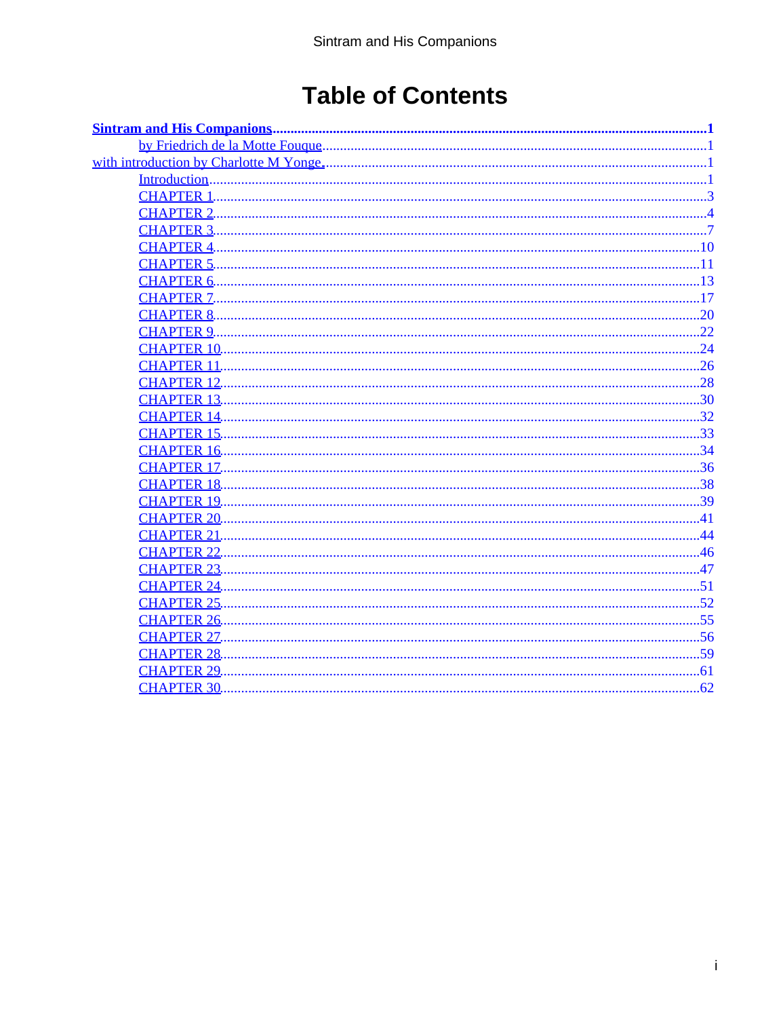## **Table of Contents**

|                    | . 1            |
|--------------------|----------------|
|                    | . 3            |
| <b>CHAPTER 2</b>   | $\overline{4}$ |
| <b>CHAPTER 3</b>   |                |
| <b>CHAPTER 4.</b>  | .10            |
| <b>CHAPTER 5.</b>  | .11            |
| <b>CHAPTER 6</b>   | .13            |
| <b>CHAPTER 7.</b>  | .17            |
| <b>CHAPTER 8.</b>  | .20            |
| <b>CHAPTER 9.</b>  | .22            |
| <b>CHAPTER 10.</b> | .24            |
| <b>CHAPTER 11.</b> |                |
| <b>CHAPTER 12.</b> | .28            |
| <b>CHAPTER 13.</b> | 30             |
| <b>CHAPTER 14.</b> | .32            |
| <b>CHAPTER 15.</b> | .33            |
| <b>CHAPTER 16.</b> | .34            |
| <b>CHAPTER 17.</b> | .36            |
| <b>CHAPTER 18.</b> | .38            |
| <b>CHAPTER 19.</b> | .39            |
| <b>CHAPTER 20.</b> | 41             |
| <b>CHAPTER 21</b>  |                |
| <b>CHAPTER 22.</b> |                |
| <b>CHAPTER 23.</b> | .47            |
| <b>CHAPTER 24</b>  | .51            |
| <b>CHAPTER 25.</b> | .52            |
| <b>CHAPTER 26.</b> | .55            |
| <b>CHAPTER 27.</b> | 56             |
| <b>CHAPTER 28.</b> | 59             |
| <b>CHAPTER 29.</b> | .61            |
|                    |                |
|                    |                |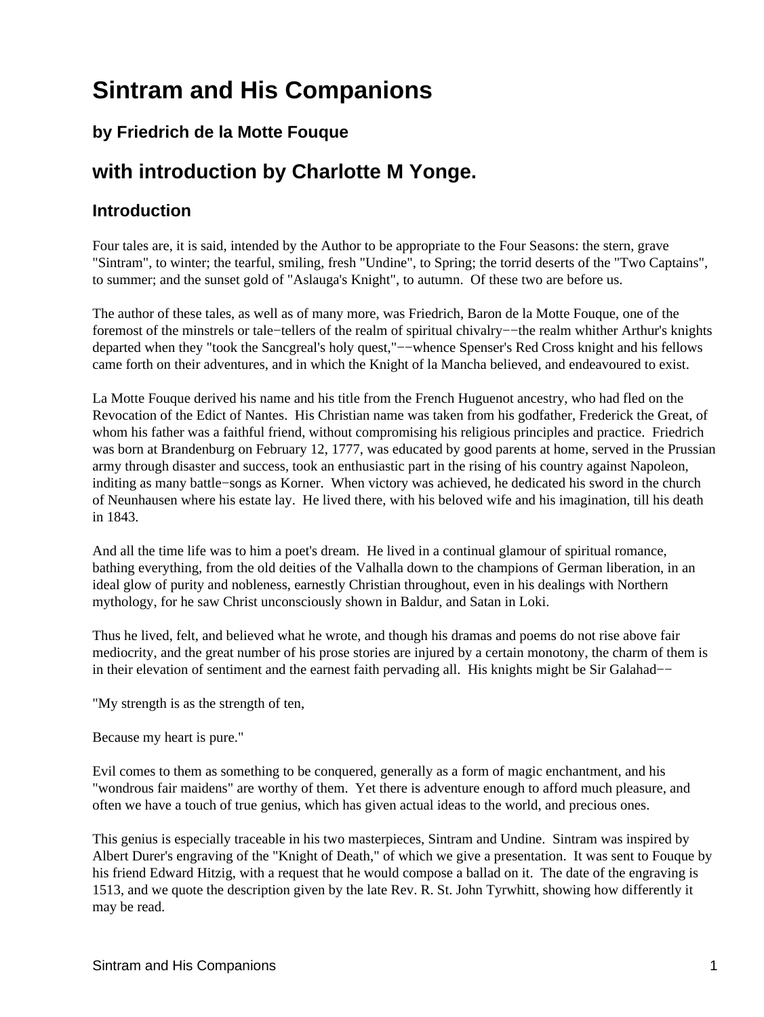### <span id="page-2-0"></span>**by Friedrich de la Motte Fouque**

## **with introduction by Charlotte M Yonge.**

### **Introduction**

Four tales are, it is said, intended by the Author to be appropriate to the Four Seasons: the stern, grave "Sintram", to winter; the tearful, smiling, fresh "Undine", to Spring; the torrid deserts of the "Two Captains", to summer; and the sunset gold of "Aslauga's Knight", to autumn. Of these two are before us.

The author of these tales, as well as of many more, was Friedrich, Baron de la Motte Fouque, one of the foremost of the minstrels or tale−tellers of the realm of spiritual chivalry−−the realm whither Arthur's knights departed when they "took the Sancgreal's holy quest,"−−whence Spenser's Red Cross knight and his fellows came forth on their adventures, and in which the Knight of la Mancha believed, and endeavoured to exist.

La Motte Fouque derived his name and his title from the French Huguenot ancestry, who had fled on the Revocation of the Edict of Nantes. His Christian name was taken from his godfather, Frederick the Great, of whom his father was a faithful friend, without compromising his religious principles and practice. Friedrich was born at Brandenburg on February 12, 1777, was educated by good parents at home, served in the Prussian army through disaster and success, took an enthusiastic part in the rising of his country against Napoleon, inditing as many battle−songs as Korner. When victory was achieved, he dedicated his sword in the church of Neunhausen where his estate lay. He lived there, with his beloved wife and his imagination, till his death in 1843.

And all the time life was to him a poet's dream. He lived in a continual glamour of spiritual romance, bathing everything, from the old deities of the Valhalla down to the champions of German liberation, in an ideal glow of purity and nobleness, earnestly Christian throughout, even in his dealings with Northern mythology, for he saw Christ unconsciously shown in Baldur, and Satan in Loki.

Thus he lived, felt, and believed what he wrote, and though his dramas and poems do not rise above fair mediocrity, and the great number of his prose stories are injured by a certain monotony, the charm of them is in their elevation of sentiment and the earnest faith pervading all. His knights might be Sir Galahad−−

"My strength is as the strength of ten,

Because my heart is pure."

Evil comes to them as something to be conquered, generally as a form of magic enchantment, and his "wondrous fair maidens" are worthy of them. Yet there is adventure enough to afford much pleasure, and often we have a touch of true genius, which has given actual ideas to the world, and precious ones.

This genius is especially traceable in his two masterpieces, Sintram and Undine. Sintram was inspired by Albert Durer's engraving of the "Knight of Death," of which we give a presentation. It was sent to Fouque by his friend Edward Hitzig, with a request that he would compose a ballad on it. The date of the engraving is 1513, and we quote the description given by the late Rev. R. St. John Tyrwhitt, showing how differently it may be read.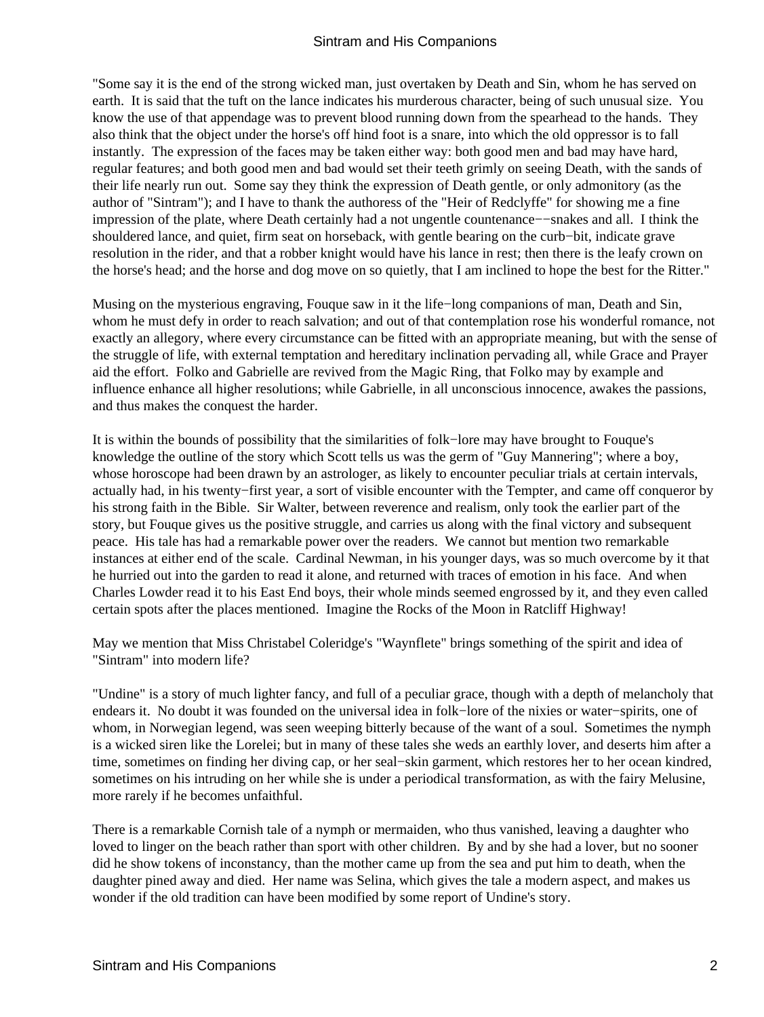"Some say it is the end of the strong wicked man, just overtaken by Death and Sin, whom he has served on earth. It is said that the tuft on the lance indicates his murderous character, being of such unusual size. You know the use of that appendage was to prevent blood running down from the spearhead to the hands. They also think that the object under the horse's off hind foot is a snare, into which the old oppressor is to fall instantly. The expression of the faces may be taken either way: both good men and bad may have hard, regular features; and both good men and bad would set their teeth grimly on seeing Death, with the sands of their life nearly run out. Some say they think the expression of Death gentle, or only admonitory (as the author of "Sintram"); and I have to thank the authoress of the "Heir of Redclyffe" for showing me a fine impression of the plate, where Death certainly had a not ungentle countenance−−snakes and all. I think the shouldered lance, and quiet, firm seat on horseback, with gentle bearing on the curb−bit, indicate grave resolution in the rider, and that a robber knight would have his lance in rest; then there is the leafy crown on the horse's head; and the horse and dog move on so quietly, that I am inclined to hope the best for the Ritter."

Musing on the mysterious engraving, Fouque saw in it the life−long companions of man, Death and Sin, whom he must defy in order to reach salvation; and out of that contemplation rose his wonderful romance, not exactly an allegory, where every circumstance can be fitted with an appropriate meaning, but with the sense of the struggle of life, with external temptation and hereditary inclination pervading all, while Grace and Prayer aid the effort. Folko and Gabrielle are revived from the Magic Ring, that Folko may by example and influence enhance all higher resolutions; while Gabrielle, in all unconscious innocence, awakes the passions, and thus makes the conquest the harder.

It is within the bounds of possibility that the similarities of folk−lore may have brought to Fouque's knowledge the outline of the story which Scott tells us was the germ of "Guy Mannering"; where a boy, whose horoscope had been drawn by an astrologer, as likely to encounter peculiar trials at certain intervals, actually had, in his twenty−first year, a sort of visible encounter with the Tempter, and came off conqueror by his strong faith in the Bible. Sir Walter, between reverence and realism, only took the earlier part of the story, but Fouque gives us the positive struggle, and carries us along with the final victory and subsequent peace. His tale has had a remarkable power over the readers. We cannot but mention two remarkable instances at either end of the scale. Cardinal Newman, in his younger days, was so much overcome by it that he hurried out into the garden to read it alone, and returned with traces of emotion in his face. And when Charles Lowder read it to his East End boys, their whole minds seemed engrossed by it, and they even called certain spots after the places mentioned. Imagine the Rocks of the Moon in Ratcliff Highway!

May we mention that Miss Christabel Coleridge's "Waynflete" brings something of the spirit and idea of "Sintram" into modern life?

"Undine" is a story of much lighter fancy, and full of a peculiar grace, though with a depth of melancholy that endears it. No doubt it was founded on the universal idea in folk−lore of the nixies or water−spirits, one of whom, in Norwegian legend, was seen weeping bitterly because of the want of a soul. Sometimes the nymph is a wicked siren like the Lorelei; but in many of these tales she weds an earthly lover, and deserts him after a time, sometimes on finding her diving cap, or her seal−skin garment, which restores her to her ocean kindred, sometimes on his intruding on her while she is under a periodical transformation, as with the fairy Melusine, more rarely if he becomes unfaithful.

There is a remarkable Cornish tale of a nymph or mermaiden, who thus vanished, leaving a daughter who loved to linger on the beach rather than sport with other children. By and by she had a lover, but no sooner did he show tokens of inconstancy, than the mother came up from the sea and put him to death, when the daughter pined away and died. Her name was Selina, which gives the tale a modern aspect, and makes us wonder if the old tradition can have been modified by some report of Undine's story.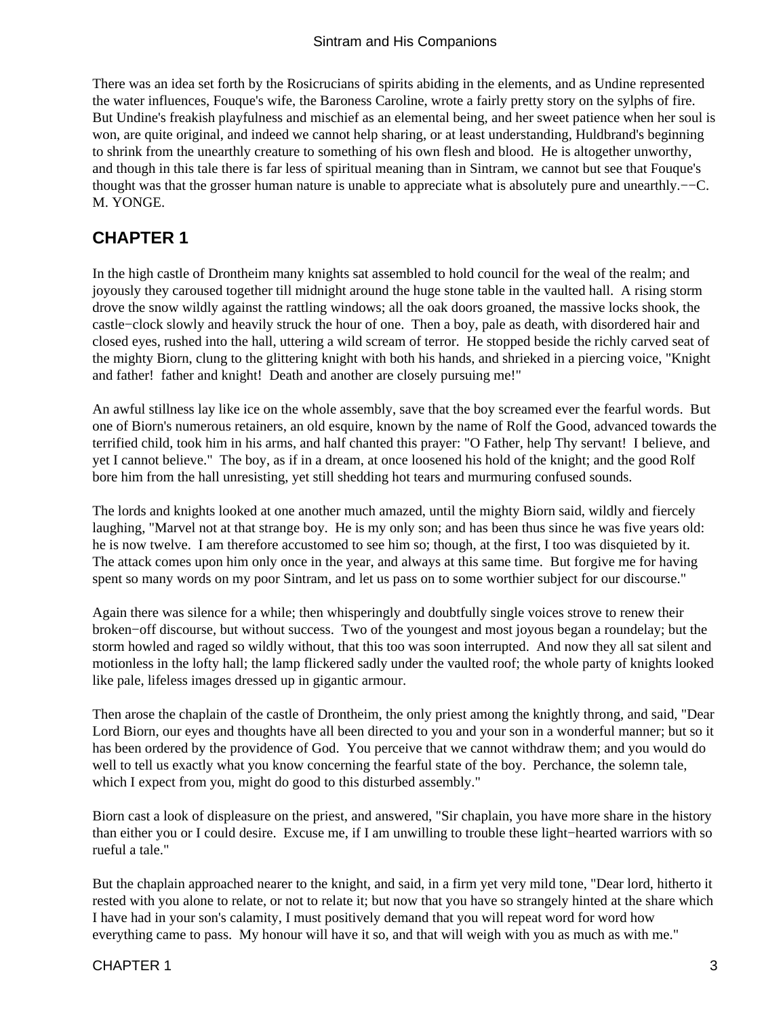<span id="page-4-0"></span>There was an idea set forth by the Rosicrucians of spirits abiding in the elements, and as Undine represented the water influences, Fouque's wife, the Baroness Caroline, wrote a fairly pretty story on the sylphs of fire. But Undine's freakish playfulness and mischief as an elemental being, and her sweet patience when her soul is won, are quite original, and indeed we cannot help sharing, or at least understanding, Huldbrand's beginning to shrink from the unearthly creature to something of his own flesh and blood. He is altogether unworthy, and though in this tale there is far less of spiritual meaning than in Sintram, we cannot but see that Fouque's thought was that the grosser human nature is unable to appreciate what is absolutely pure and unearthly.−−C. M. YONGE.

### **CHAPTER 1**

In the high castle of Drontheim many knights sat assembled to hold council for the weal of the realm; and joyously they caroused together till midnight around the huge stone table in the vaulted hall. A rising storm drove the snow wildly against the rattling windows; all the oak doors groaned, the massive locks shook, the castle−clock slowly and heavily struck the hour of one. Then a boy, pale as death, with disordered hair and closed eyes, rushed into the hall, uttering a wild scream of terror. He stopped beside the richly carved seat of the mighty Biorn, clung to the glittering knight with both his hands, and shrieked in a piercing voice, "Knight and father! father and knight! Death and another are closely pursuing me!"

An awful stillness lay like ice on the whole assembly, save that the boy screamed ever the fearful words. But one of Biorn's numerous retainers, an old esquire, known by the name of Rolf the Good, advanced towards the terrified child, took him in his arms, and half chanted this prayer: "O Father, help Thy servant! I believe, and yet I cannot believe." The boy, as if in a dream, at once loosened his hold of the knight; and the good Rolf bore him from the hall unresisting, yet still shedding hot tears and murmuring confused sounds.

The lords and knights looked at one another much amazed, until the mighty Biorn said, wildly and fiercely laughing, "Marvel not at that strange boy. He is my only son; and has been thus since he was five years old: he is now twelve. I am therefore accustomed to see him so; though, at the first, I too was disquieted by it. The attack comes upon him only once in the year, and always at this same time. But forgive me for having spent so many words on my poor Sintram, and let us pass on to some worthier subject for our discourse."

Again there was silence for a while; then whisperingly and doubtfully single voices strove to renew their broken−off discourse, but without success. Two of the youngest and most joyous began a roundelay; but the storm howled and raged so wildly without, that this too was soon interrupted. And now they all sat silent and motionless in the lofty hall; the lamp flickered sadly under the vaulted roof; the whole party of knights looked like pale, lifeless images dressed up in gigantic armour.

Then arose the chaplain of the castle of Drontheim, the only priest among the knightly throng, and said, "Dear Lord Biorn, our eyes and thoughts have all been directed to you and your son in a wonderful manner; but so it has been ordered by the providence of God. You perceive that we cannot withdraw them; and you would do well to tell us exactly what you know concerning the fearful state of the boy. Perchance, the solemn tale, which I expect from you, might do good to this disturbed assembly."

Biorn cast a look of displeasure on the priest, and answered, "Sir chaplain, you have more share in the history than either you or I could desire. Excuse me, if I am unwilling to trouble these light−hearted warriors with so rueful a tale."

But the chaplain approached nearer to the knight, and said, in a firm yet very mild tone, "Dear lord, hitherto it rested with you alone to relate, or not to relate it; but now that you have so strangely hinted at the share which I have had in your son's calamity, I must positively demand that you will repeat word for word how everything came to pass. My honour will have it so, and that will weigh with you as much as with me."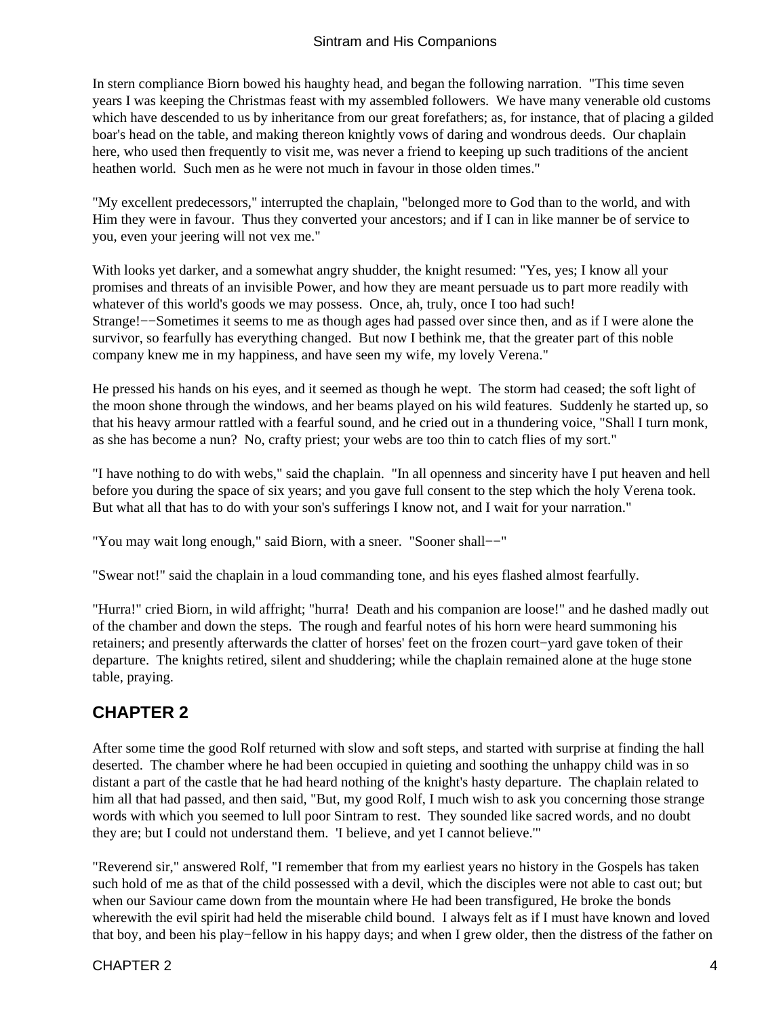<span id="page-5-0"></span>In stern compliance Biorn bowed his haughty head, and began the following narration. "This time seven years I was keeping the Christmas feast with my assembled followers. We have many venerable old customs which have descended to us by inheritance from our great forefathers; as, for instance, that of placing a gilded boar's head on the table, and making thereon knightly vows of daring and wondrous deeds. Our chaplain here, who used then frequently to visit me, was never a friend to keeping up such traditions of the ancient heathen world. Such men as he were not much in favour in those olden times."

"My excellent predecessors," interrupted the chaplain, "belonged more to God than to the world, and with Him they were in favour. Thus they converted your ancestors; and if I can in like manner be of service to you, even your jeering will not vex me."

With looks yet darker, and a somewhat angry shudder, the knight resumed: "Yes, yes; I know all your promises and threats of an invisible Power, and how they are meant persuade us to part more readily with whatever of this world's goods we may possess. Once, ah, truly, once I too had such! Strange!−−Sometimes it seems to me as though ages had passed over since then, and as if I were alone the survivor, so fearfully has everything changed. But now I bethink me, that the greater part of this noble company knew me in my happiness, and have seen my wife, my lovely Verena."

He pressed his hands on his eyes, and it seemed as though he wept. The storm had ceased; the soft light of the moon shone through the windows, and her beams played on his wild features. Suddenly he started up, so that his heavy armour rattled with a fearful sound, and he cried out in a thundering voice, "Shall I turn monk, as she has become a nun? No, crafty priest; your webs are too thin to catch flies of my sort."

"I have nothing to do with webs," said the chaplain. "In all openness and sincerity have I put heaven and hell before you during the space of six years; and you gave full consent to the step which the holy Verena took. But what all that has to do with your son's sufferings I know not, and I wait for your narration."

"You may wait long enough," said Biorn, with a sneer. "Sooner shall-−"

"Swear not!" said the chaplain in a loud commanding tone, and his eyes flashed almost fearfully.

"Hurra!" cried Biorn, in wild affright; "hurra! Death and his companion are loose!" and he dashed madly out of the chamber and down the steps. The rough and fearful notes of his horn were heard summoning his retainers; and presently afterwards the clatter of horses' feet on the frozen court−yard gave token of their departure. The knights retired, silent and shuddering; while the chaplain remained alone at the huge stone table, praying.

### **CHAPTER 2**

After some time the good Rolf returned with slow and soft steps, and started with surprise at finding the hall deserted. The chamber where he had been occupied in quieting and soothing the unhappy child was in so distant a part of the castle that he had heard nothing of the knight's hasty departure. The chaplain related to him all that had passed, and then said, "But, my good Rolf, I much wish to ask you concerning those strange words with which you seemed to lull poor Sintram to rest. They sounded like sacred words, and no doubt they are; but I could not understand them. 'I believe, and yet I cannot believe.'"

"Reverend sir," answered Rolf, "I remember that from my earliest years no history in the Gospels has taken such hold of me as that of the child possessed with a devil, which the disciples were not able to cast out; but when our Saviour came down from the mountain where He had been transfigured, He broke the bonds wherewith the evil spirit had held the miserable child bound. I always felt as if I must have known and loved that boy, and been his play−fellow in his happy days; and when I grew older, then the distress of the father on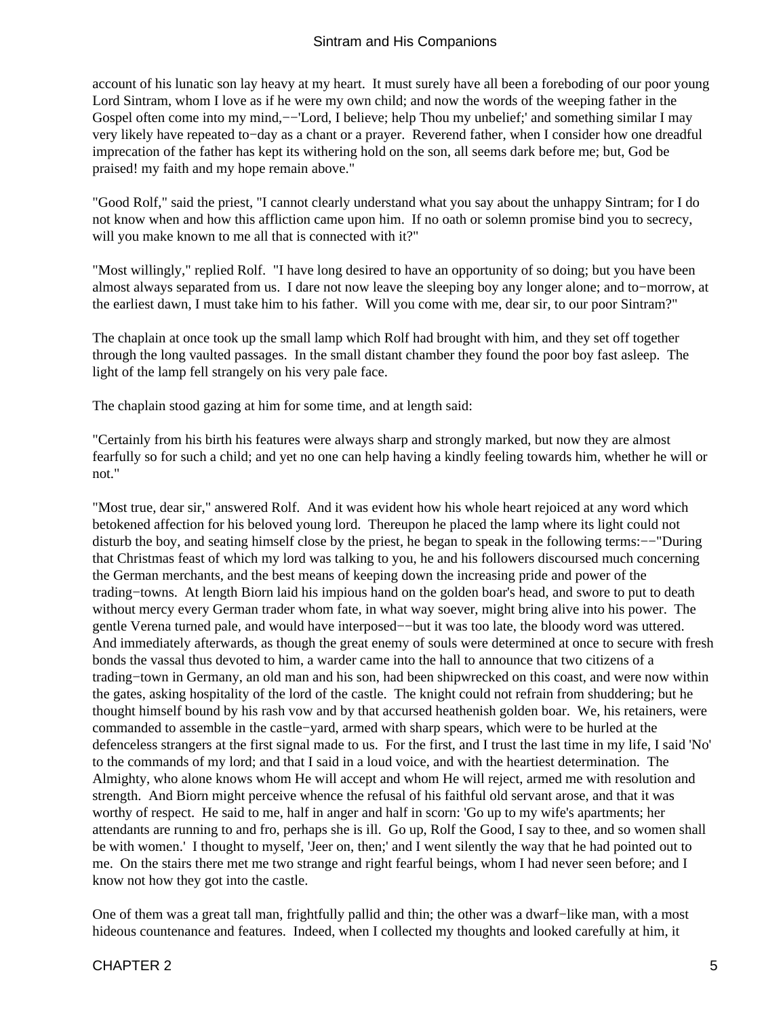account of his lunatic son lay heavy at my heart. It must surely have all been a foreboding of our poor young Lord Sintram, whom I love as if he were my own child; and now the words of the weeping father in the Gospel often come into my mind,-−'Lord, I believe; help Thou my unbelief;' and something similar I may very likely have repeated to−day as a chant or a prayer. Reverend father, when I consider how one dreadful imprecation of the father has kept its withering hold on the son, all seems dark before me; but, God be praised! my faith and my hope remain above."

"Good Rolf," said the priest, "I cannot clearly understand what you say about the unhappy Sintram; for I do not know when and how this affliction came upon him. If no oath or solemn promise bind you to secrecy, will you make known to me all that is connected with it?"

"Most willingly," replied Rolf. "I have long desired to have an opportunity of so doing; but you have been almost always separated from us. I dare not now leave the sleeping boy any longer alone; and to−morrow, at the earliest dawn, I must take him to his father. Will you come with me, dear sir, to our poor Sintram?"

The chaplain at once took up the small lamp which Rolf had brought with him, and they set off together through the long vaulted passages. In the small distant chamber they found the poor boy fast asleep. The light of the lamp fell strangely on his very pale face.

The chaplain stood gazing at him for some time, and at length said:

"Certainly from his birth his features were always sharp and strongly marked, but now they are almost fearfully so for such a child; and yet no one can help having a kindly feeling towards him, whether he will or not."

"Most true, dear sir," answered Rolf. And it was evident how his whole heart rejoiced at any word which betokened affection for his beloved young lord. Thereupon he placed the lamp where its light could not disturb the boy, and seating himself close by the priest, he began to speak in the following terms:−−"During that Christmas feast of which my lord was talking to you, he and his followers discoursed much concerning the German merchants, and the best means of keeping down the increasing pride and power of the trading−towns. At length Biorn laid his impious hand on the golden boar's head, and swore to put to death without mercy every German trader whom fate, in what way soever, might bring alive into his power. The gentle Verena turned pale, and would have interposed−−but it was too late, the bloody word was uttered. And immediately afterwards, as though the great enemy of souls were determined at once to secure with fresh bonds the vassal thus devoted to him, a warder came into the hall to announce that two citizens of a trading−town in Germany, an old man and his son, had been shipwrecked on this coast, and were now within the gates, asking hospitality of the lord of the castle. The knight could not refrain from shuddering; but he thought himself bound by his rash vow and by that accursed heathenish golden boar. We, his retainers, were commanded to assemble in the castle−yard, armed with sharp spears, which were to be hurled at the defenceless strangers at the first signal made to us. For the first, and I trust the last time in my life, I said 'No' to the commands of my lord; and that I said in a loud voice, and with the heartiest determination. The Almighty, who alone knows whom He will accept and whom He will reject, armed me with resolution and strength. And Biorn might perceive whence the refusal of his faithful old servant arose, and that it was worthy of respect. He said to me, half in anger and half in scorn: 'Go up to my wife's apartments; her attendants are running to and fro, perhaps she is ill. Go up, Rolf the Good, I say to thee, and so women shall be with women.' I thought to myself, 'Jeer on, then;' and I went silently the way that he had pointed out to me. On the stairs there met me two strange and right fearful beings, whom I had never seen before; and I know not how they got into the castle.

One of them was a great tall man, frightfully pallid and thin; the other was a dwarf−like man, with a most hideous countenance and features. Indeed, when I collected my thoughts and looked carefully at him, it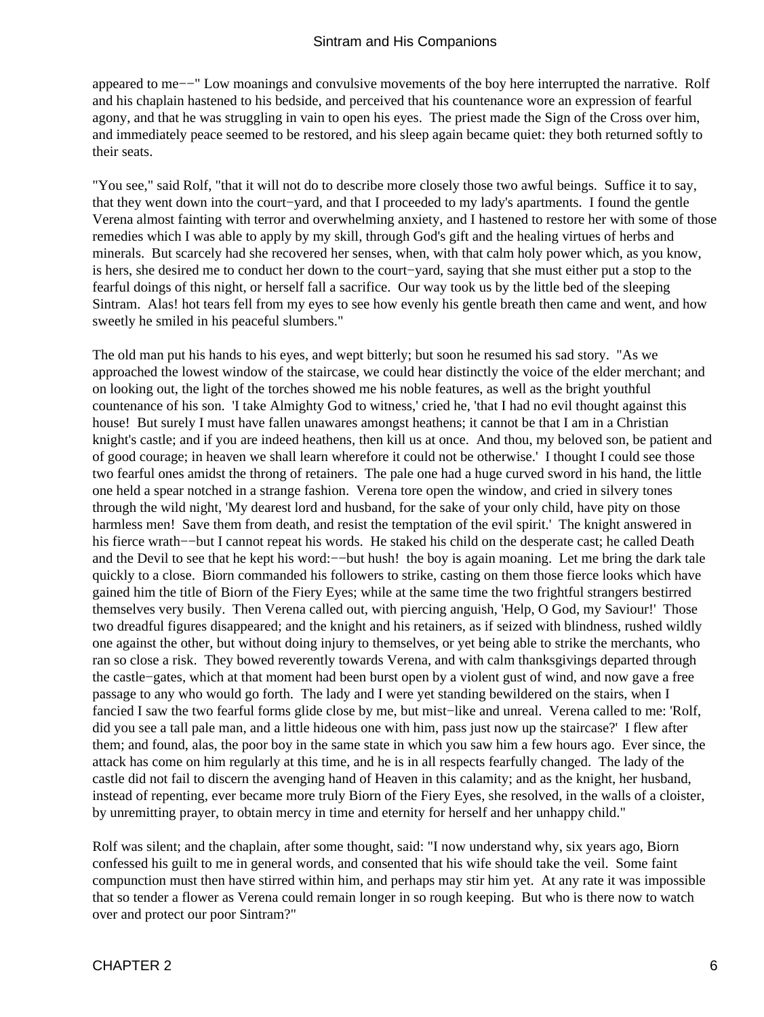appeared to me−−" Low moanings and convulsive movements of the boy here interrupted the narrative. Rolf and his chaplain hastened to his bedside, and perceived that his countenance wore an expression of fearful agony, and that he was struggling in vain to open his eyes. The priest made the Sign of the Cross over him, and immediately peace seemed to be restored, and his sleep again became quiet: they both returned softly to their seats.

"You see," said Rolf, "that it will not do to describe more closely those two awful beings. Suffice it to say, that they went down into the court−yard, and that I proceeded to my lady's apartments. I found the gentle Verena almost fainting with terror and overwhelming anxiety, and I hastened to restore her with some of those remedies which I was able to apply by my skill, through God's gift and the healing virtues of herbs and minerals. But scarcely had she recovered her senses, when, with that calm holy power which, as you know, is hers, she desired me to conduct her down to the court−yard, saying that she must either put a stop to the fearful doings of this night, or herself fall a sacrifice. Our way took us by the little bed of the sleeping Sintram. Alas! hot tears fell from my eyes to see how evenly his gentle breath then came and went, and how sweetly he smiled in his peaceful slumbers."

The old man put his hands to his eyes, and wept bitterly; but soon he resumed his sad story. "As we approached the lowest window of the staircase, we could hear distinctly the voice of the elder merchant; and on looking out, the light of the torches showed me his noble features, as well as the bright youthful countenance of his son. 'I take Almighty God to witness,' cried he, 'that I had no evil thought against this house! But surely I must have fallen unawares amongst heathens; it cannot be that I am in a Christian knight's castle; and if you are indeed heathens, then kill us at once. And thou, my beloved son, be patient and of good courage; in heaven we shall learn wherefore it could not be otherwise.' I thought I could see those two fearful ones amidst the throng of retainers. The pale one had a huge curved sword in his hand, the little one held a spear notched in a strange fashion. Verena tore open the window, and cried in silvery tones through the wild night, 'My dearest lord and husband, for the sake of your only child, have pity on those harmless men! Save them from death, and resist the temptation of the evil spirit.' The knight answered in his fierce wrath−−but I cannot repeat his words. He staked his child on the desperate cast; he called Death and the Devil to see that he kept his word:−−but hush! the boy is again moaning. Let me bring the dark tale quickly to a close. Biorn commanded his followers to strike, casting on them those fierce looks which have gained him the title of Biorn of the Fiery Eyes; while at the same time the two frightful strangers bestirred themselves very busily. Then Verena called out, with piercing anguish, 'Help, O God, my Saviour!' Those two dreadful figures disappeared; and the knight and his retainers, as if seized with blindness, rushed wildly one against the other, but without doing injury to themselves, or yet being able to strike the merchants, who ran so close a risk. They bowed reverently towards Verena, and with calm thanksgivings departed through the castle−gates, which at that moment had been burst open by a violent gust of wind, and now gave a free passage to any who would go forth. The lady and I were yet standing bewildered on the stairs, when I fancied I saw the two fearful forms glide close by me, but mist−like and unreal. Verena called to me: 'Rolf, did you see a tall pale man, and a little hideous one with him, pass just now up the staircase?' I flew after them; and found, alas, the poor boy in the same state in which you saw him a few hours ago. Ever since, the attack has come on him regularly at this time, and he is in all respects fearfully changed. The lady of the castle did not fail to discern the avenging hand of Heaven in this calamity; and as the knight, her husband, instead of repenting, ever became more truly Biorn of the Fiery Eyes, she resolved, in the walls of a cloister, by unremitting prayer, to obtain mercy in time and eternity for herself and her unhappy child."

Rolf was silent; and the chaplain, after some thought, said: "I now understand why, six years ago, Biorn confessed his guilt to me in general words, and consented that his wife should take the veil. Some faint compunction must then have stirred within him, and perhaps may stir him yet. At any rate it was impossible that so tender a flower as Verena could remain longer in so rough keeping. But who is there now to watch over and protect our poor Sintram?"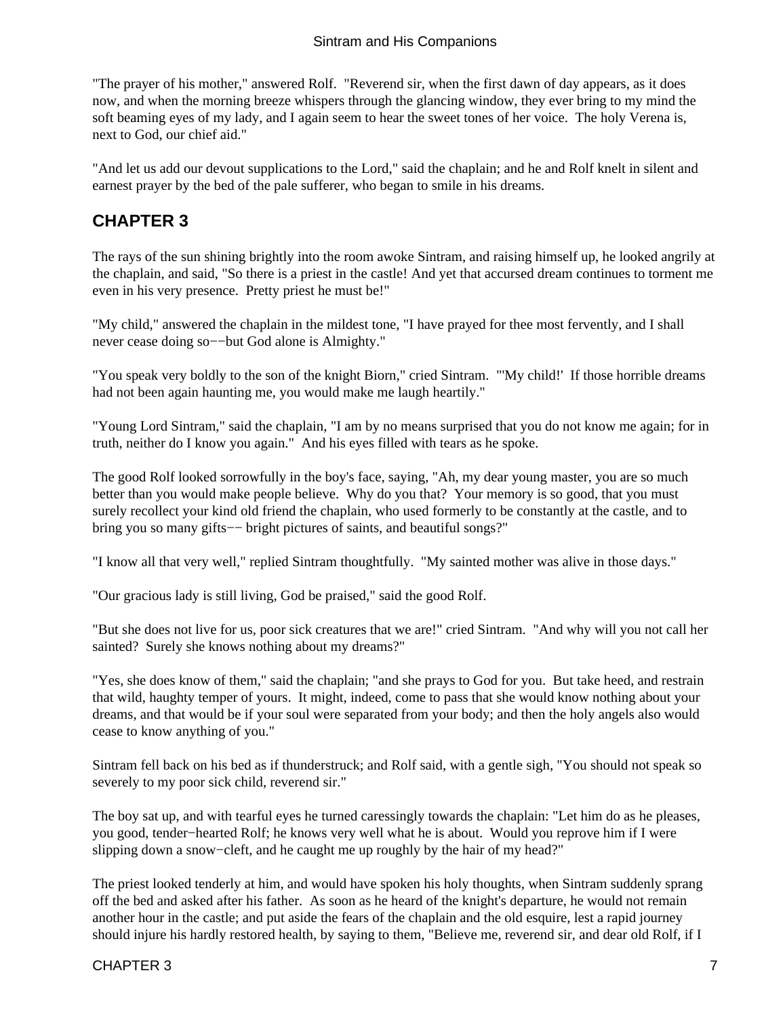<span id="page-8-0"></span>"The prayer of his mother," answered Rolf. "Reverend sir, when the first dawn of day appears, as it does now, and when the morning breeze whispers through the glancing window, they ever bring to my mind the soft beaming eyes of my lady, and I again seem to hear the sweet tones of her voice. The holy Verena is, next to God, our chief aid."

"And let us add our devout supplications to the Lord," said the chaplain; and he and Rolf knelt in silent and earnest prayer by the bed of the pale sufferer, who began to smile in his dreams.

### **CHAPTER 3**

The rays of the sun shining brightly into the room awoke Sintram, and raising himself up, he looked angrily at the chaplain, and said, "So there is a priest in the castle! And yet that accursed dream continues to torment me even in his very presence. Pretty priest he must be!"

"My child," answered the chaplain in the mildest tone, "I have prayed for thee most fervently, and I shall never cease doing so−−but God alone is Almighty."

"You speak very boldly to the son of the knight Biorn," cried Sintram. "'My child!' If those horrible dreams had not been again haunting me, you would make me laugh heartily."

"Young Lord Sintram," said the chaplain, "I am by no means surprised that you do not know me again; for in truth, neither do I know you again." And his eyes filled with tears as he spoke.

The good Rolf looked sorrowfully in the boy's face, saying, "Ah, my dear young master, you are so much better than you would make people believe. Why do you that? Your memory is so good, that you must surely recollect your kind old friend the chaplain, who used formerly to be constantly at the castle, and to bring you so many gifts−− bright pictures of saints, and beautiful songs?"

"I know all that very well," replied Sintram thoughtfully. "My sainted mother was alive in those days."

"Our gracious lady is still living, God be praised," said the good Rolf.

"But she does not live for us, poor sick creatures that we are!" cried Sintram. "And why will you not call her sainted? Surely she knows nothing about my dreams?"

"Yes, she does know of them," said the chaplain; "and she prays to God for you. But take heed, and restrain that wild, haughty temper of yours. It might, indeed, come to pass that she would know nothing about your dreams, and that would be if your soul were separated from your body; and then the holy angels also would cease to know anything of you."

Sintram fell back on his bed as if thunderstruck; and Rolf said, with a gentle sigh, "You should not speak so severely to my poor sick child, reverend sir."

The boy sat up, and with tearful eyes he turned caressingly towards the chaplain: "Let him do as he pleases, you good, tender−hearted Rolf; he knows very well what he is about. Would you reprove him if I were slipping down a snow−cleft, and he caught me up roughly by the hair of my head?"

The priest looked tenderly at him, and would have spoken his holy thoughts, when Sintram suddenly sprang off the bed and asked after his father. As soon as he heard of the knight's departure, he would not remain another hour in the castle; and put aside the fears of the chaplain and the old esquire, lest a rapid journey should injure his hardly restored health, by saying to them, "Believe me, reverend sir, and dear old Rolf, if I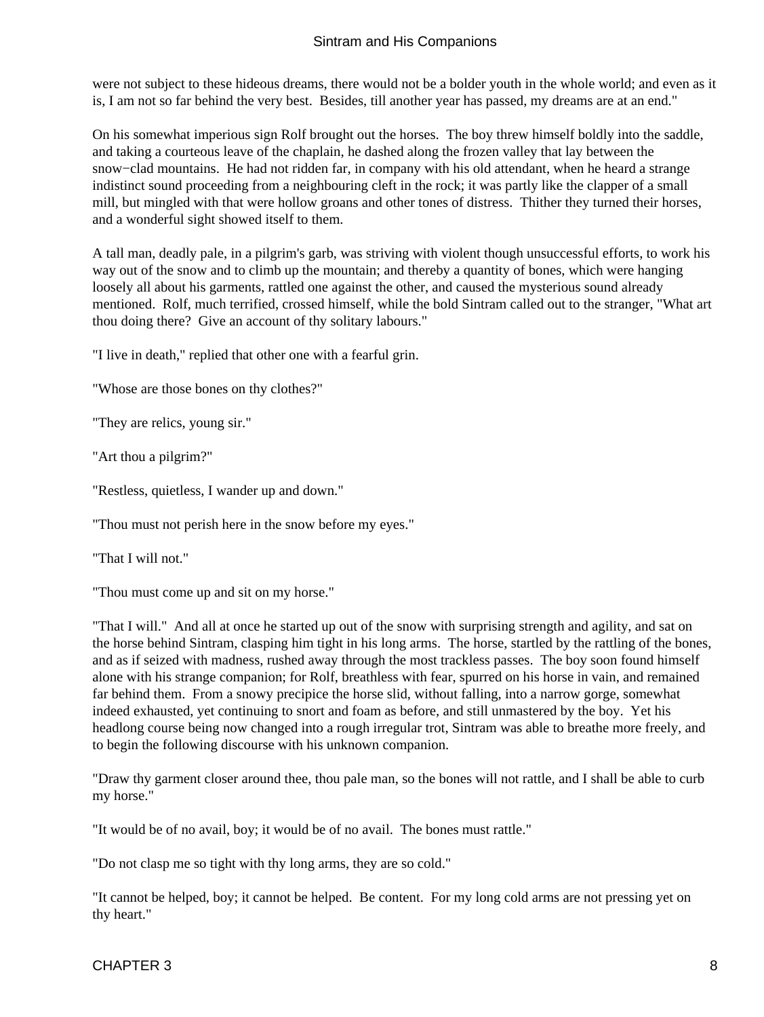were not subject to these hideous dreams, there would not be a bolder youth in the whole world; and even as it is, I am not so far behind the very best. Besides, till another year has passed, my dreams are at an end."

On his somewhat imperious sign Rolf brought out the horses. The boy threw himself boldly into the saddle, and taking a courteous leave of the chaplain, he dashed along the frozen valley that lay between the snow−clad mountains. He had not ridden far, in company with his old attendant, when he heard a strange indistinct sound proceeding from a neighbouring cleft in the rock; it was partly like the clapper of a small mill, but mingled with that were hollow groans and other tones of distress. Thither they turned their horses, and a wonderful sight showed itself to them.

A tall man, deadly pale, in a pilgrim's garb, was striving with violent though unsuccessful efforts, to work his way out of the snow and to climb up the mountain; and thereby a quantity of bones, which were hanging loosely all about his garments, rattled one against the other, and caused the mysterious sound already mentioned. Rolf, much terrified, crossed himself, while the bold Sintram called out to the stranger, "What art thou doing there? Give an account of thy solitary labours."

"I live in death," replied that other one with a fearful grin.

"Whose are those bones on thy clothes?"

"They are relics, young sir."

"Art thou a pilgrim?"

"Restless, quietless, I wander up and down."

"Thou must not perish here in the snow before my eyes."

"That I will not."

"Thou must come up and sit on my horse."

"That I will." And all at once he started up out of the snow with surprising strength and agility, and sat on the horse behind Sintram, clasping him tight in his long arms. The horse, startled by the rattling of the bones, and as if seized with madness, rushed away through the most trackless passes. The boy soon found himself alone with his strange companion; for Rolf, breathless with fear, spurred on his horse in vain, and remained far behind them. From a snowy precipice the horse slid, without falling, into a narrow gorge, somewhat indeed exhausted, yet continuing to snort and foam as before, and still unmastered by the boy. Yet his headlong course being now changed into a rough irregular trot, Sintram was able to breathe more freely, and to begin the following discourse with his unknown companion.

"Draw thy garment closer around thee, thou pale man, so the bones will not rattle, and I shall be able to curb my horse."

"It would be of no avail, boy; it would be of no avail. The bones must rattle."

"Do not clasp me so tight with thy long arms, they are so cold."

"It cannot be helped, boy; it cannot be helped. Be content. For my long cold arms are not pressing yet on thy heart."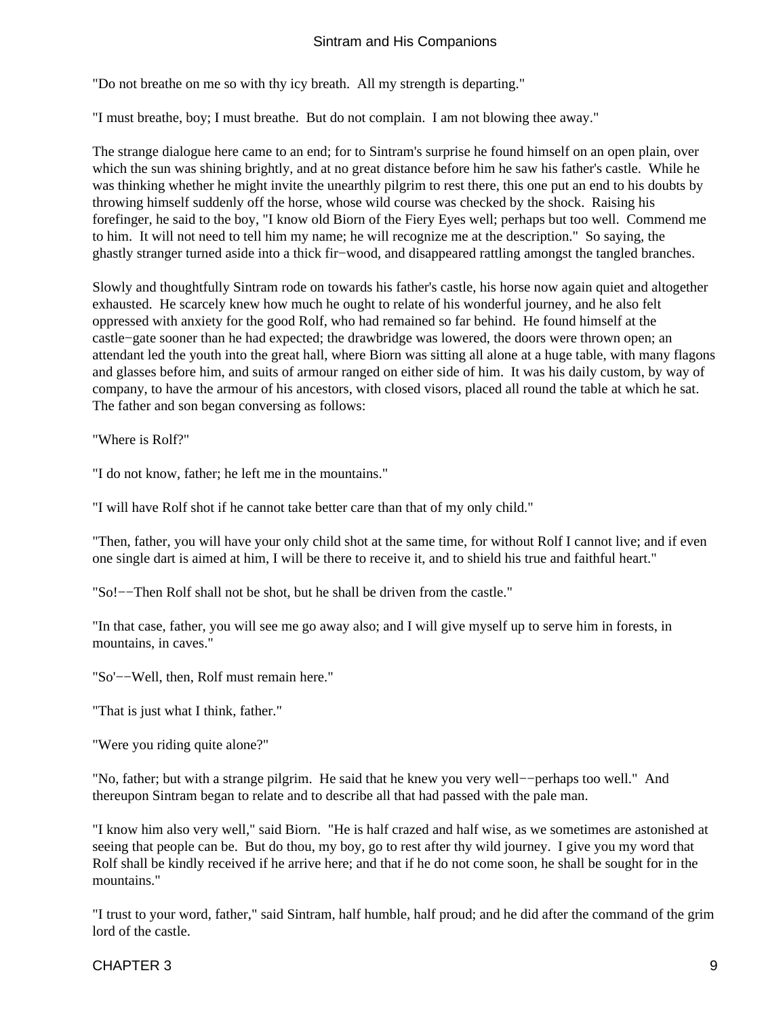"Do not breathe on me so with thy icy breath. All my strength is departing."

"I must breathe, boy; I must breathe. But do not complain. I am not blowing thee away."

The strange dialogue here came to an end; for to Sintram's surprise he found himself on an open plain, over which the sun was shining brightly, and at no great distance before him he saw his father's castle. While he was thinking whether he might invite the unearthly pilgrim to rest there, this one put an end to his doubts by throwing himself suddenly off the horse, whose wild course was checked by the shock. Raising his forefinger, he said to the boy, "I know old Biorn of the Fiery Eyes well; perhaps but too well. Commend me to him. It will not need to tell him my name; he will recognize me at the description." So saying, the ghastly stranger turned aside into a thick fir−wood, and disappeared rattling amongst the tangled branches.

Slowly and thoughtfully Sintram rode on towards his father's castle, his horse now again quiet and altogether exhausted. He scarcely knew how much he ought to relate of his wonderful journey, and he also felt oppressed with anxiety for the good Rolf, who had remained so far behind. He found himself at the castle−gate sooner than he had expected; the drawbridge was lowered, the doors were thrown open; an attendant led the youth into the great hall, where Biorn was sitting all alone at a huge table, with many flagons and glasses before him, and suits of armour ranged on either side of him. It was his daily custom, by way of company, to have the armour of his ancestors, with closed visors, placed all round the table at which he sat. The father and son began conversing as follows:

"Where is Rolf?"

"I do not know, father; he left me in the mountains."

"I will have Rolf shot if he cannot take better care than that of my only child."

"Then, father, you will have your only child shot at the same time, for without Rolf I cannot live; and if even one single dart is aimed at him, I will be there to receive it, and to shield his true and faithful heart."

"So!−−Then Rolf shall not be shot, but he shall be driven from the castle."

"In that case, father, you will see me go away also; and I will give myself up to serve him in forests, in mountains, in caves."

"So'−−Well, then, Rolf must remain here."

"That is just what I think, father."

"Were you riding quite alone?"

"No, father; but with a strange pilgrim. He said that he knew you very well−−perhaps too well." And thereupon Sintram began to relate and to describe all that had passed with the pale man.

"I know him also very well," said Biorn. "He is half crazed and half wise, as we sometimes are astonished at seeing that people can be. But do thou, my boy, go to rest after thy wild journey. I give you my word that Rolf shall be kindly received if he arrive here; and that if he do not come soon, he shall be sought for in the mountains."

"I trust to your word, father," said Sintram, half humble, half proud; and he did after the command of the grim lord of the castle.

#### CHAPTER 3 and 2008 and 2008 and 2008 and 2008 and 2008 and 2008 and 2008 and 2008 and 2008 and 2008 and 2008 a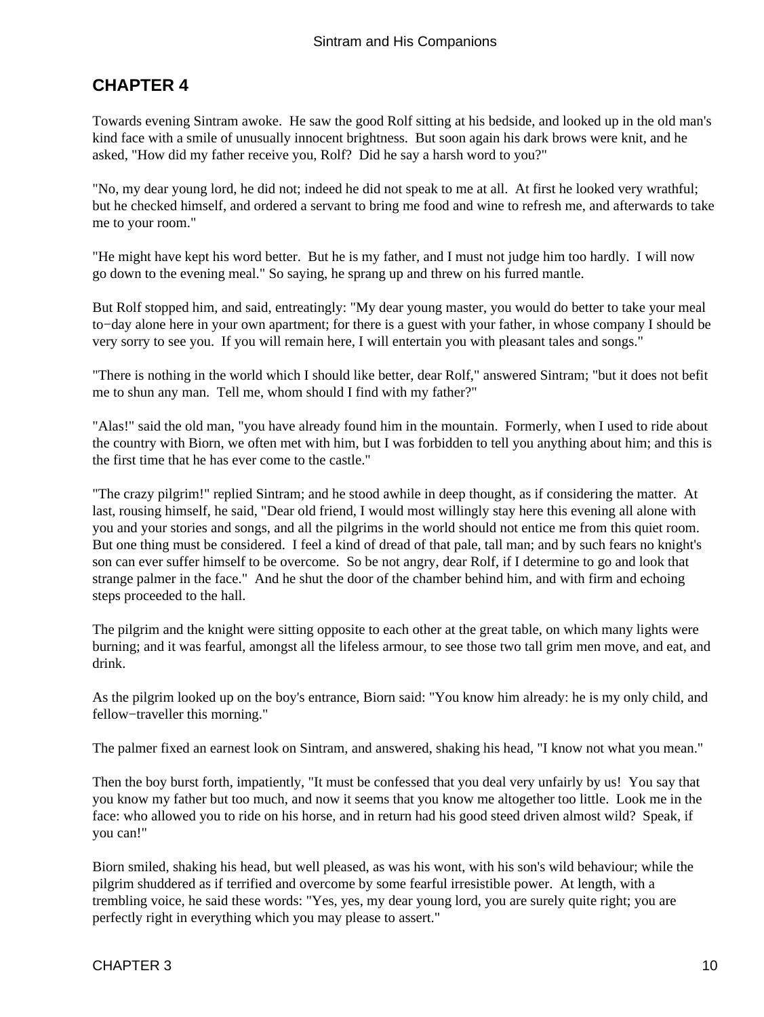### <span id="page-11-0"></span>**CHAPTER 4**

Towards evening Sintram awoke. He saw the good Rolf sitting at his bedside, and looked up in the old man's kind face with a smile of unusually innocent brightness. But soon again his dark brows were knit, and he asked, "How did my father receive you, Rolf? Did he say a harsh word to you?"

"No, my dear young lord, he did not; indeed he did not speak to me at all. At first he looked very wrathful; but he checked himself, and ordered a servant to bring me food and wine to refresh me, and afterwards to take me to your room."

"He might have kept his word better. But he is my father, and I must not judge him too hardly. I will now go down to the evening meal." So saying, he sprang up and threw on his furred mantle.

But Rolf stopped him, and said, entreatingly: "My dear young master, you would do better to take your meal to−day alone here in your own apartment; for there is a guest with your father, in whose company I should be very sorry to see you. If you will remain here, I will entertain you with pleasant tales and songs."

"There is nothing in the world which I should like better, dear Rolf," answered Sintram; "but it does not befit me to shun any man. Tell me, whom should I find with my father?"

"Alas!" said the old man, "you have already found him in the mountain. Formerly, when I used to ride about the country with Biorn, we often met with him, but I was forbidden to tell you anything about him; and this is the first time that he has ever come to the castle."

"The crazy pilgrim!" replied Sintram; and he stood awhile in deep thought, as if considering the matter. At last, rousing himself, he said, "Dear old friend, I would most willingly stay here this evening all alone with you and your stories and songs, and all the pilgrims in the world should not entice me from this quiet room. But one thing must be considered. I feel a kind of dread of that pale, tall man; and by such fears no knight's son can ever suffer himself to be overcome. So be not angry, dear Rolf, if I determine to go and look that strange palmer in the face." And he shut the door of the chamber behind him, and with firm and echoing steps proceeded to the hall.

The pilgrim and the knight were sitting opposite to each other at the great table, on which many lights were burning; and it was fearful, amongst all the lifeless armour, to see those two tall grim men move, and eat, and drink.

As the pilgrim looked up on the boy's entrance, Biorn said: "You know him already: he is my only child, and fellow−traveller this morning."

The palmer fixed an earnest look on Sintram, and answered, shaking his head, "I know not what you mean."

Then the boy burst forth, impatiently, "It must be confessed that you deal very unfairly by us! You say that you know my father but too much, and now it seems that you know me altogether too little. Look me in the face: who allowed you to ride on his horse, and in return had his good steed driven almost wild? Speak, if you can!"

Biorn smiled, shaking his head, but well pleased, as was his wont, with his son's wild behaviour; while the pilgrim shuddered as if terrified and overcome by some fearful irresistible power. At length, with a trembling voice, he said these words: "Yes, yes, my dear young lord, you are surely quite right; you are perfectly right in everything which you may please to assert."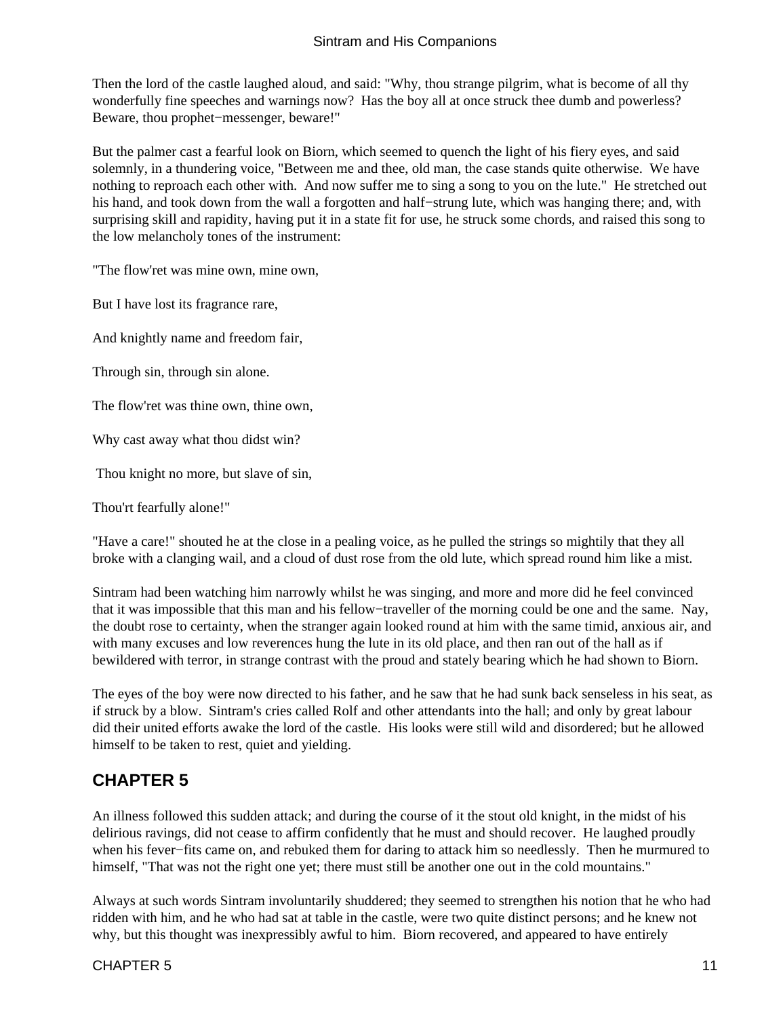<span id="page-12-0"></span>Then the lord of the castle laughed aloud, and said: "Why, thou strange pilgrim, what is become of all thy wonderfully fine speeches and warnings now? Has the boy all at once struck thee dumb and powerless? Beware, thou prophet−messenger, beware!"

But the palmer cast a fearful look on Biorn, which seemed to quench the light of his fiery eyes, and said solemnly, in a thundering voice, "Between me and thee, old man, the case stands quite otherwise. We have nothing to reproach each other with. And now suffer me to sing a song to you on the lute." He stretched out his hand, and took down from the wall a forgotten and half−strung lute, which was hanging there; and, with surprising skill and rapidity, having put it in a state fit for use, he struck some chords, and raised this song to the low melancholy tones of the instrument:

"The flow'ret was mine own, mine own,

But I have lost its fragrance rare,

And knightly name and freedom fair,

Through sin, through sin alone.

The flow'ret was thine own, thine own,

Why cast away what thou didst win?

Thou knight no more, but slave of sin,

Thou'rt fearfully alone!"

"Have a care!" shouted he at the close in a pealing voice, as he pulled the strings so mightily that they all broke with a clanging wail, and a cloud of dust rose from the old lute, which spread round him like a mist.

Sintram had been watching him narrowly whilst he was singing, and more and more did he feel convinced that it was impossible that this man and his fellow−traveller of the morning could be one and the same. Nay, the doubt rose to certainty, when the stranger again looked round at him with the same timid, anxious air, and with many excuses and low reverences hung the lute in its old place, and then ran out of the hall as if bewildered with terror, in strange contrast with the proud and stately bearing which he had shown to Biorn.

The eyes of the boy were now directed to his father, and he saw that he had sunk back senseless in his seat, as if struck by a blow. Sintram's cries called Rolf and other attendants into the hall; and only by great labour did their united efforts awake the lord of the castle. His looks were still wild and disordered; but he allowed himself to be taken to rest, quiet and yielding.

### **CHAPTER 5**

An illness followed this sudden attack; and during the course of it the stout old knight, in the midst of his delirious ravings, did not cease to affirm confidently that he must and should recover. He laughed proudly when his fever−fits came on, and rebuked them for daring to attack him so needlessly. Then he murmured to himself, "That was not the right one yet; there must still be another one out in the cold mountains."

Always at such words Sintram involuntarily shuddered; they seemed to strengthen his notion that he who had ridden with him, and he who had sat at table in the castle, were two quite distinct persons; and he knew not why, but this thought was inexpressibly awful to him. Biorn recovered, and appeared to have entirely

#### $CHAPTER 5$  11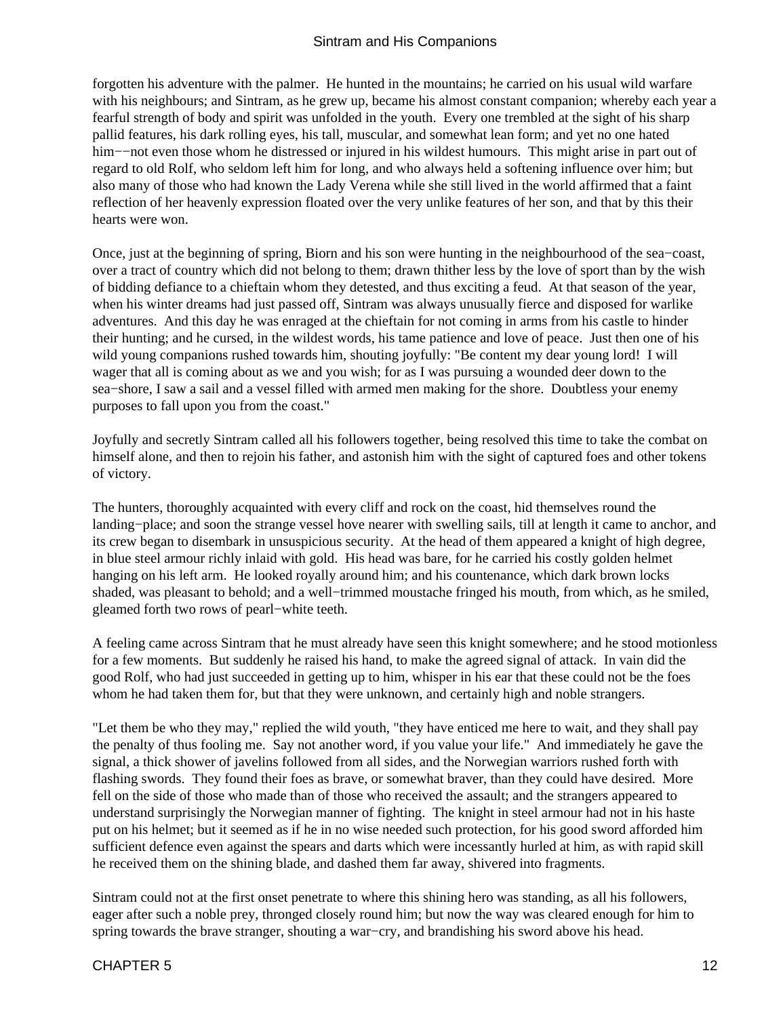forgotten his adventure with the palmer. He hunted in the mountains; he carried on his usual wild warfare with his neighbours; and Sintram, as he grew up, became his almost constant companion; whereby each year a fearful strength of body and spirit was unfolded in the youth. Every one trembled at the sight of his sharp pallid features, his dark rolling eyes, his tall, muscular, and somewhat lean form; and yet no one hated him−−not even those whom he distressed or injured in his wildest humours. This might arise in part out of regard to old Rolf, who seldom left him for long, and who always held a softening influence over him; but also many of those who had known the Lady Verena while she still lived in the world affirmed that a faint reflection of her heavenly expression floated over the very unlike features of her son, and that by this their hearts were won.

Once, just at the beginning of spring, Biorn and his son were hunting in the neighbourhood of the sea−coast, over a tract of country which did not belong to them; drawn thither less by the love of sport than by the wish of bidding defiance to a chieftain whom they detested, and thus exciting a feud. At that season of the year, when his winter dreams had just passed off, Sintram was always unusually fierce and disposed for warlike adventures. And this day he was enraged at the chieftain for not coming in arms from his castle to hinder their hunting; and he cursed, in the wildest words, his tame patience and love of peace. Just then one of his wild young companions rushed towards him, shouting joyfully: "Be content my dear young lord! I will wager that all is coming about as we and you wish; for as I was pursuing a wounded deer down to the sea−shore, I saw a sail and a vessel filled with armed men making for the shore. Doubtless your enemy purposes to fall upon you from the coast."

Joyfully and secretly Sintram called all his followers together, being resolved this time to take the combat on himself alone, and then to rejoin his father, and astonish him with the sight of captured foes and other tokens of victory.

The hunters, thoroughly acquainted with every cliff and rock on the coast, hid themselves round the landing−place; and soon the strange vessel hove nearer with swelling sails, till at length it came to anchor, and its crew began to disembark in unsuspicious security. At the head of them appeared a knight of high degree, in blue steel armour richly inlaid with gold. His head was bare, for he carried his costly golden helmet hanging on his left arm. He looked royally around him; and his countenance, which dark brown locks shaded, was pleasant to behold; and a well−trimmed moustache fringed his mouth, from which, as he smiled, gleamed forth two rows of pearl−white teeth.

A feeling came across Sintram that he must already have seen this knight somewhere; and he stood motionless for a few moments. But suddenly he raised his hand, to make the agreed signal of attack. In vain did the good Rolf, who had just succeeded in getting up to him, whisper in his ear that these could not be the foes whom he had taken them for, but that they were unknown, and certainly high and noble strangers.

"Let them be who they may," replied the wild youth, "they have enticed me here to wait, and they shall pay the penalty of thus fooling me. Say not another word, if you value your life." And immediately he gave the signal, a thick shower of javelins followed from all sides, and the Norwegian warriors rushed forth with flashing swords. They found their foes as brave, or somewhat braver, than they could have desired. More fell on the side of those who made than of those who received the assault; and the strangers appeared to understand surprisingly the Norwegian manner of fighting. The knight in steel armour had not in his haste put on his helmet; but it seemed as if he in no wise needed such protection, for his good sword afforded him sufficient defence even against the spears and darts which were incessantly hurled at him, as with rapid skill he received them on the shining blade, and dashed them far away, shivered into fragments.

Sintram could not at the first onset penetrate to where this shining hero was standing, as all his followers, eager after such a noble prey, thronged closely round him; but now the way was cleared enough for him to spring towards the brave stranger, shouting a war–cry, and brandishing his sword above his head.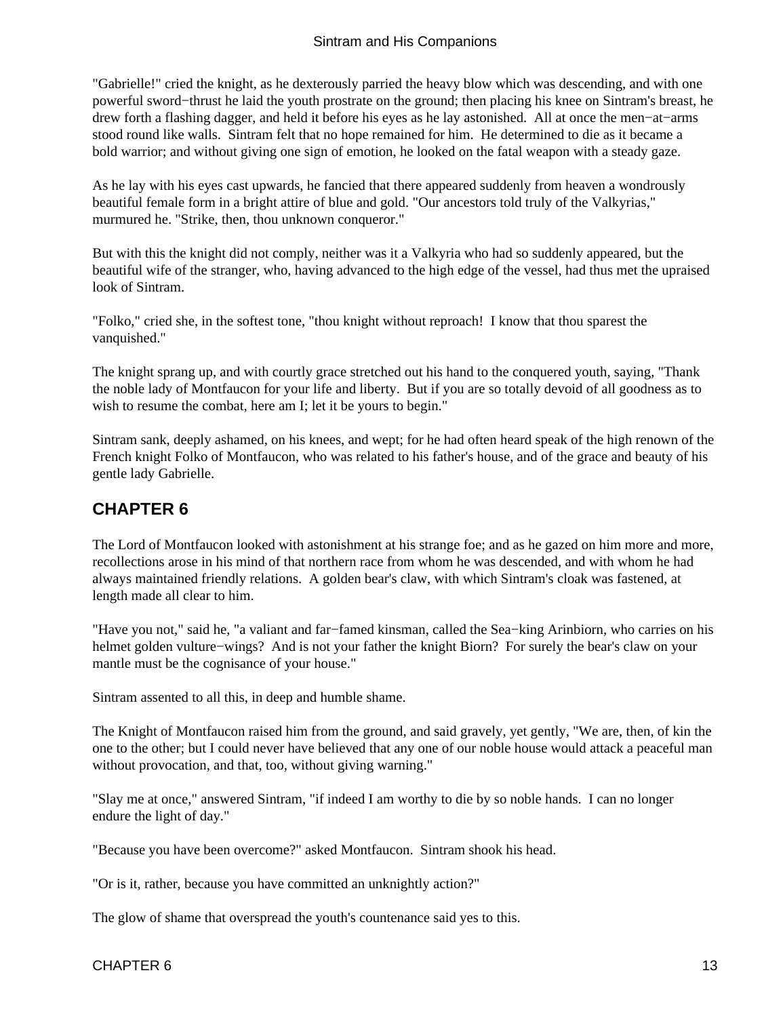<span id="page-14-0"></span>"Gabrielle!" cried the knight, as he dexterously parried the heavy blow which was descending, and with one powerful sword−thrust he laid the youth prostrate on the ground; then placing his knee on Sintram's breast, he drew forth a flashing dagger, and held it before his eyes as he lay astonished. All at once the men−at−arms stood round like walls. Sintram felt that no hope remained for him. He determined to die as it became a bold warrior; and without giving one sign of emotion, he looked on the fatal weapon with a steady gaze.

As he lay with his eyes cast upwards, he fancied that there appeared suddenly from heaven a wondrously beautiful female form in a bright attire of blue and gold. "Our ancestors told truly of the Valkyrias," murmured he. "Strike, then, thou unknown conqueror."

But with this the knight did not comply, neither was it a Valkyria who had so suddenly appeared, but the beautiful wife of the stranger, who, having advanced to the high edge of the vessel, had thus met the upraised look of Sintram.

"Folko," cried she, in the softest tone, "thou knight without reproach! I know that thou sparest the vanquished."

The knight sprang up, and with courtly grace stretched out his hand to the conquered youth, saying, "Thank the noble lady of Montfaucon for your life and liberty. But if you are so totally devoid of all goodness as to wish to resume the combat, here am I; let it be yours to begin."

Sintram sank, deeply ashamed, on his knees, and wept; for he had often heard speak of the high renown of the French knight Folko of Montfaucon, who was related to his father's house, and of the grace and beauty of his gentle lady Gabrielle.

### **CHAPTER 6**

The Lord of Montfaucon looked with astonishment at his strange foe; and as he gazed on him more and more, recollections arose in his mind of that northern race from whom he was descended, and with whom he had always maintained friendly relations. A golden bear's claw, with which Sintram's cloak was fastened, at length made all clear to him.

"Have you not," said he, "a valiant and far−famed kinsman, called the Sea−king Arinbiorn, who carries on his helmet golden vulture−wings? And is not your father the knight Biorn? For surely the bear's claw on your mantle must be the cognisance of your house."

Sintram assented to all this, in deep and humble shame.

The Knight of Montfaucon raised him from the ground, and said gravely, yet gently, "We are, then, of kin the one to the other; but I could never have believed that any one of our noble house would attack a peaceful man without provocation, and that, too, without giving warning."

"Slay me at once," answered Sintram, "if indeed I am worthy to die by so noble hands. I can no longer endure the light of day."

"Because you have been overcome?" asked Montfaucon. Sintram shook his head.

"Or is it, rather, because you have committed an unknightly action?"

The glow of shame that overspread the youth's countenance said yes to this.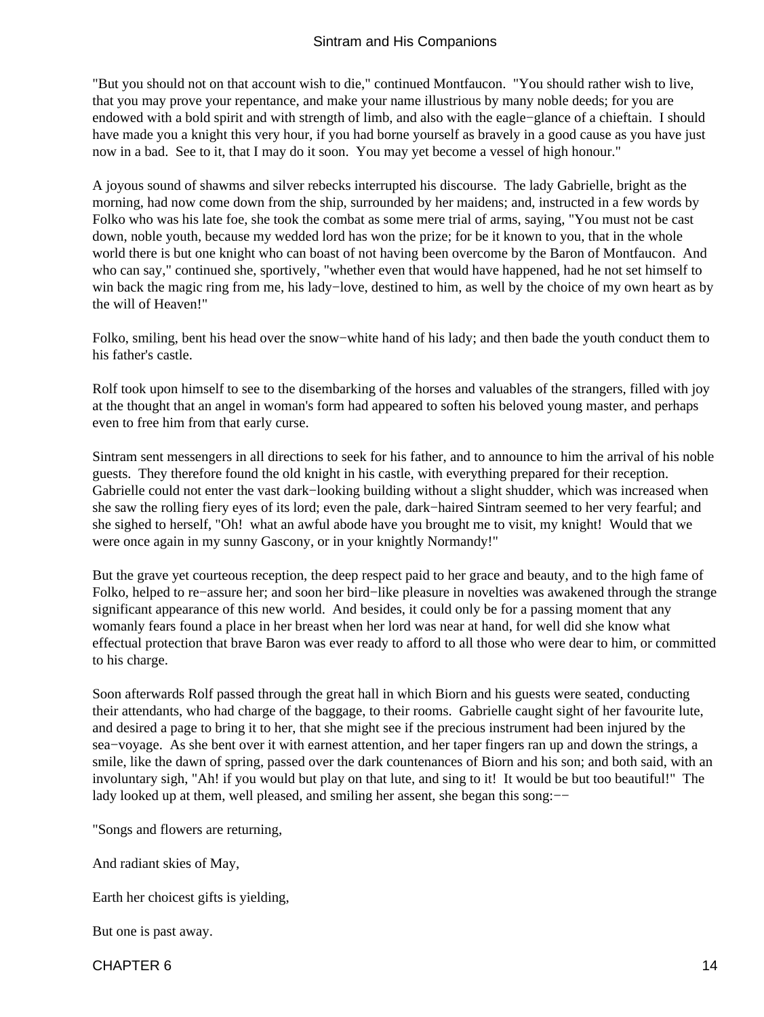"But you should not on that account wish to die," continued Montfaucon. "You should rather wish to live, that you may prove your repentance, and make your name illustrious by many noble deeds; for you are endowed with a bold spirit and with strength of limb, and also with the eagle−glance of a chieftain. I should have made you a knight this very hour, if you had borne yourself as bravely in a good cause as you have just now in a bad. See to it, that I may do it soon. You may yet become a vessel of high honour."

A joyous sound of shawms and silver rebecks interrupted his discourse. The lady Gabrielle, bright as the morning, had now come down from the ship, surrounded by her maidens; and, instructed in a few words by Folko who was his late foe, she took the combat as some mere trial of arms, saying, "You must not be cast down, noble youth, because my wedded lord has won the prize; for be it known to you, that in the whole world there is but one knight who can boast of not having been overcome by the Baron of Montfaucon. And who can say," continued she, sportively, "whether even that would have happened, had he not set himself to win back the magic ring from me, his lady−love, destined to him, as well by the choice of my own heart as by the will of Heaven!"

Folko, smiling, bent his head over the snow−white hand of his lady; and then bade the youth conduct them to his father's castle.

Rolf took upon himself to see to the disembarking of the horses and valuables of the strangers, filled with joy at the thought that an angel in woman's form had appeared to soften his beloved young master, and perhaps even to free him from that early curse.

Sintram sent messengers in all directions to seek for his father, and to announce to him the arrival of his noble guests. They therefore found the old knight in his castle, with everything prepared for their reception. Gabrielle could not enter the vast dark−looking building without a slight shudder, which was increased when she saw the rolling fiery eyes of its lord; even the pale, dark−haired Sintram seemed to her very fearful; and she sighed to herself, "Oh! what an awful abode have you brought me to visit, my knight! Would that we were once again in my sunny Gascony, or in your knightly Normandy!"

But the grave yet courteous reception, the deep respect paid to her grace and beauty, and to the high fame of Folko, helped to re−assure her; and soon her bird−like pleasure in novelties was awakened through the strange significant appearance of this new world. And besides, it could only be for a passing moment that any womanly fears found a place in her breast when her lord was near at hand, for well did she know what effectual protection that brave Baron was ever ready to afford to all those who were dear to him, or committed to his charge.

Soon afterwards Rolf passed through the great hall in which Biorn and his guests were seated, conducting their attendants, who had charge of the baggage, to their rooms. Gabrielle caught sight of her favourite lute, and desired a page to bring it to her, that she might see if the precious instrument had been injured by the sea−voyage. As she bent over it with earnest attention, and her taper fingers ran up and down the strings, a smile, like the dawn of spring, passed over the dark countenances of Biorn and his son; and both said, with an involuntary sigh, "Ah! if you would but play on that lute, and sing to it! It would be but too beautiful!" The lady looked up at them, well pleased, and smiling her assent, she began this song:−−

"Songs and flowers are returning,

And radiant skies of May,

Earth her choicest gifts is yielding,

But one is past away.

 $CHAPTER 6$  and  $14$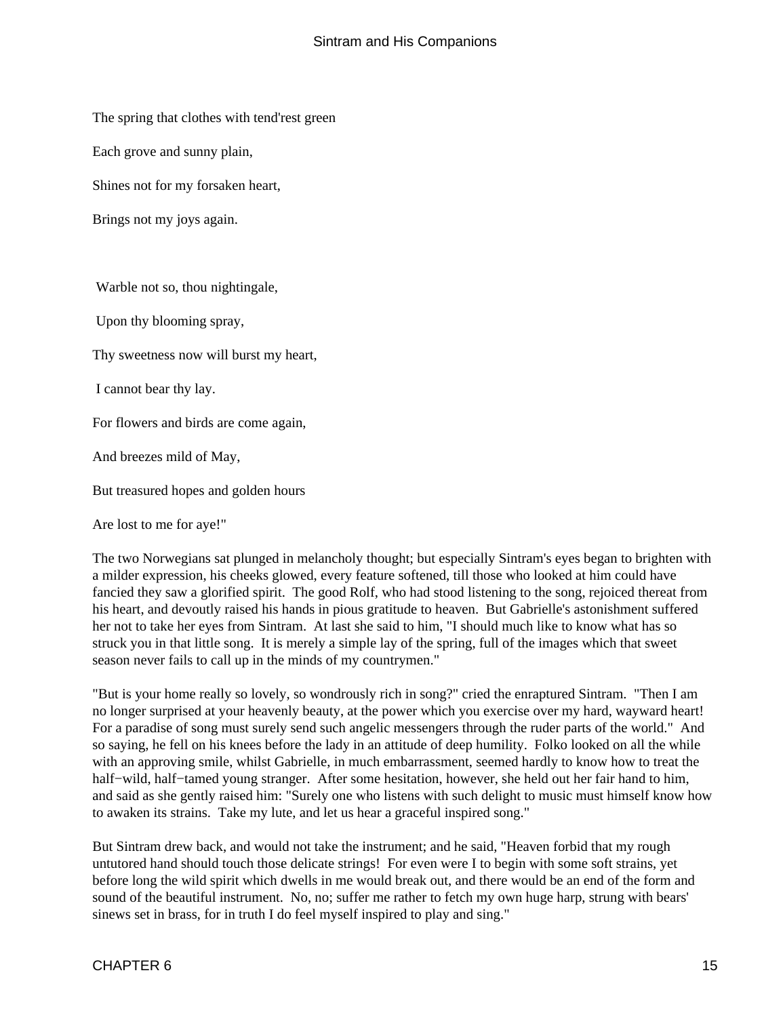The spring that clothes with tend'rest green

Each grove and sunny plain,

Shines not for my forsaken heart,

Brings not my joys again.

Warble not so, thou nightingale,

Upon thy blooming spray,

Thy sweetness now will burst my heart,

I cannot bear thy lay.

For flowers and birds are come again,

And breezes mild of May,

But treasured hopes and golden hours

Are lost to me for aye!"

The two Norwegians sat plunged in melancholy thought; but especially Sintram's eyes began to brighten with a milder expression, his cheeks glowed, every feature softened, till those who looked at him could have fancied they saw a glorified spirit. The good Rolf, who had stood listening to the song, rejoiced thereat from his heart, and devoutly raised his hands in pious gratitude to heaven. But Gabrielle's astonishment suffered her not to take her eyes from Sintram. At last she said to him, "I should much like to know what has so struck you in that little song. It is merely a simple lay of the spring, full of the images which that sweet season never fails to call up in the minds of my countrymen."

"But is your home really so lovely, so wondrously rich in song?" cried the enraptured Sintram. "Then I am no longer surprised at your heavenly beauty, at the power which you exercise over my hard, wayward heart! For a paradise of song must surely send such angelic messengers through the ruder parts of the world." And so saying, he fell on his knees before the lady in an attitude of deep humility. Folko looked on all the while with an approving smile, whilst Gabrielle, in much embarrassment, seemed hardly to know how to treat the half−wild, half−tamed young stranger. After some hesitation, however, she held out her fair hand to him, and said as she gently raised him: "Surely one who listens with such delight to music must himself know how to awaken its strains. Take my lute, and let us hear a graceful inspired song."

But Sintram drew back, and would not take the instrument; and he said, "Heaven forbid that my rough untutored hand should touch those delicate strings! For even were I to begin with some soft strains, yet before long the wild spirit which dwells in me would break out, and there would be an end of the form and sound of the beautiful instrument. No, no; suffer me rather to fetch my own huge harp, strung with bears' sinews set in brass, for in truth I do feel myself inspired to play and sing."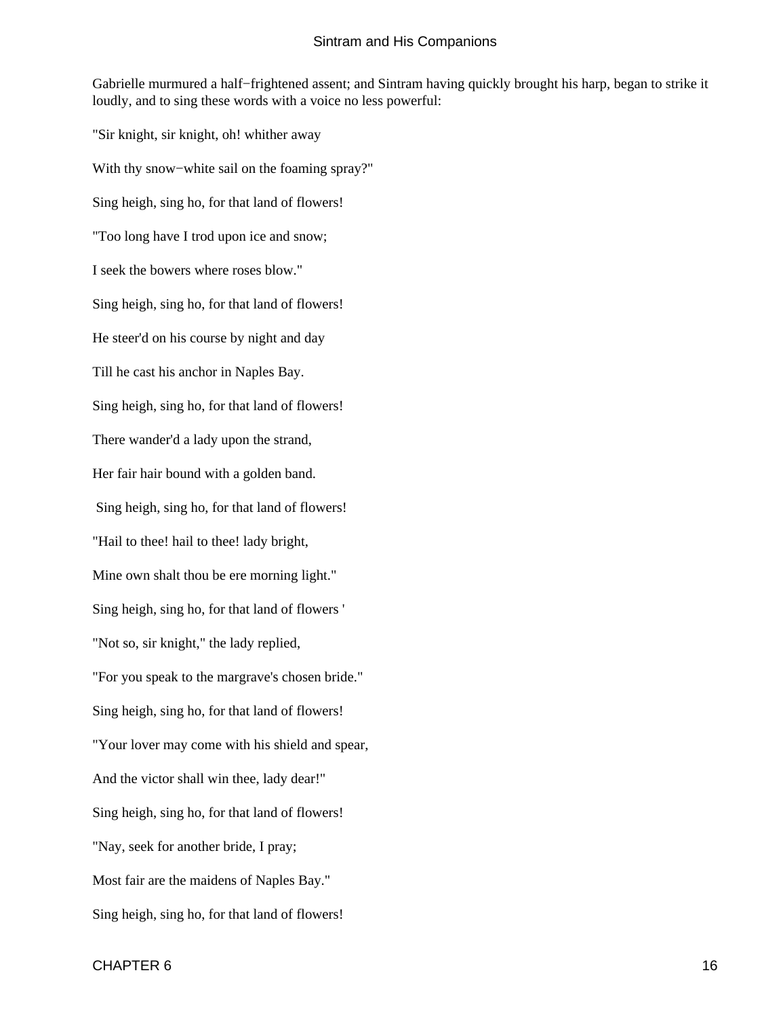Gabrielle murmured a half−frightened assent; and Sintram having quickly brought his harp, began to strike it loudly, and to sing these words with a voice no less powerful:

"Sir knight, sir knight, oh! whither away With thy snow−white sail on the foaming spray?" Sing heigh, sing ho, for that land of flowers! "Too long have I trod upon ice and snow; I seek the bowers where roses blow." Sing heigh, sing ho, for that land of flowers! He steer'd on his course by night and day Till he cast his anchor in Naples Bay. Sing heigh, sing ho, for that land of flowers! There wander'd a lady upon the strand, Her fair hair bound with a golden band. Sing heigh, sing ho, for that land of flowers! "Hail to thee! hail to thee! lady bright, Mine own shalt thou be ere morning light." Sing heigh, sing ho, for that land of flowers ' "Not so, sir knight," the lady replied, "For you speak to the margrave's chosen bride." Sing heigh, sing ho, for that land of flowers! "Your lover may come with his shield and spear, And the victor shall win thee, lady dear!" Sing heigh, sing ho, for that land of flowers! "Nay, seek for another bride, I pray; Most fair are the maidens of Naples Bay." Sing heigh, sing ho, for that land of flowers!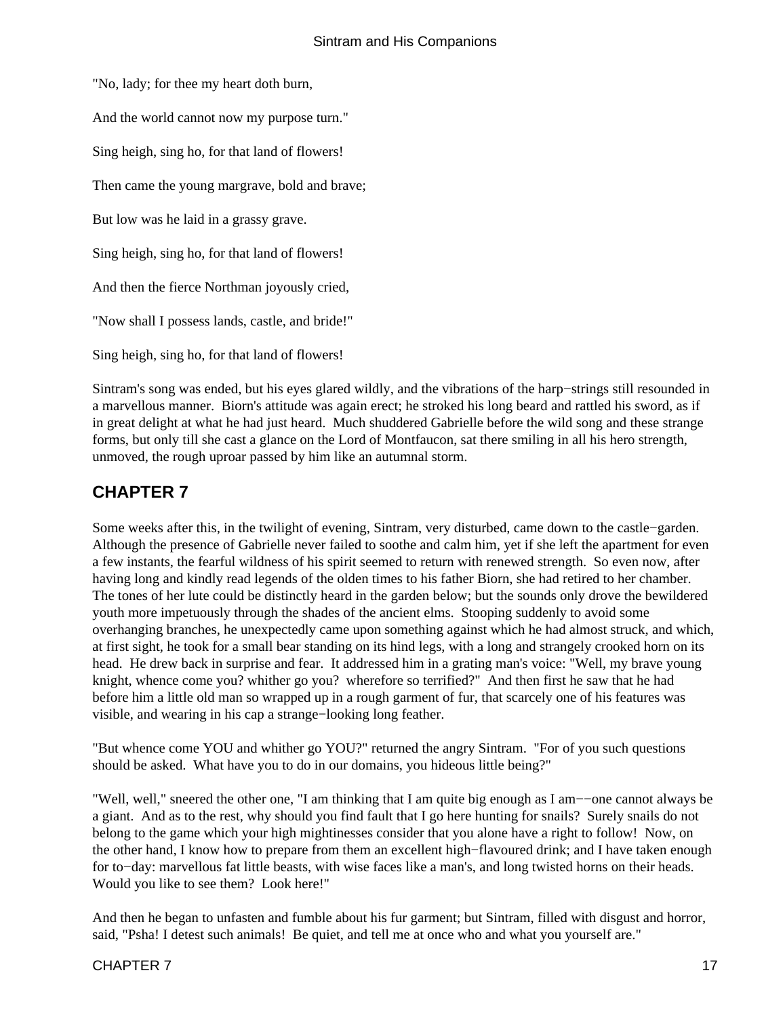<span id="page-18-0"></span>"No, lady; for thee my heart doth burn, And the world cannot now my purpose turn." Sing heigh, sing ho, for that land of flowers! Then came the young margrave, bold and brave; But low was he laid in a grassy grave. Sing heigh, sing ho, for that land of flowers! And then the fierce Northman joyously cried, "Now shall I possess lands, castle, and bride!" Sing heigh, sing ho, for that land of flowers!

Sintram's song was ended, but his eyes glared wildly, and the vibrations of the harp−strings still resounded in a marvellous manner. Biorn's attitude was again erect; he stroked his long beard and rattled his sword, as if in great delight at what he had just heard. Much shuddered Gabrielle before the wild song and these strange forms, but only till she cast a glance on the Lord of Montfaucon, sat there smiling in all his hero strength, unmoved, the rough uproar passed by him like an autumnal storm.

### **CHAPTER 7**

Some weeks after this, in the twilight of evening, Sintram, very disturbed, came down to the castle−garden. Although the presence of Gabrielle never failed to soothe and calm him, yet if she left the apartment for even a few instants, the fearful wildness of his spirit seemed to return with renewed strength. So even now, after having long and kindly read legends of the olden times to his father Biorn, she had retired to her chamber. The tones of her lute could be distinctly heard in the garden below; but the sounds only drove the bewildered youth more impetuously through the shades of the ancient elms. Stooping suddenly to avoid some overhanging branches, he unexpectedly came upon something against which he had almost struck, and which, at first sight, he took for a small bear standing on its hind legs, with a long and strangely crooked horn on its head. He drew back in surprise and fear. It addressed him in a grating man's voice: "Well, my brave young knight, whence come you? whither go you? wherefore so terrified?" And then first he saw that he had before him a little old man so wrapped up in a rough garment of fur, that scarcely one of his features was visible, and wearing in his cap a strange−looking long feather.

"But whence come YOU and whither go YOU?" returned the angry Sintram. "For of you such questions should be asked. What have you to do in our domains, you hideous little being?"

"Well, well," sneered the other one, "I am thinking that I am quite big enough as I am−−one cannot always be a giant. And as to the rest, why should you find fault that I go here hunting for snails? Surely snails do not belong to the game which your high mightinesses consider that you alone have a right to follow! Now, on the other hand, I know how to prepare from them an excellent high−flavoured drink; and I have taken enough for to−day: marvellous fat little beasts, with wise faces like a man's, and long twisted horns on their heads. Would you like to see them? Look here!"

And then he began to unfasten and fumble about his fur garment; but Sintram, filled with disgust and horror, said, "Psha! I detest such animals! Be quiet, and tell me at once who and what you yourself are."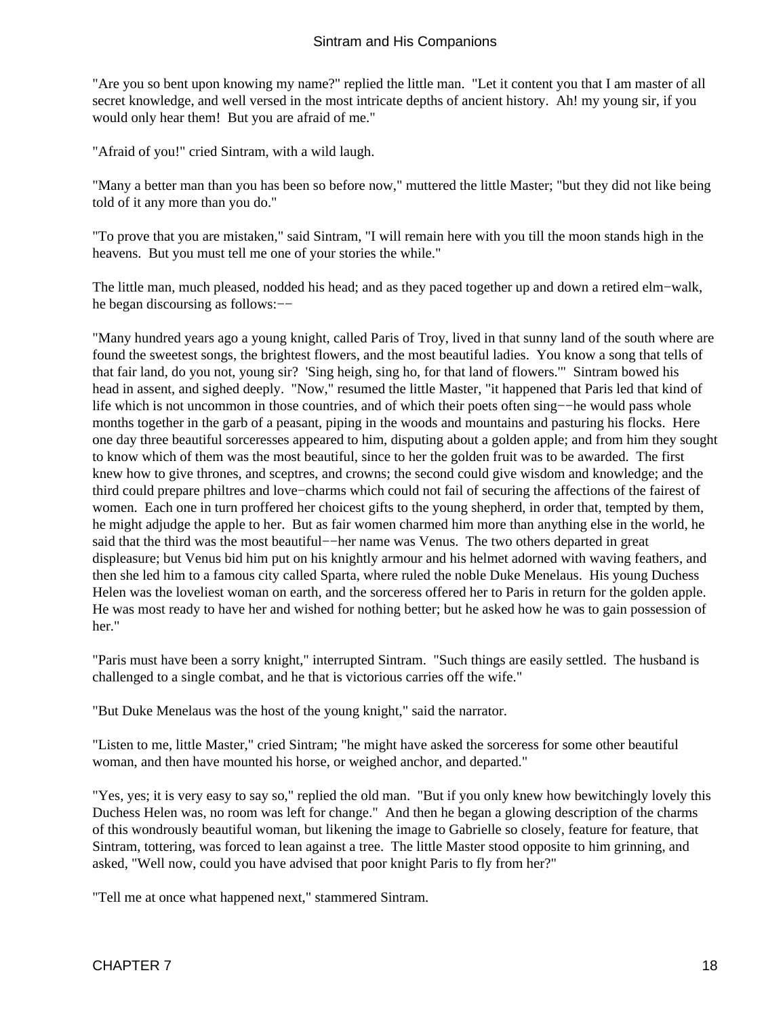"Are you so bent upon knowing my name?" replied the little man. "Let it content you that I am master of all secret knowledge, and well versed in the most intricate depths of ancient history. Ah! my young sir, if you would only hear them! But you are afraid of me."

"Afraid of you!" cried Sintram, with a wild laugh.

"Many a better man than you has been so before now," muttered the little Master; "but they did not like being told of it any more than you do."

"To prove that you are mistaken," said Sintram, "I will remain here with you till the moon stands high in the heavens. But you must tell me one of your stories the while."

The little man, much pleased, nodded his head; and as they paced together up and down a retired elm−walk, he began discoursing as follows:−−

"Many hundred years ago a young knight, called Paris of Troy, lived in that sunny land of the south where are found the sweetest songs, the brightest flowers, and the most beautiful ladies. You know a song that tells of that fair land, do you not, young sir? 'Sing heigh, sing ho, for that land of flowers.'" Sintram bowed his head in assent, and sighed deeply. "Now," resumed the little Master, "it happened that Paris led that kind of life which is not uncommon in those countries, and of which their poets often sing−−he would pass whole months together in the garb of a peasant, piping in the woods and mountains and pasturing his flocks. Here one day three beautiful sorceresses appeared to him, disputing about a golden apple; and from him they sought to know which of them was the most beautiful, since to her the golden fruit was to be awarded. The first knew how to give thrones, and sceptres, and crowns; the second could give wisdom and knowledge; and the third could prepare philtres and love−charms which could not fail of securing the affections of the fairest of women. Each one in turn proffered her choicest gifts to the young shepherd, in order that, tempted by them, he might adjudge the apple to her. But as fair women charmed him more than anything else in the world, he said that the third was the most beautiful–−her name was Venus. The two others departed in great displeasure; but Venus bid him put on his knightly armour and his helmet adorned with waving feathers, and then she led him to a famous city called Sparta, where ruled the noble Duke Menelaus. His young Duchess Helen was the loveliest woman on earth, and the sorceress offered her to Paris in return for the golden apple. He was most ready to have her and wished for nothing better; but he asked how he was to gain possession of her."

"Paris must have been a sorry knight," interrupted Sintram. "Such things are easily settled. The husband is challenged to a single combat, and he that is victorious carries off the wife."

"But Duke Menelaus was the host of the young knight," said the narrator.

"Listen to me, little Master," cried Sintram; "he might have asked the sorceress for some other beautiful woman, and then have mounted his horse, or weighed anchor, and departed."

"Yes, yes; it is very easy to say so," replied the old man. "But if you only knew how bewitchingly lovely this Duchess Helen was, no room was left for change." And then he began a glowing description of the charms of this wondrously beautiful woman, but likening the image to Gabrielle so closely, feature for feature, that Sintram, tottering, was forced to lean against a tree. The little Master stood opposite to him grinning, and asked, "Well now, could you have advised that poor knight Paris to fly from her?"

"Tell me at once what happened next," stammered Sintram.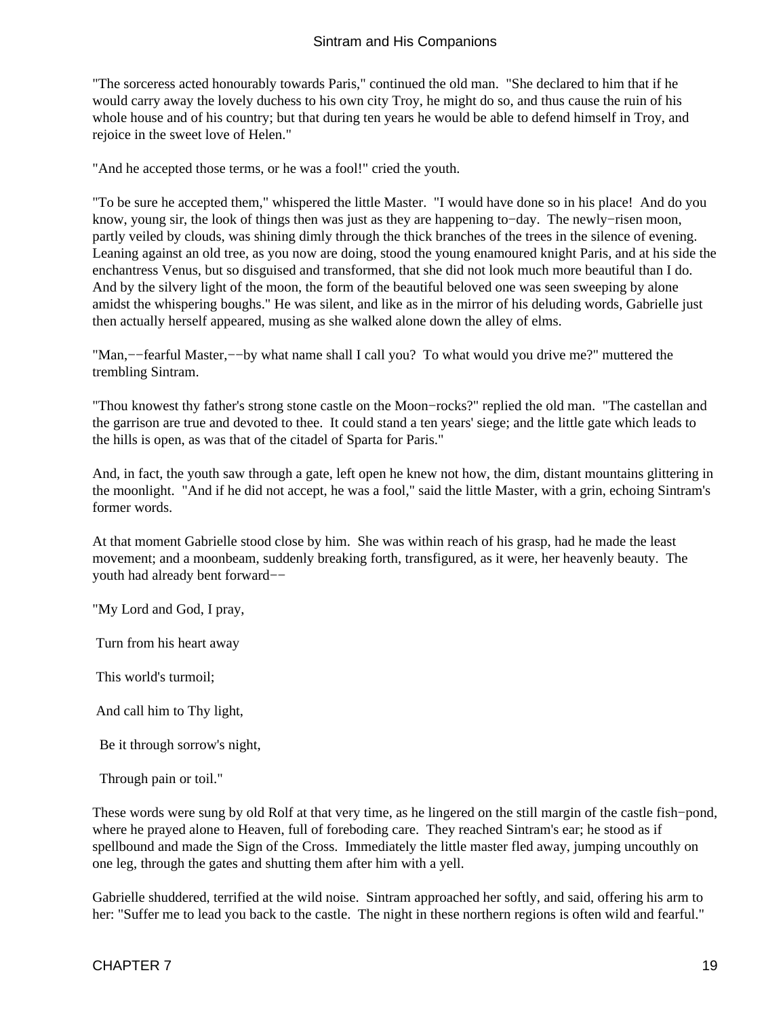"The sorceress acted honourably towards Paris," continued the old man. "She declared to him that if he would carry away the lovely duchess to his own city Troy, he might do so, and thus cause the ruin of his whole house and of his country; but that during ten years he would be able to defend himself in Troy, and rejoice in the sweet love of Helen."

"And he accepted those terms, or he was a fool!" cried the youth.

"To be sure he accepted them," whispered the little Master. "I would have done so in his place! And do you know, young sir, the look of things then was just as they are happening to−day. The newly−risen moon, partly veiled by clouds, was shining dimly through the thick branches of the trees in the silence of evening. Leaning against an old tree, as you now are doing, stood the young enamoured knight Paris, and at his side the enchantress Venus, but so disguised and transformed, that she did not look much more beautiful than I do. And by the silvery light of the moon, the form of the beautiful beloved one was seen sweeping by alone amidst the whispering boughs." He was silent, and like as in the mirror of his deluding words, Gabrielle just then actually herself appeared, musing as she walked alone down the alley of elms.

"Man,−−fearful Master,−−by what name shall I call you? To what would you drive me?" muttered the trembling Sintram.

"Thou knowest thy father's strong stone castle on the Moon−rocks?" replied the old man. "The castellan and the garrison are true and devoted to thee. It could stand a ten years' siege; and the little gate which leads to the hills is open, as was that of the citadel of Sparta for Paris."

And, in fact, the youth saw through a gate, left open he knew not how, the dim, distant mountains glittering in the moonlight. "And if he did not accept, he was a fool," said the little Master, with a grin, echoing Sintram's former words.

At that moment Gabrielle stood close by him. She was within reach of his grasp, had he made the least movement; and a moonbeam, suddenly breaking forth, transfigured, as it were, her heavenly beauty. The youth had already bent forward−−

"My Lord and God, I pray,

Turn from his heart away

This world's turmoil;

And call him to Thy light,

Be it through sorrow's night,

Through pain or toil."

These words were sung by old Rolf at that very time, as he lingered on the still margin of the castle fish–pond, where he prayed alone to Heaven, full of foreboding care. They reached Sintram's ear; he stood as if spellbound and made the Sign of the Cross. Immediately the little master fled away, jumping uncouthly on one leg, through the gates and shutting them after him with a yell.

Gabrielle shuddered, terrified at the wild noise. Sintram approached her softly, and said, offering his arm to her: "Suffer me to lead you back to the castle. The night in these northern regions is often wild and fearful."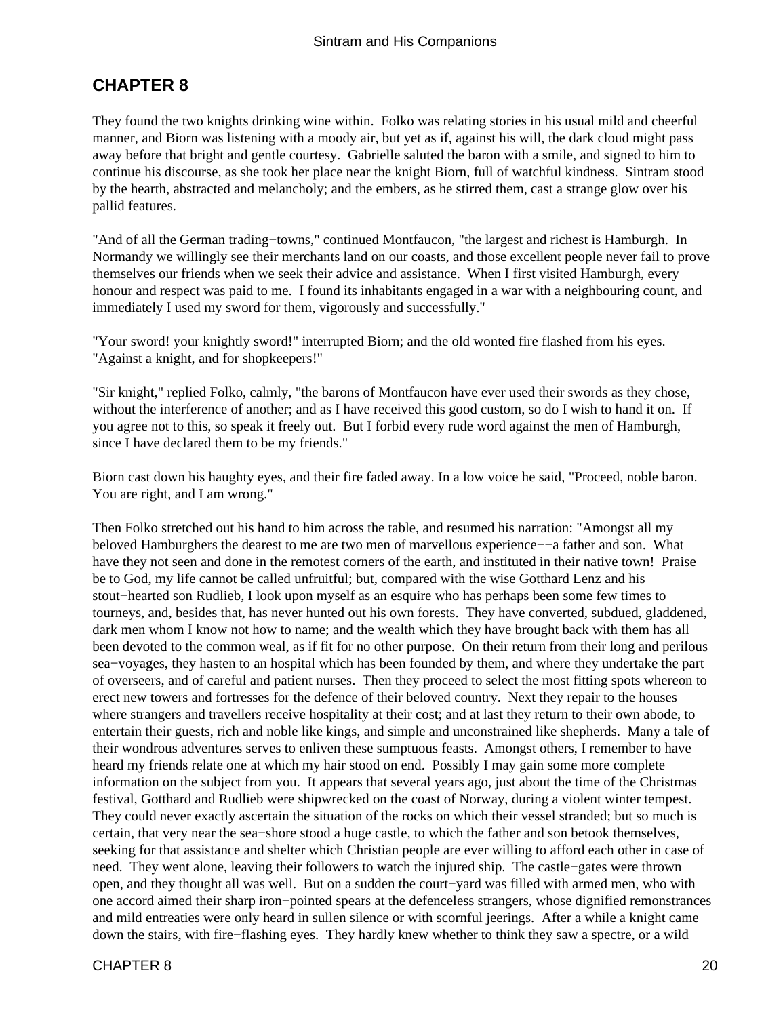### <span id="page-21-0"></span>**CHAPTER 8**

They found the two knights drinking wine within. Folko was relating stories in his usual mild and cheerful manner, and Biorn was listening with a moody air, but yet as if, against his will, the dark cloud might pass away before that bright and gentle courtesy. Gabrielle saluted the baron with a smile, and signed to him to continue his discourse, as she took her place near the knight Biorn, full of watchful kindness. Sintram stood by the hearth, abstracted and melancholy; and the embers, as he stirred them, cast a strange glow over his pallid features.

"And of all the German trading−towns," continued Montfaucon, "the largest and richest is Hamburgh. In Normandy we willingly see their merchants land on our coasts, and those excellent people never fail to prove themselves our friends when we seek their advice and assistance. When I first visited Hamburgh, every honour and respect was paid to me. I found its inhabitants engaged in a war with a neighbouring count, and immediately I used my sword for them, vigorously and successfully."

"Your sword! your knightly sword!" interrupted Biorn; and the old wonted fire flashed from his eyes. "Against a knight, and for shopkeepers!"

"Sir knight," replied Folko, calmly, "the barons of Montfaucon have ever used their swords as they chose, without the interference of another; and as I have received this good custom, so do I wish to hand it on. If you agree not to this, so speak it freely out. But I forbid every rude word against the men of Hamburgh, since I have declared them to be my friends."

Biorn cast down his haughty eyes, and their fire faded away. In a low voice he said, "Proceed, noble baron. You are right, and I am wrong."

Then Folko stretched out his hand to him across the table, and resumed his narration: "Amongst all my beloved Hamburghers the dearest to me are two men of marvellous experience−−a father and son. What have they not seen and done in the remotest corners of the earth, and instituted in their native town! Praise be to God, my life cannot be called unfruitful; but, compared with the wise Gotthard Lenz and his stout−hearted son Rudlieb, I look upon myself as an esquire who has perhaps been some few times to tourneys, and, besides that, has never hunted out his own forests. They have converted, subdued, gladdened, dark men whom I know not how to name; and the wealth which they have brought back with them has all been devoted to the common weal, as if fit for no other purpose. On their return from their long and perilous sea−voyages, they hasten to an hospital which has been founded by them, and where they undertake the part of overseers, and of careful and patient nurses. Then they proceed to select the most fitting spots whereon to erect new towers and fortresses for the defence of their beloved country. Next they repair to the houses where strangers and travellers receive hospitality at their cost; and at last they return to their own abode, to entertain their guests, rich and noble like kings, and simple and unconstrained like shepherds. Many a tale of their wondrous adventures serves to enliven these sumptuous feasts. Amongst others, I remember to have heard my friends relate one at which my hair stood on end. Possibly I may gain some more complete information on the subject from you. It appears that several years ago, just about the time of the Christmas festival, Gotthard and Rudlieb were shipwrecked on the coast of Norway, during a violent winter tempest. They could never exactly ascertain the situation of the rocks on which their vessel stranded; but so much is certain, that very near the sea−shore stood a huge castle, to which the father and son betook themselves, seeking for that assistance and shelter which Christian people are ever willing to afford each other in case of need. They went alone, leaving their followers to watch the injured ship. The castle−gates were thrown open, and they thought all was well. But on a sudden the court−yard was filled with armed men, who with one accord aimed their sharp iron−pointed spears at the defenceless strangers, whose dignified remonstrances and mild entreaties were only heard in sullen silence or with scornful jeerings. After a while a knight came down the stairs, with fire−flashing eyes. They hardly knew whether to think they saw a spectre, or a wild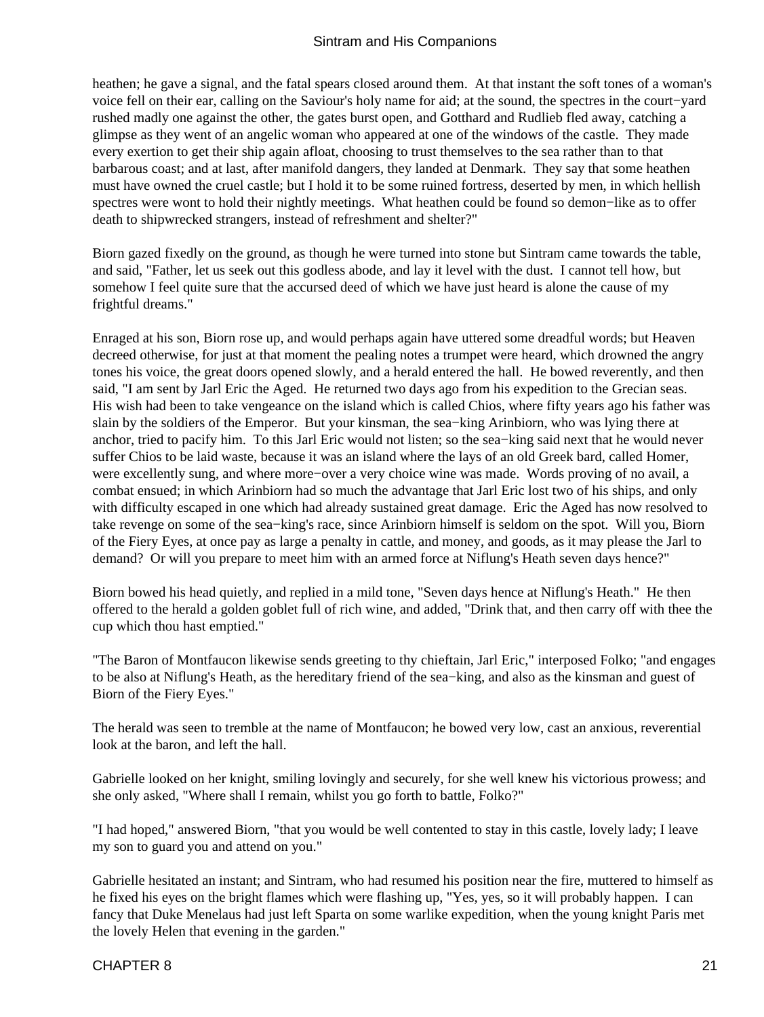heathen; he gave a signal, and the fatal spears closed around them. At that instant the soft tones of a woman's voice fell on their ear, calling on the Saviour's holy name for aid; at the sound, the spectres in the court−yard rushed madly one against the other, the gates burst open, and Gotthard and Rudlieb fled away, catching a glimpse as they went of an angelic woman who appeared at one of the windows of the castle. They made every exertion to get their ship again afloat, choosing to trust themselves to the sea rather than to that barbarous coast; and at last, after manifold dangers, they landed at Denmark. They say that some heathen must have owned the cruel castle; but I hold it to be some ruined fortress, deserted by men, in which hellish spectres were wont to hold their nightly meetings. What heathen could be found so demon−like as to offer death to shipwrecked strangers, instead of refreshment and shelter?"

Biorn gazed fixedly on the ground, as though he were turned into stone but Sintram came towards the table, and said, "Father, let us seek out this godless abode, and lay it level with the dust. I cannot tell how, but somehow I feel quite sure that the accursed deed of which we have just heard is alone the cause of my frightful dreams."

Enraged at his son, Biorn rose up, and would perhaps again have uttered some dreadful words; but Heaven decreed otherwise, for just at that moment the pealing notes a trumpet were heard, which drowned the angry tones his voice, the great doors opened slowly, and a herald entered the hall. He bowed reverently, and then said, "I am sent by Jarl Eric the Aged. He returned two days ago from his expedition to the Grecian seas. His wish had been to take vengeance on the island which is called Chios, where fifty years ago his father was slain by the soldiers of the Emperor. But your kinsman, the sea−king Arinbiorn, who was lying there at anchor, tried to pacify him. To this Jarl Eric would not listen; so the sea−king said next that he would never suffer Chios to be laid waste, because it was an island where the lays of an old Greek bard, called Homer, were excellently sung, and where more−over a very choice wine was made. Words proving of no avail, a combat ensued; in which Arinbiorn had so much the advantage that Jarl Eric lost two of his ships, and only with difficulty escaped in one which had already sustained great damage. Eric the Aged has now resolved to take revenge on some of the sea−king's race, since Arinbiorn himself is seldom on the spot. Will you, Biorn of the Fiery Eyes, at once pay as large a penalty in cattle, and money, and goods, as it may please the Jarl to demand? Or will you prepare to meet him with an armed force at Niflung's Heath seven days hence?"

Biorn bowed his head quietly, and replied in a mild tone, "Seven days hence at Niflung's Heath." He then offered to the herald a golden goblet full of rich wine, and added, "Drink that, and then carry off with thee the cup which thou hast emptied."

"The Baron of Montfaucon likewise sends greeting to thy chieftain, Jarl Eric," interposed Folko; "and engages to be also at Niflung's Heath, as the hereditary friend of the sea−king, and also as the kinsman and guest of Biorn of the Fiery Eyes."

The herald was seen to tremble at the name of Montfaucon; he bowed very low, cast an anxious, reverential look at the baron, and left the hall.

Gabrielle looked on her knight, smiling lovingly and securely, for she well knew his victorious prowess; and she only asked, "Where shall I remain, whilst you go forth to battle, Folko?"

"I had hoped," answered Biorn, "that you would be well contented to stay in this castle, lovely lady; I leave my son to guard you and attend on you."

Gabrielle hesitated an instant; and Sintram, who had resumed his position near the fire, muttered to himself as he fixed his eyes on the bright flames which were flashing up, "Yes, yes, so it will probably happen. I can fancy that Duke Menelaus had just left Sparta on some warlike expedition, when the young knight Paris met the lovely Helen that evening in the garden."

#### CHAPTER 8 21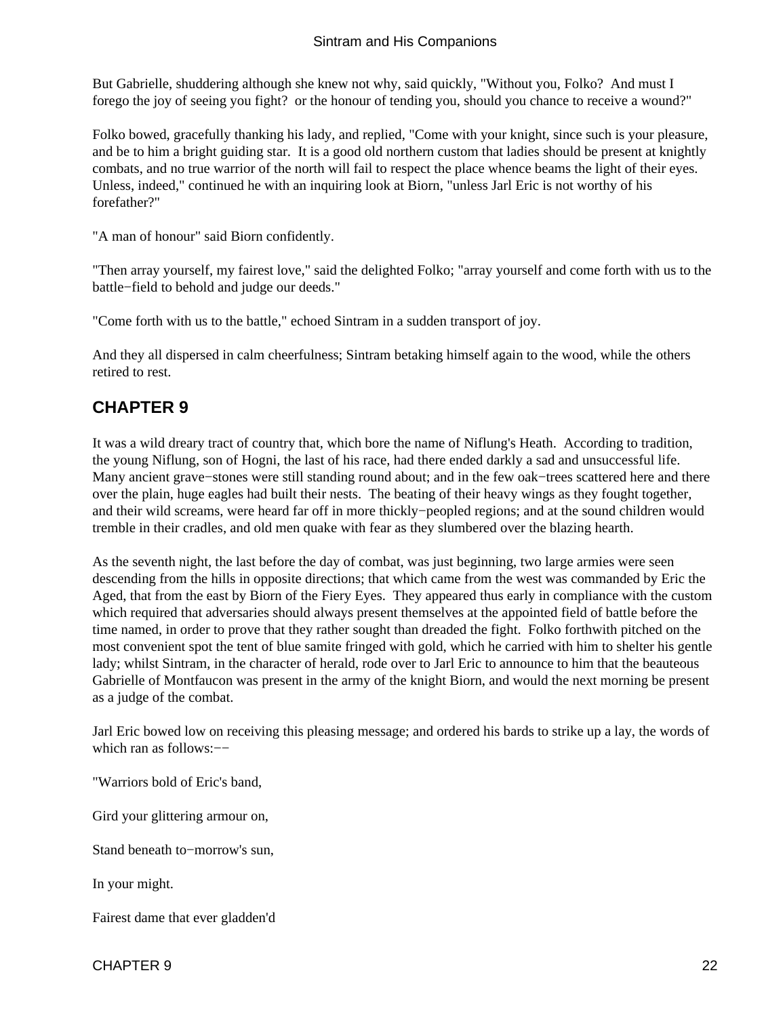<span id="page-23-0"></span>But Gabrielle, shuddering although she knew not why, said quickly, "Without you, Folko? And must I forego the joy of seeing you fight? or the honour of tending you, should you chance to receive a wound?"

Folko bowed, gracefully thanking his lady, and replied, "Come with your knight, since such is your pleasure, and be to him a bright guiding star. It is a good old northern custom that ladies should be present at knightly combats, and no true warrior of the north will fail to respect the place whence beams the light of their eyes. Unless, indeed," continued he with an inquiring look at Biorn, "unless Jarl Eric is not worthy of his forefather?"

"A man of honour" said Biorn confidently.

"Then array yourself, my fairest love," said the delighted Folko; "array yourself and come forth with us to the battle−field to behold and judge our deeds."

"Come forth with us to the battle," echoed Sintram in a sudden transport of joy.

And they all dispersed in calm cheerfulness; Sintram betaking himself again to the wood, while the others retired to rest.

### **CHAPTER 9**

It was a wild dreary tract of country that, which bore the name of Niflung's Heath. According to tradition, the young Niflung, son of Hogni, the last of his race, had there ended darkly a sad and unsuccessful life. Many ancient grave−stones were still standing round about; and in the few oak−trees scattered here and there over the plain, huge eagles had built their nests. The beating of their heavy wings as they fought together, and their wild screams, were heard far off in more thickly−peopled regions; and at the sound children would tremble in their cradles, and old men quake with fear as they slumbered over the blazing hearth.

As the seventh night, the last before the day of combat, was just beginning, two large armies were seen descending from the hills in opposite directions; that which came from the west was commanded by Eric the Aged, that from the east by Biorn of the Fiery Eyes. They appeared thus early in compliance with the custom which required that adversaries should always present themselves at the appointed field of battle before the time named, in order to prove that they rather sought than dreaded the fight. Folko forthwith pitched on the most convenient spot the tent of blue samite fringed with gold, which he carried with him to shelter his gentle lady; whilst Sintram, in the character of herald, rode over to Jarl Eric to announce to him that the beauteous Gabrielle of Montfaucon was present in the army of the knight Biorn, and would the next morning be present as a judge of the combat.

Jarl Eric bowed low on receiving this pleasing message; and ordered his bards to strike up a lay, the words of which ran as follows:—−

"Warriors bold of Eric's band,

Gird your glittering armour on,

Stand beneath to−morrow's sun,

In your might.

Fairest dame that ever gladden'd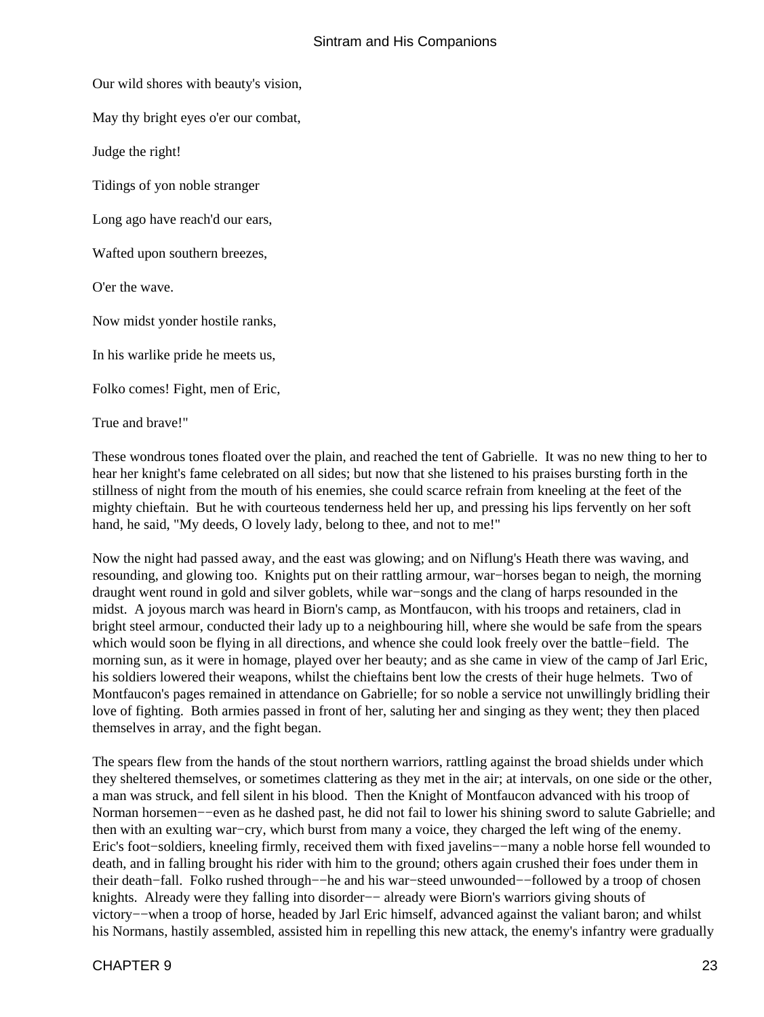Our wild shores with beauty's vision,

May thy bright eyes o'er our combat,

Judge the right!

Tidings of yon noble stranger

Long ago have reach'd our ears,

Wafted upon southern breezes,

O'er the wave.

Now midst yonder hostile ranks,

In his warlike pride he meets us,

Folko comes! Fight, men of Eric,

True and brave!"

These wondrous tones floated over the plain, and reached the tent of Gabrielle. It was no new thing to her to hear her knight's fame celebrated on all sides; but now that she listened to his praises bursting forth in the stillness of night from the mouth of his enemies, she could scarce refrain from kneeling at the feet of the mighty chieftain. But he with courteous tenderness held her up, and pressing his lips fervently on her soft hand, he said, "My deeds, O lovely lady, belong to thee, and not to me!"

Now the night had passed away, and the east was glowing; and on Niflung's Heath there was waving, and resounding, and glowing too. Knights put on their rattling armour, war−horses began to neigh, the morning draught went round in gold and silver goblets, while war−songs and the clang of harps resounded in the midst. A joyous march was heard in Biorn's camp, as Montfaucon, with his troops and retainers, clad in bright steel armour, conducted their lady up to a neighbouring hill, where she would be safe from the spears which would soon be flying in all directions, and whence she could look freely over the battle−field. The morning sun, as it were in homage, played over her beauty; and as she came in view of the camp of Jarl Eric, his soldiers lowered their weapons, whilst the chieftains bent low the crests of their huge helmets. Two of Montfaucon's pages remained in attendance on Gabrielle; for so noble a service not unwillingly bridling their love of fighting. Both armies passed in front of her, saluting her and singing as they went; they then placed themselves in array, and the fight began.

The spears flew from the hands of the stout northern warriors, rattling against the broad shields under which they sheltered themselves, or sometimes clattering as they met in the air; at intervals, on one side or the other, a man was struck, and fell silent in his blood. Then the Knight of Montfaucon advanced with his troop of Norman horsemen−−even as he dashed past, he did not fail to lower his shining sword to salute Gabrielle; and then with an exulting war−cry, which burst from many a voice, they charged the left wing of the enemy. Eric's foot−soldiers, kneeling firmly, received them with fixed javelins−−many a noble horse fell wounded to death, and in falling brought his rider with him to the ground; others again crushed their foes under them in their death−fall. Folko rushed through−−he and his war−steed unwounded−−followed by a troop of chosen knights. Already were they falling into disorder−− already were Biorn's warriors giving shouts of victory−−when a troop of horse, headed by Jarl Eric himself, advanced against the valiant baron; and whilst his Normans, hastily assembled, assisted him in repelling this new attack, the enemy's infantry were gradually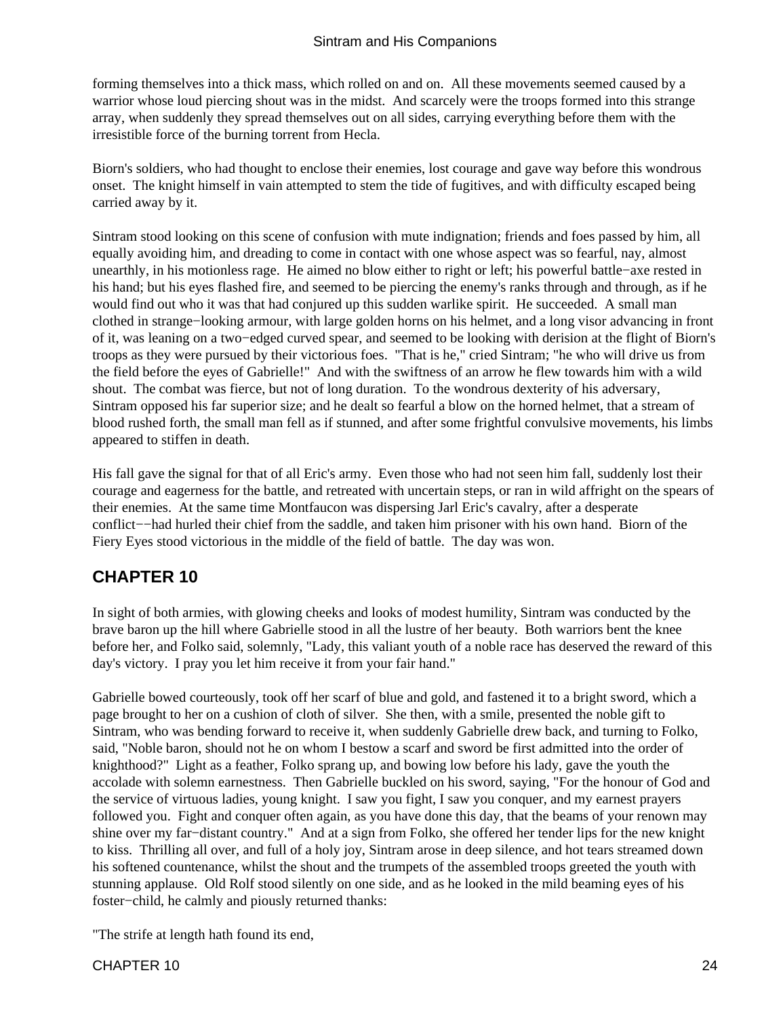<span id="page-25-0"></span>forming themselves into a thick mass, which rolled on and on. All these movements seemed caused by a warrior whose loud piercing shout was in the midst. And scarcely were the troops formed into this strange array, when suddenly they spread themselves out on all sides, carrying everything before them with the irresistible force of the burning torrent from Hecla.

Biorn's soldiers, who had thought to enclose their enemies, lost courage and gave way before this wondrous onset. The knight himself in vain attempted to stem the tide of fugitives, and with difficulty escaped being carried away by it.

Sintram stood looking on this scene of confusion with mute indignation; friends and foes passed by him, all equally avoiding him, and dreading to come in contact with one whose aspect was so fearful, nay, almost unearthly, in his motionless rage. He aimed no blow either to right or left; his powerful battle−axe rested in his hand; but his eyes flashed fire, and seemed to be piercing the enemy's ranks through and through, as if he would find out who it was that had conjured up this sudden warlike spirit. He succeeded. A small man clothed in strange−looking armour, with large golden horns on his helmet, and a long visor advancing in front of it, was leaning on a two−edged curved spear, and seemed to be looking with derision at the flight of Biorn's troops as they were pursued by their victorious foes. "That is he," cried Sintram; "he who will drive us from the field before the eyes of Gabrielle!" And with the swiftness of an arrow he flew towards him with a wild shout. The combat was fierce, but not of long duration. To the wondrous dexterity of his adversary, Sintram opposed his far superior size; and he dealt so fearful a blow on the horned helmet, that a stream of blood rushed forth, the small man fell as if stunned, and after some frightful convulsive movements, his limbs appeared to stiffen in death.

His fall gave the signal for that of all Eric's army. Even those who had not seen him fall, suddenly lost their courage and eagerness for the battle, and retreated with uncertain steps, or ran in wild affright on the spears of their enemies. At the same time Montfaucon was dispersing Jarl Eric's cavalry, after a desperate conflict−−had hurled their chief from the saddle, and taken him prisoner with his own hand. Biorn of the Fiery Eyes stood victorious in the middle of the field of battle. The day was won.

### **CHAPTER 10**

In sight of both armies, with glowing cheeks and looks of modest humility, Sintram was conducted by the brave baron up the hill where Gabrielle stood in all the lustre of her beauty. Both warriors bent the knee before her, and Folko said, solemnly, "Lady, this valiant youth of a noble race has deserved the reward of this day's victory. I pray you let him receive it from your fair hand."

Gabrielle bowed courteously, took off her scarf of blue and gold, and fastened it to a bright sword, which a page brought to her on a cushion of cloth of silver. She then, with a smile, presented the noble gift to Sintram, who was bending forward to receive it, when suddenly Gabrielle drew back, and turning to Folko, said, "Noble baron, should not he on whom I bestow a scarf and sword be first admitted into the order of knighthood?" Light as a feather, Folko sprang up, and bowing low before his lady, gave the youth the accolade with solemn earnestness. Then Gabrielle buckled on his sword, saying, "For the honour of God and the service of virtuous ladies, young knight. I saw you fight, I saw you conquer, and my earnest prayers followed you. Fight and conquer often again, as you have done this day, that the beams of your renown may shine over my far−distant country." And at a sign from Folko, she offered her tender lips for the new knight to kiss. Thrilling all over, and full of a holy joy, Sintram arose in deep silence, and hot tears streamed down his softened countenance, whilst the shout and the trumpets of the assembled troops greeted the youth with stunning applause. Old Rolf stood silently on one side, and as he looked in the mild beaming eyes of his foster−child, he calmly and piously returned thanks:

"The strife at length hath found its end,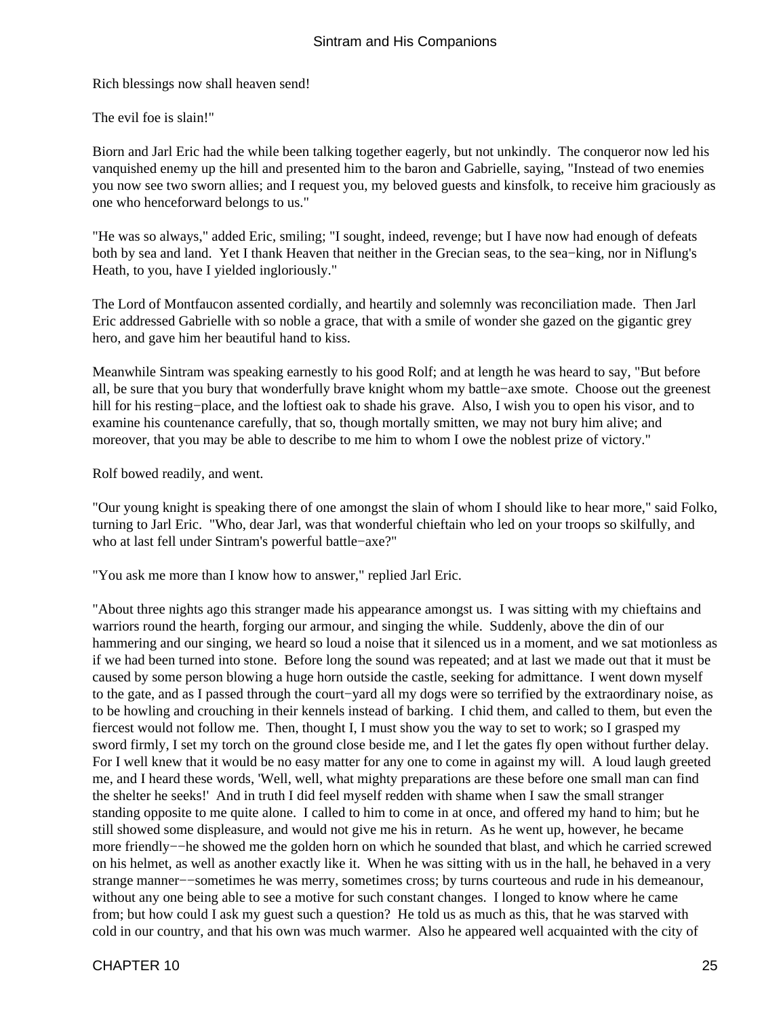Rich blessings now shall heaven send!

The evil foe is slain!"

Biorn and Jarl Eric had the while been talking together eagerly, but not unkindly. The conqueror now led his vanquished enemy up the hill and presented him to the baron and Gabrielle, saying, "Instead of two enemies you now see two sworn allies; and I request you, my beloved guests and kinsfolk, to receive him graciously as one who henceforward belongs to us."

"He was so always," added Eric, smiling; "I sought, indeed, revenge; but I have now had enough of defeats both by sea and land. Yet I thank Heaven that neither in the Grecian seas, to the sea−king, nor in Niflung's Heath, to you, have I yielded ingloriously."

The Lord of Montfaucon assented cordially, and heartily and solemnly was reconciliation made. Then Jarl Eric addressed Gabrielle with so noble a grace, that with a smile of wonder she gazed on the gigantic grey hero, and gave him her beautiful hand to kiss.

Meanwhile Sintram was speaking earnestly to his good Rolf; and at length he was heard to say, "But before all, be sure that you bury that wonderfully brave knight whom my battle−axe smote. Choose out the greenest hill for his resting−place, and the loftiest oak to shade his grave. Also, I wish you to open his visor, and to examine his countenance carefully, that so, though mortally smitten, we may not bury him alive; and moreover, that you may be able to describe to me him to whom I owe the noblest prize of victory."

Rolf bowed readily, and went.

"Our young knight is speaking there of one amongst the slain of whom I should like to hear more," said Folko, turning to Jarl Eric. "Who, dear Jarl, was that wonderful chieftain who led on your troops so skilfully, and who at last fell under Sintram's powerful battle−axe?"

"You ask me more than I know how to answer," replied Jarl Eric.

"About three nights ago this stranger made his appearance amongst us. I was sitting with my chieftains and warriors round the hearth, forging our armour, and singing the while. Suddenly, above the din of our hammering and our singing, we heard so loud a noise that it silenced us in a moment, and we sat motionless as if we had been turned into stone. Before long the sound was repeated; and at last we made out that it must be caused by some person blowing a huge horn outside the castle, seeking for admittance. I went down myself to the gate, and as I passed through the court−yard all my dogs were so terrified by the extraordinary noise, as to be howling and crouching in their kennels instead of barking. I chid them, and called to them, but even the fiercest would not follow me. Then, thought I, I must show you the way to set to work; so I grasped my sword firmly, I set my torch on the ground close beside me, and I let the gates fly open without further delay. For I well knew that it would be no easy matter for any one to come in against my will. A loud laugh greeted me, and I heard these words, 'Well, well, what mighty preparations are these before one small man can find the shelter he seeks!' And in truth I did feel myself redden with shame when I saw the small stranger standing opposite to me quite alone. I called to him to come in at once, and offered my hand to him; but he still showed some displeasure, and would not give me his in return. As he went up, however, he became more friendly−−he showed me the golden horn on which he sounded that blast, and which he carried screwed on his helmet, as well as another exactly like it. When he was sitting with us in the hall, he behaved in a very strange manner−−sometimes he was merry, sometimes cross; by turns courteous and rude in his demeanour, without any one being able to see a motive for such constant changes. I longed to know where he came from; but how could I ask my guest such a question? He told us as much as this, that he was starved with cold in our country, and that his own was much warmer. Also he appeared well acquainted with the city of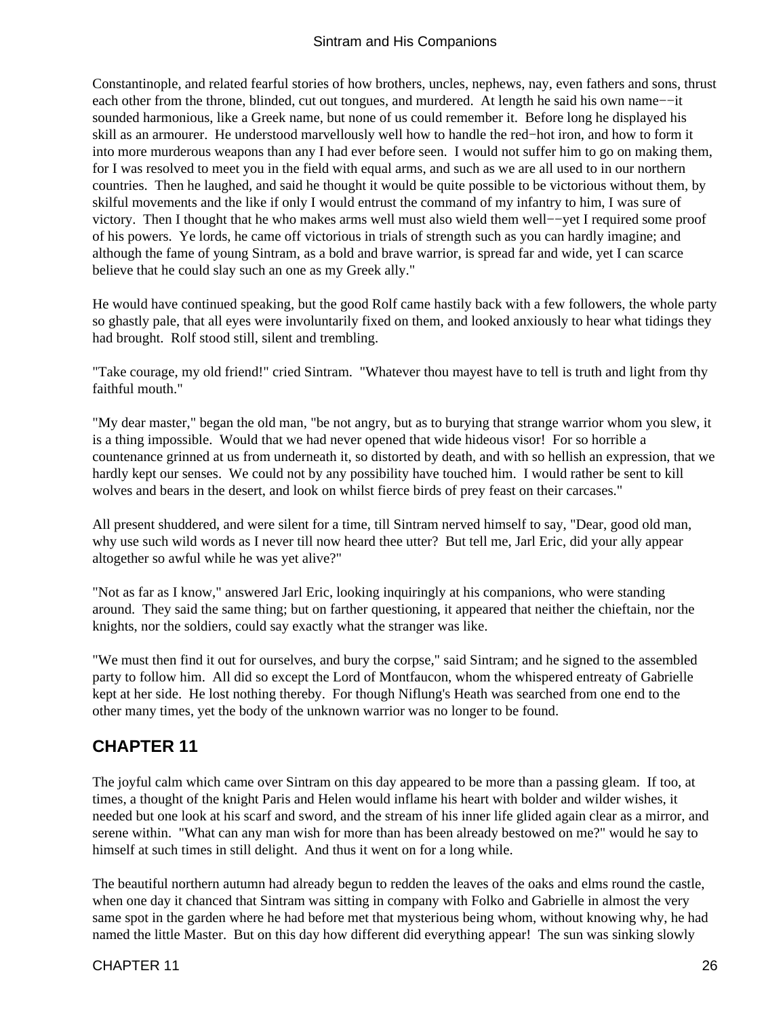<span id="page-27-0"></span>Constantinople, and related fearful stories of how brothers, uncles, nephews, nay, even fathers and sons, thrust each other from the throne, blinded, cut out tongues, and murdered. At length he said his own name−−it sounded harmonious, like a Greek name, but none of us could remember it. Before long he displayed his skill as an armourer. He understood marvellously well how to handle the red−hot iron, and how to form it into more murderous weapons than any I had ever before seen. I would not suffer him to go on making them, for I was resolved to meet you in the field with equal arms, and such as we are all used to in our northern countries. Then he laughed, and said he thought it would be quite possible to be victorious without them, by skilful movements and the like if only I would entrust the command of my infantry to him, I was sure of victory. Then I thought that he who makes arms well must also wield them well−−yet I required some proof of his powers. Ye lords, he came off victorious in trials of strength such as you can hardly imagine; and although the fame of young Sintram, as a bold and brave warrior, is spread far and wide, yet I can scarce believe that he could slay such an one as my Greek ally."

He would have continued speaking, but the good Rolf came hastily back with a few followers, the whole party so ghastly pale, that all eyes were involuntarily fixed on them, and looked anxiously to hear what tidings they had brought. Rolf stood still, silent and trembling.

"Take courage, my old friend!" cried Sintram. "Whatever thou mayest have to tell is truth and light from thy faithful mouth."

"My dear master," began the old man, "be not angry, but as to burying that strange warrior whom you slew, it is a thing impossible. Would that we had never opened that wide hideous visor! For so horrible a countenance grinned at us from underneath it, so distorted by death, and with so hellish an expression, that we hardly kept our senses. We could not by any possibility have touched him. I would rather be sent to kill wolves and bears in the desert, and look on whilst fierce birds of prey feast on their carcases."

All present shuddered, and were silent for a time, till Sintram nerved himself to say, "Dear, good old man, why use such wild words as I never till now heard thee utter? But tell me, Jarl Eric, did your ally appear altogether so awful while he was yet alive?"

"Not as far as I know," answered Jarl Eric, looking inquiringly at his companions, who were standing around. They said the same thing; but on farther questioning, it appeared that neither the chieftain, nor the knights, nor the soldiers, could say exactly what the stranger was like.

"We must then find it out for ourselves, and bury the corpse," said Sintram; and he signed to the assembled party to follow him. All did so except the Lord of Montfaucon, whom the whispered entreaty of Gabrielle kept at her side. He lost nothing thereby. For though Niflung's Heath was searched from one end to the other many times, yet the body of the unknown warrior was no longer to be found.

### **CHAPTER 11**

The joyful calm which came over Sintram on this day appeared to be more than a passing gleam. If too, at times, a thought of the knight Paris and Helen would inflame his heart with bolder and wilder wishes, it needed but one look at his scarf and sword, and the stream of his inner life glided again clear as a mirror, and serene within. "What can any man wish for more than has been already bestowed on me?" would he say to himself at such times in still delight. And thus it went on for a long while.

The beautiful northern autumn had already begun to redden the leaves of the oaks and elms round the castle, when one day it chanced that Sintram was sitting in company with Folko and Gabrielle in almost the very same spot in the garden where he had before met that mysterious being whom, without knowing why, he had named the little Master. But on this day how different did everything appear! The sun was sinking slowly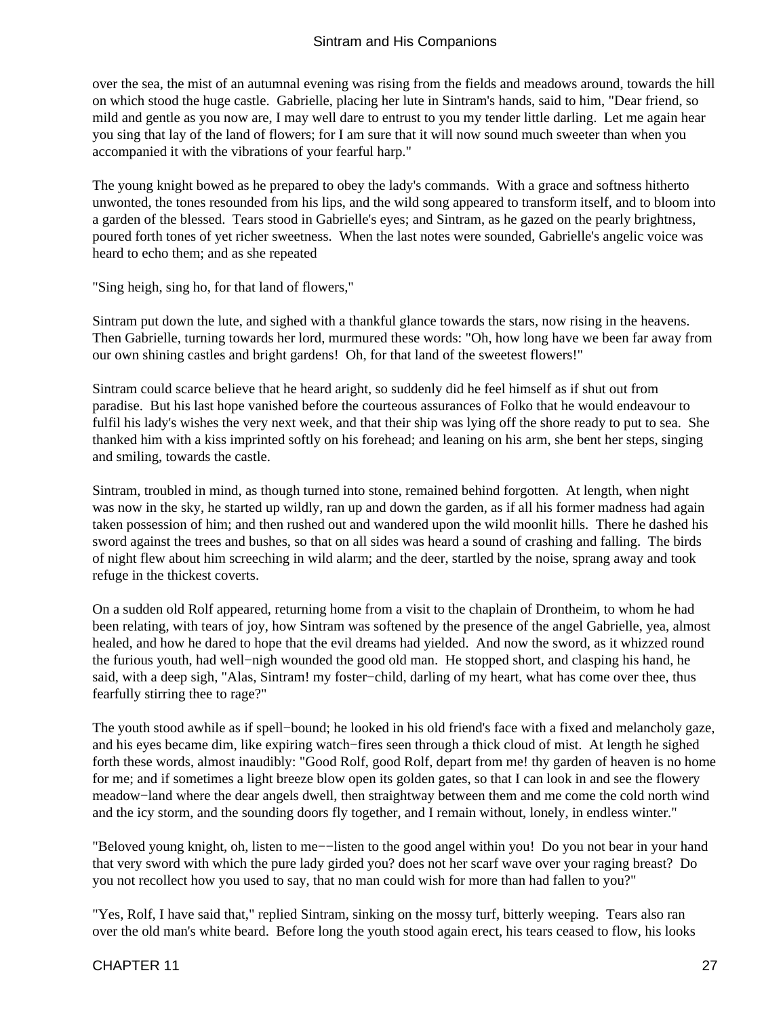over the sea, the mist of an autumnal evening was rising from the fields and meadows around, towards the hill on which stood the huge castle. Gabrielle, placing her lute in Sintram's hands, said to him, "Dear friend, so mild and gentle as you now are, I may well dare to entrust to you my tender little darling. Let me again hear you sing that lay of the land of flowers; for I am sure that it will now sound much sweeter than when you accompanied it with the vibrations of your fearful harp."

The young knight bowed as he prepared to obey the lady's commands. With a grace and softness hitherto unwonted, the tones resounded from his lips, and the wild song appeared to transform itself, and to bloom into a garden of the blessed. Tears stood in Gabrielle's eyes; and Sintram, as he gazed on the pearly brightness, poured forth tones of yet richer sweetness. When the last notes were sounded, Gabrielle's angelic voice was heard to echo them; and as she repeated

"Sing heigh, sing ho, for that land of flowers,"

Sintram put down the lute, and sighed with a thankful glance towards the stars, now rising in the heavens. Then Gabrielle, turning towards her lord, murmured these words: "Oh, how long have we been far away from our own shining castles and bright gardens! Oh, for that land of the sweetest flowers!"

Sintram could scarce believe that he heard aright, so suddenly did he feel himself as if shut out from paradise. But his last hope vanished before the courteous assurances of Folko that he would endeavour to fulfil his lady's wishes the very next week, and that their ship was lying off the shore ready to put to sea. She thanked him with a kiss imprinted softly on his forehead; and leaning on his arm, she bent her steps, singing and smiling, towards the castle.

Sintram, troubled in mind, as though turned into stone, remained behind forgotten. At length, when night was now in the sky, he started up wildly, ran up and down the garden, as if all his former madness had again taken possession of him; and then rushed out and wandered upon the wild moonlit hills. There he dashed his sword against the trees and bushes, so that on all sides was heard a sound of crashing and falling. The birds of night flew about him screeching in wild alarm; and the deer, startled by the noise, sprang away and took refuge in the thickest coverts.

On a sudden old Rolf appeared, returning home from a visit to the chaplain of Drontheim, to whom he had been relating, with tears of joy, how Sintram was softened by the presence of the angel Gabrielle, yea, almost healed, and how he dared to hope that the evil dreams had yielded. And now the sword, as it whizzed round the furious youth, had well−nigh wounded the good old man. He stopped short, and clasping his hand, he said, with a deep sigh, "Alas, Sintram! my foster-child, darling of my heart, what has come over thee, thus fearfully stirring thee to rage?"

The youth stood awhile as if spell−bound; he looked in his old friend's face with a fixed and melancholy gaze, and his eyes became dim, like expiring watch−fires seen through a thick cloud of mist. At length he sighed forth these words, almost inaudibly: "Good Rolf, good Rolf, depart from me! thy garden of heaven is no home for me; and if sometimes a light breeze blow open its golden gates, so that I can look in and see the flowery meadow−land where the dear angels dwell, then straightway between them and me come the cold north wind and the icy storm, and the sounding doors fly together, and I remain without, lonely, in endless winter."

"Beloved young knight, oh, listen to me−−listen to the good angel within you! Do you not bear in your hand that very sword with which the pure lady girded you? does not her scarf wave over your raging breast? Do you not recollect how you used to say, that no man could wish for more than had fallen to you?"

"Yes, Rolf, I have said that," replied Sintram, sinking on the mossy turf, bitterly weeping. Tears also ran over the old man's white beard. Before long the youth stood again erect, his tears ceased to flow, his looks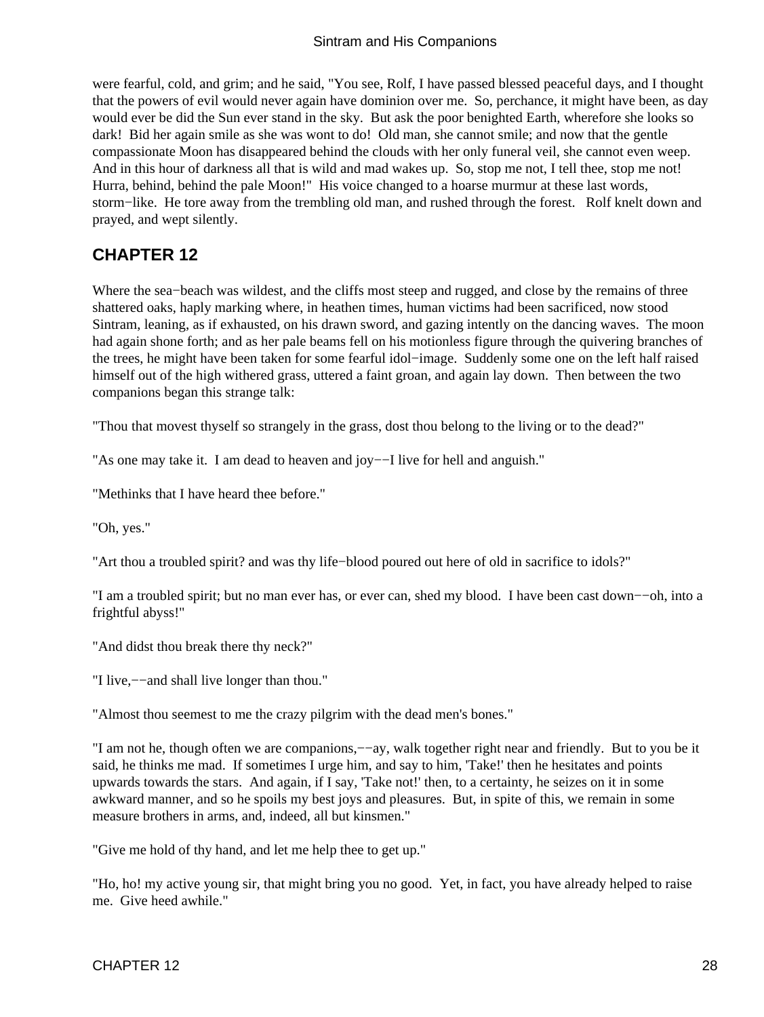<span id="page-29-0"></span>were fearful, cold, and grim; and he said, "You see, Rolf, I have passed blessed peaceful days, and I thought that the powers of evil would never again have dominion over me. So, perchance, it might have been, as day would ever be did the Sun ever stand in the sky. But ask the poor benighted Earth, wherefore she looks so dark! Bid her again smile as she was wont to do! Old man, she cannot smile; and now that the gentle compassionate Moon has disappeared behind the clouds with her only funeral veil, she cannot even weep. And in this hour of darkness all that is wild and mad wakes up. So, stop me not, I tell thee, stop me not! Hurra, behind, behind the pale Moon!" His voice changed to a hoarse murmur at these last words, storm−like. He tore away from the trembling old man, and rushed through the forest. Rolf knelt down and prayed, and wept silently.

### **CHAPTER 12**

Where the sea−beach was wildest, and the cliffs most steep and rugged, and close by the remains of three shattered oaks, haply marking where, in heathen times, human victims had been sacrificed, now stood Sintram, leaning, as if exhausted, on his drawn sword, and gazing intently on the dancing waves. The moon had again shone forth; and as her pale beams fell on his motionless figure through the quivering branches of the trees, he might have been taken for some fearful idol−image. Suddenly some one on the left half raised himself out of the high withered grass, uttered a faint groan, and again lay down. Then between the two companions began this strange talk:

"Thou that movest thyself so strangely in the grass, dost thou belong to the living or to the dead?"

"As one may take it. I am dead to heaven and joy-−I live for hell and anguish."

"Methinks that I have heard thee before."

"Oh, yes."

"Art thou a troubled spirit? and was thy life−blood poured out here of old in sacrifice to idols?"

"I am a troubled spirit; but no man ever has, or ever can, shed my blood. I have been cast down−−oh, into a frightful abyss!"

"And didst thou break there thy neck?"

"I live,−−and shall live longer than thou."

"Almost thou seemest to me the crazy pilgrim with the dead men's bones."

"I am not he, though often we are companions,−−ay, walk together right near and friendly. But to you be it said, he thinks me mad. If sometimes I urge him, and say to him, 'Take!' then he hesitates and points upwards towards the stars. And again, if I say, 'Take not!' then, to a certainty, he seizes on it in some awkward manner, and so he spoils my best joys and pleasures. But, in spite of this, we remain in some measure brothers in arms, and, indeed, all but kinsmen."

"Give me hold of thy hand, and let me help thee to get up."

"Ho, ho! my active young sir, that might bring you no good. Yet, in fact, you have already helped to raise me. Give heed awhile."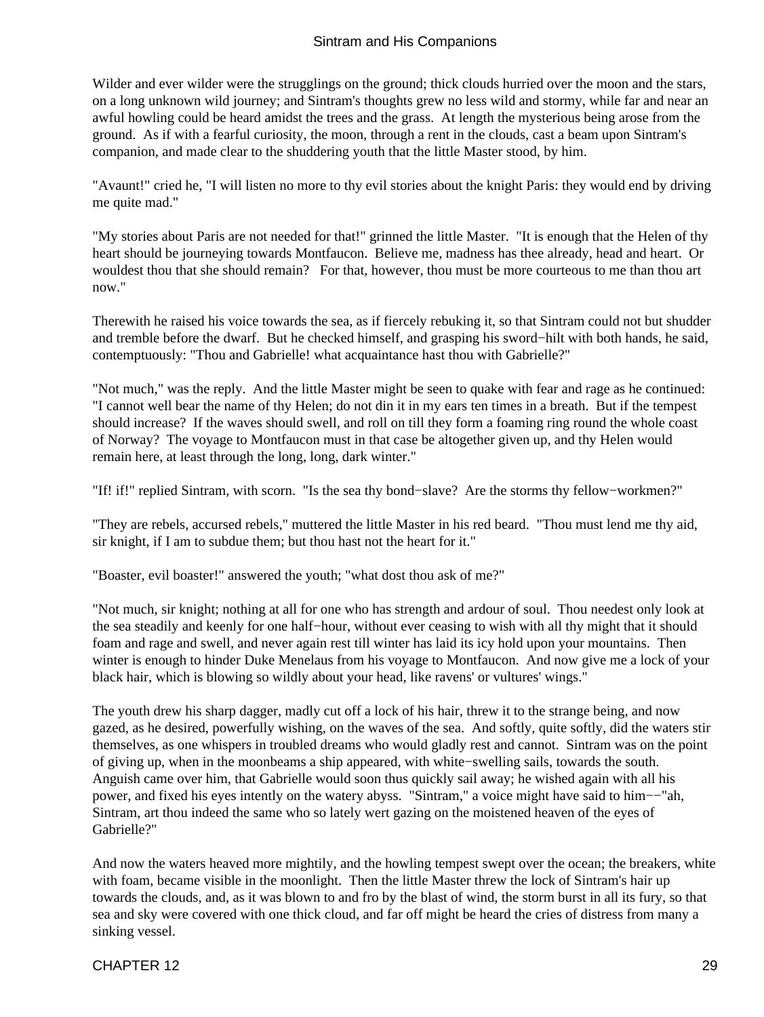Wilder and ever wilder were the strugglings on the ground; thick clouds hurried over the moon and the stars, on a long unknown wild journey; and Sintram's thoughts grew no less wild and stormy, while far and near an awful howling could be heard amidst the trees and the grass. At length the mysterious being arose from the ground. As if with a fearful curiosity, the moon, through a rent in the clouds, cast a beam upon Sintram's companion, and made clear to the shuddering youth that the little Master stood, by him.

"Avaunt!" cried he, "I will listen no more to thy evil stories about the knight Paris: they would end by driving me quite mad."

"My stories about Paris are not needed for that!" grinned the little Master. "It is enough that the Helen of thy heart should be journeying towards Montfaucon. Believe me, madness has thee already, head and heart. Or wouldest thou that she should remain? For that, however, thou must be more courteous to me than thou art now."

Therewith he raised his voice towards the sea, as if fiercely rebuking it, so that Sintram could not but shudder and tremble before the dwarf. But he checked himself, and grasping his sword−hilt with both hands, he said, contemptuously: "Thou and Gabrielle! what acquaintance hast thou with Gabrielle?"

"Not much," was the reply. And the little Master might be seen to quake with fear and rage as he continued: "I cannot well bear the name of thy Helen; do not din it in my ears ten times in a breath. But if the tempest should increase? If the waves should swell, and roll on till they form a foaming ring round the whole coast of Norway? The voyage to Montfaucon must in that case be altogether given up, and thy Helen would remain here, at least through the long, long, dark winter."

"If! if!" replied Sintram, with scorn. "Is the sea thy bond−slave? Are the storms thy fellow−workmen?"

"They are rebels, accursed rebels," muttered the little Master in his red beard. "Thou must lend me thy aid, sir knight, if I am to subdue them; but thou hast not the heart for it."

"Boaster, evil boaster!" answered the youth; "what dost thou ask of me?"

"Not much, sir knight; nothing at all for one who has strength and ardour of soul. Thou needest only look at the sea steadily and keenly for one half−hour, without ever ceasing to wish with all thy might that it should foam and rage and swell, and never again rest till winter has laid its icy hold upon your mountains. Then winter is enough to hinder Duke Menelaus from his voyage to Montfaucon. And now give me a lock of your black hair, which is blowing so wildly about your head, like ravens' or vultures' wings."

The youth drew his sharp dagger, madly cut off a lock of his hair, threw it to the strange being, and now gazed, as he desired, powerfully wishing, on the waves of the sea. And softly, quite softly, did the waters stir themselves, as one whispers in troubled dreams who would gladly rest and cannot. Sintram was on the point of giving up, when in the moonbeams a ship appeared, with white−swelling sails, towards the south. Anguish came over him, that Gabrielle would soon thus quickly sail away; he wished again with all his power, and fixed his eyes intently on the watery abyss. "Sintram," a voice might have said to him−−"ah, Sintram, art thou indeed the same who so lately wert gazing on the moistened heaven of the eyes of Gabrielle?"

And now the waters heaved more mightily, and the howling tempest swept over the ocean; the breakers, white with foam, became visible in the moonlight. Then the little Master threw the lock of Sintram's hair up towards the clouds, and, as it was blown to and fro by the blast of wind, the storm burst in all its fury, so that sea and sky were covered with one thick cloud, and far off might be heard the cries of distress from many a sinking vessel.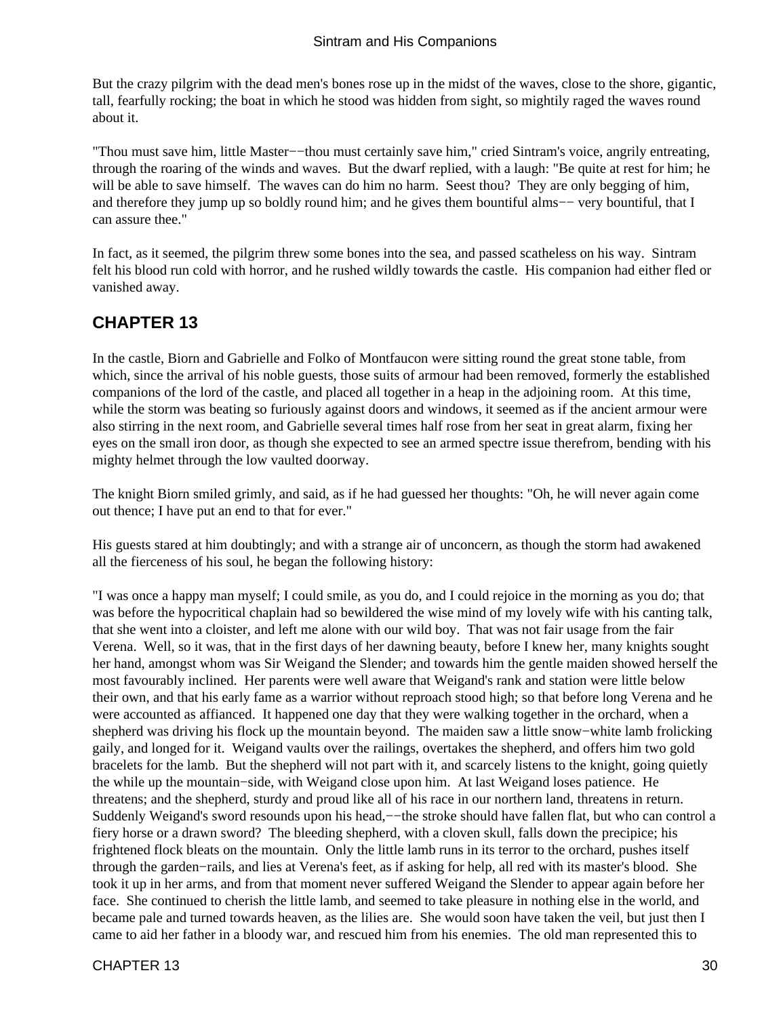<span id="page-31-0"></span>But the crazy pilgrim with the dead men's bones rose up in the midst of the waves, close to the shore, gigantic, tall, fearfully rocking; the boat in which he stood was hidden from sight, so mightily raged the waves round about it.

"Thou must save him, little Master−−thou must certainly save him," cried Sintram's voice, angrily entreating, through the roaring of the winds and waves. But the dwarf replied, with a laugh: "Be quite at rest for him; he will be able to save himself. The waves can do him no harm. Seest thou? They are only begging of him, and therefore they jump up so boldly round him; and he gives them bountiful alms−− very bountiful, that I can assure thee."

In fact, as it seemed, the pilgrim threw some bones into the sea, and passed scatheless on his way. Sintram felt his blood run cold with horror, and he rushed wildly towards the castle. His companion had either fled or vanished away.

### **CHAPTER 13**

In the castle, Biorn and Gabrielle and Folko of Montfaucon were sitting round the great stone table, from which, since the arrival of his noble guests, those suits of armour had been removed, formerly the established companions of the lord of the castle, and placed all together in a heap in the adjoining room. At this time, while the storm was beating so furiously against doors and windows, it seemed as if the ancient armour were also stirring in the next room, and Gabrielle several times half rose from her seat in great alarm, fixing her eyes on the small iron door, as though she expected to see an armed spectre issue therefrom, bending with his mighty helmet through the low vaulted doorway.

The knight Biorn smiled grimly, and said, as if he had guessed her thoughts: "Oh, he will never again come out thence; I have put an end to that for ever."

His guests stared at him doubtingly; and with a strange air of unconcern, as though the storm had awakened all the fierceness of his soul, he began the following history:

"I was once a happy man myself; I could smile, as you do, and I could rejoice in the morning as you do; that was before the hypocritical chaplain had so bewildered the wise mind of my lovely wife with his canting talk, that she went into a cloister, and left me alone with our wild boy. That was not fair usage from the fair Verena. Well, so it was, that in the first days of her dawning beauty, before I knew her, many knights sought her hand, amongst whom was Sir Weigand the Slender; and towards him the gentle maiden showed herself the most favourably inclined. Her parents were well aware that Weigand's rank and station were little below their own, and that his early fame as a warrior without reproach stood high; so that before long Verena and he were accounted as affianced. It happened one day that they were walking together in the orchard, when a shepherd was driving his flock up the mountain beyond. The maiden saw a little snow−white lamb frolicking gaily, and longed for it. Weigand vaults over the railings, overtakes the shepherd, and offers him two gold bracelets for the lamb. But the shepherd will not part with it, and scarcely listens to the knight, going quietly the while up the mountain−side, with Weigand close upon him. At last Weigand loses patience. He threatens; and the shepherd, sturdy and proud like all of his race in our northern land, threatens in return. Suddenly Weigand's sword resounds upon his head,—−the stroke should have fallen flat, but who can control a fiery horse or a drawn sword? The bleeding shepherd, with a cloven skull, falls down the precipice; his frightened flock bleats on the mountain. Only the little lamb runs in its terror to the orchard, pushes itself through the garden−rails, and lies at Verena's feet, as if asking for help, all red with its master's blood. She took it up in her arms, and from that moment never suffered Weigand the Slender to appear again before her face. She continued to cherish the little lamb, and seemed to take pleasure in nothing else in the world, and became pale and turned towards heaven, as the lilies are. She would soon have taken the veil, but just then I came to aid her father in a bloody war, and rescued him from his enemies. The old man represented this to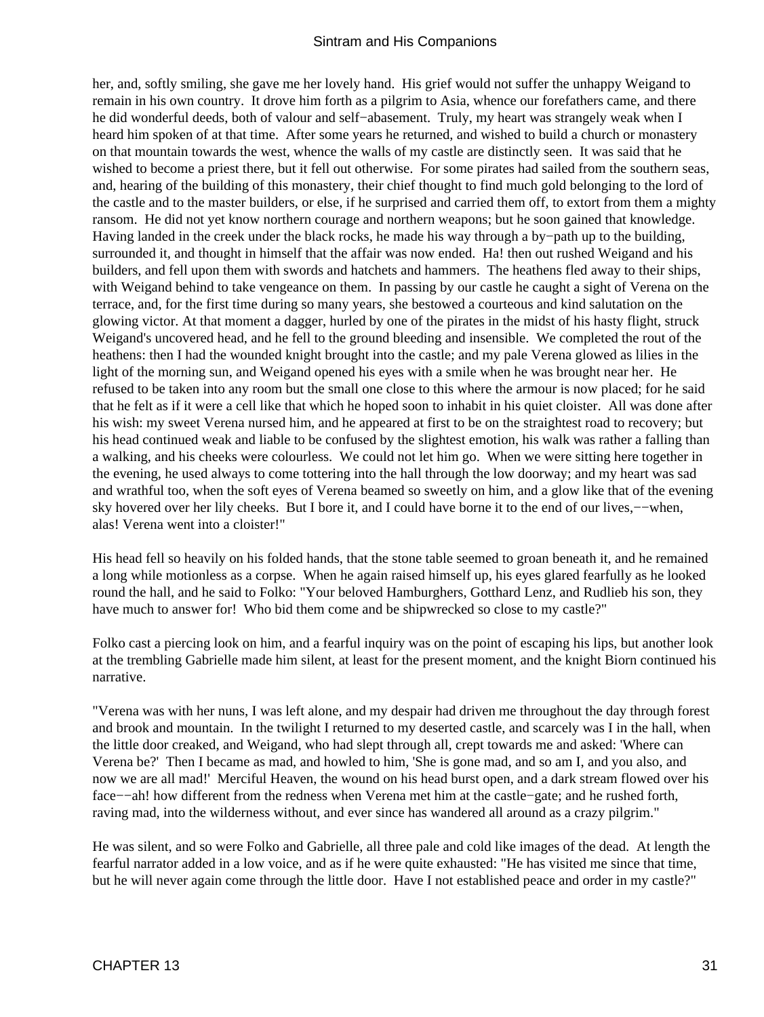her, and, softly smiling, she gave me her lovely hand. His grief would not suffer the unhappy Weigand to remain in his own country. It drove him forth as a pilgrim to Asia, whence our forefathers came, and there he did wonderful deeds, both of valour and self−abasement. Truly, my heart was strangely weak when I heard him spoken of at that time. After some years he returned, and wished to build a church or monastery on that mountain towards the west, whence the walls of my castle are distinctly seen. It was said that he wished to become a priest there, but it fell out otherwise. For some pirates had sailed from the southern seas, and, hearing of the building of this monastery, their chief thought to find much gold belonging to the lord of the castle and to the master builders, or else, if he surprised and carried them off, to extort from them a mighty ransom. He did not yet know northern courage and northern weapons; but he soon gained that knowledge. Having landed in the creek under the black rocks, he made his way through a by−path up to the building, surrounded it, and thought in himself that the affair was now ended. Ha! then out rushed Weigand and his builders, and fell upon them with swords and hatchets and hammers. The heathens fled away to their ships, with Weigand behind to take vengeance on them. In passing by our castle he caught a sight of Verena on the terrace, and, for the first time during so many years, she bestowed a courteous and kind salutation on the glowing victor. At that moment a dagger, hurled by one of the pirates in the midst of his hasty flight, struck Weigand's uncovered head, and he fell to the ground bleeding and insensible. We completed the rout of the heathens: then I had the wounded knight brought into the castle; and my pale Verena glowed as lilies in the light of the morning sun, and Weigand opened his eyes with a smile when he was brought near her. He refused to be taken into any room but the small one close to this where the armour is now placed; for he said that he felt as if it were a cell like that which he hoped soon to inhabit in his quiet cloister. All was done after his wish: my sweet Verena nursed him, and he appeared at first to be on the straightest road to recovery; but his head continued weak and liable to be confused by the slightest emotion, his walk was rather a falling than a walking, and his cheeks were colourless. We could not let him go. When we were sitting here together in the evening, he used always to come tottering into the hall through the low doorway; and my heart was sad and wrathful too, when the soft eyes of Verena beamed so sweetly on him, and a glow like that of the evening sky hovered over her lily cheeks. But I bore it, and I could have borne it to the end of our lives,−−when, alas! Verena went into a cloister!"

His head fell so heavily on his folded hands, that the stone table seemed to groan beneath it, and he remained a long while motionless as a corpse. When he again raised himself up, his eyes glared fearfully as he looked round the hall, and he said to Folko: "Your beloved Hamburghers, Gotthard Lenz, and Rudlieb his son, they have much to answer for! Who bid them come and be shipwrecked so close to my castle?"

Folko cast a piercing look on him, and a fearful inquiry was on the point of escaping his lips, but another look at the trembling Gabrielle made him silent, at least for the present moment, and the knight Biorn continued his narrative.

"Verena was with her nuns, I was left alone, and my despair had driven me throughout the day through forest and brook and mountain. In the twilight I returned to my deserted castle, and scarcely was I in the hall, when the little door creaked, and Weigand, who had slept through all, crept towards me and asked: 'Where can Verena be?' Then I became as mad, and howled to him, 'She is gone mad, and so am I, and you also, and now we are all mad!' Merciful Heaven, the wound on his head burst open, and a dark stream flowed over his face−−ah! how different from the redness when Verena met him at the castle−gate; and he rushed forth, raving mad, into the wilderness without, and ever since has wandered all around as a crazy pilgrim."

He was silent, and so were Folko and Gabrielle, all three pale and cold like images of the dead. At length the fearful narrator added in a low voice, and as if he were quite exhausted: "He has visited me since that time, but he will never again come through the little door. Have I not established peace and order in my castle?"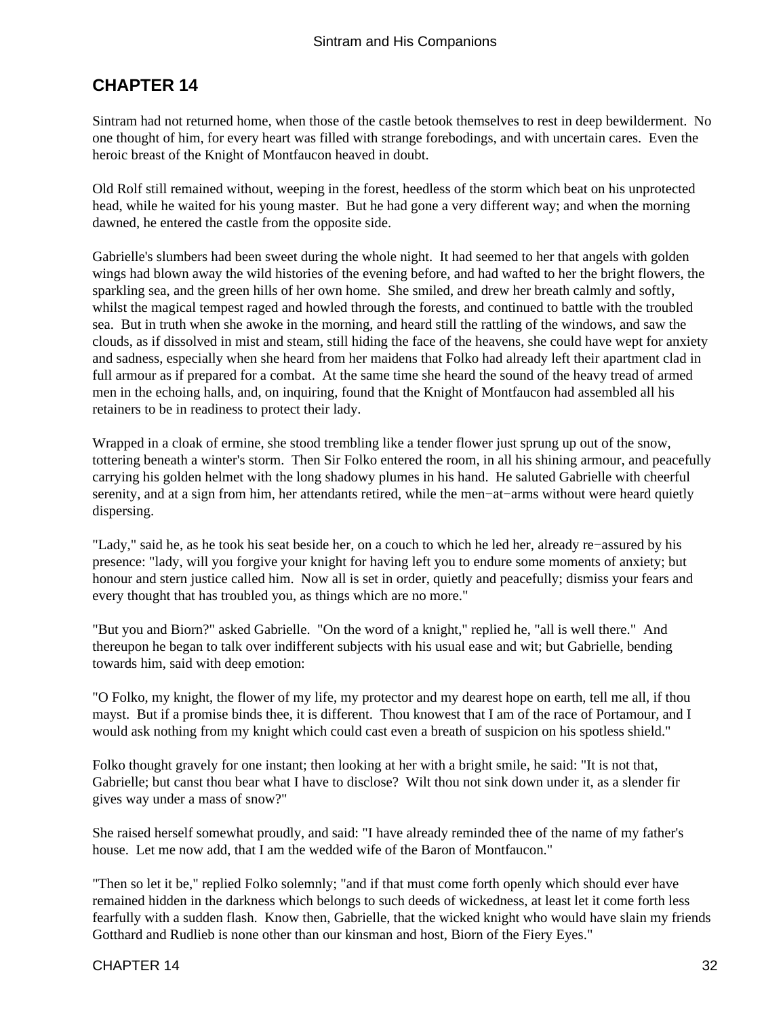### <span id="page-33-0"></span>**CHAPTER 14**

Sintram had not returned home, when those of the castle betook themselves to rest in deep bewilderment. No one thought of him, for every heart was filled with strange forebodings, and with uncertain cares. Even the heroic breast of the Knight of Montfaucon heaved in doubt.

Old Rolf still remained without, weeping in the forest, heedless of the storm which beat on his unprotected head, while he waited for his young master. But he had gone a very different way; and when the morning dawned, he entered the castle from the opposite side.

Gabrielle's slumbers had been sweet during the whole night. It had seemed to her that angels with golden wings had blown away the wild histories of the evening before, and had wafted to her the bright flowers, the sparkling sea, and the green hills of her own home. She smiled, and drew her breath calmly and softly, whilst the magical tempest raged and howled through the forests, and continued to battle with the troubled sea. But in truth when she awoke in the morning, and heard still the rattling of the windows, and saw the clouds, as if dissolved in mist and steam, still hiding the face of the heavens, she could have wept for anxiety and sadness, especially when she heard from her maidens that Folko had already left their apartment clad in full armour as if prepared for a combat. At the same time she heard the sound of the heavy tread of armed men in the echoing halls, and, on inquiring, found that the Knight of Montfaucon had assembled all his retainers to be in readiness to protect their lady.

Wrapped in a cloak of ermine, she stood trembling like a tender flower just sprung up out of the snow, tottering beneath a winter's storm. Then Sir Folko entered the room, in all his shining armour, and peacefully carrying his golden helmet with the long shadowy plumes in his hand. He saluted Gabrielle with cheerful serenity, and at a sign from him, her attendants retired, while the men−at−arms without were heard quietly dispersing.

"Lady," said he, as he took his seat beside her, on a couch to which he led her, already re−assured by his presence: "lady, will you forgive your knight for having left you to endure some moments of anxiety; but honour and stern justice called him. Now all is set in order, quietly and peacefully; dismiss your fears and every thought that has troubled you, as things which are no more."

"But you and Biorn?" asked Gabrielle. "On the word of a knight," replied he, "all is well there." And thereupon he began to talk over indifferent subjects with his usual ease and wit; but Gabrielle, bending towards him, said with deep emotion:

"O Folko, my knight, the flower of my life, my protector and my dearest hope on earth, tell me all, if thou mayst. But if a promise binds thee, it is different. Thou knowest that I am of the race of Portamour, and I would ask nothing from my knight which could cast even a breath of suspicion on his spotless shield."

Folko thought gravely for one instant; then looking at her with a bright smile, he said: "It is not that, Gabrielle; but canst thou bear what I have to disclose? Wilt thou not sink down under it, as a slender fir gives way under a mass of snow?"

She raised herself somewhat proudly, and said: "I have already reminded thee of the name of my father's house. Let me now add, that I am the wedded wife of the Baron of Montfaucon."

"Then so let it be," replied Folko solemnly; "and if that must come forth openly which should ever have remained hidden in the darkness which belongs to such deeds of wickedness, at least let it come forth less fearfully with a sudden flash. Know then, Gabrielle, that the wicked knight who would have slain my friends Gotthard and Rudlieb is none other than our kinsman and host, Biorn of the Fiery Eyes."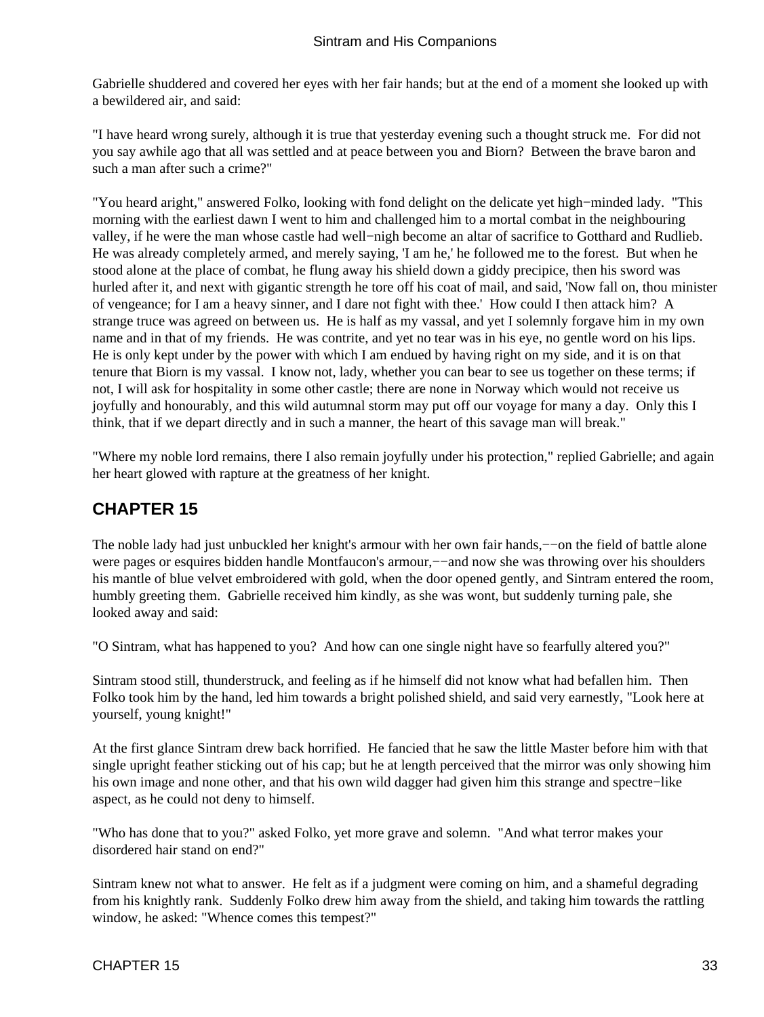<span id="page-34-0"></span>Gabrielle shuddered and covered her eyes with her fair hands; but at the end of a moment she looked up with a bewildered air, and said:

"I have heard wrong surely, although it is true that yesterday evening such a thought struck me. For did not you say awhile ago that all was settled and at peace between you and Biorn? Between the brave baron and such a man after such a crime?"

"You heard aright," answered Folko, looking with fond delight on the delicate yet high−minded lady. "This morning with the earliest dawn I went to him and challenged him to a mortal combat in the neighbouring valley, if he were the man whose castle had well−nigh become an altar of sacrifice to Gotthard and Rudlieb. He was already completely armed, and merely saying, 'I am he,' he followed me to the forest. But when he stood alone at the place of combat, he flung away his shield down a giddy precipice, then his sword was hurled after it, and next with gigantic strength he tore off his coat of mail, and said, 'Now fall on, thou minister of vengeance; for I am a heavy sinner, and I dare not fight with thee.' How could I then attack him? A strange truce was agreed on between us. He is half as my vassal, and yet I solemnly forgave him in my own name and in that of my friends. He was contrite, and yet no tear was in his eye, no gentle word on his lips. He is only kept under by the power with which I am endued by having right on my side, and it is on that tenure that Biorn is my vassal. I know not, lady, whether you can bear to see us together on these terms; if not, I will ask for hospitality in some other castle; there are none in Norway which would not receive us joyfully and honourably, and this wild autumnal storm may put off our voyage for many a day. Only this I think, that if we depart directly and in such a manner, the heart of this savage man will break."

"Where my noble lord remains, there I also remain joyfully under his protection," replied Gabrielle; and again her heart glowed with rapture at the greatness of her knight.

### **CHAPTER 15**

The noble lady had just unbuckled her knight's armour with her own fair hands,––on the field of battle alone were pages or esquires bidden handle Montfaucon's armour,—–and now she was throwing over his shoulders his mantle of blue velvet embroidered with gold, when the door opened gently, and Sintram entered the room, humbly greeting them. Gabrielle received him kindly, as she was wont, but suddenly turning pale, she looked away and said:

"O Sintram, what has happened to you? And how can one single night have so fearfully altered you?"

Sintram stood still, thunderstruck, and feeling as if he himself did not know what had befallen him. Then Folko took him by the hand, led him towards a bright polished shield, and said very earnestly, "Look here at yourself, young knight!"

At the first glance Sintram drew back horrified. He fancied that he saw the little Master before him with that single upright feather sticking out of his cap; but he at length perceived that the mirror was only showing him his own image and none other, and that his own wild dagger had given him this strange and spectre−like aspect, as he could not deny to himself.

"Who has done that to you?" asked Folko, yet more grave and solemn. "And what terror makes your disordered hair stand on end?"

Sintram knew not what to answer. He felt as if a judgment were coming on him, and a shameful degrading from his knightly rank. Suddenly Folko drew him away from the shield, and taking him towards the rattling window, he asked: "Whence comes this tempest?"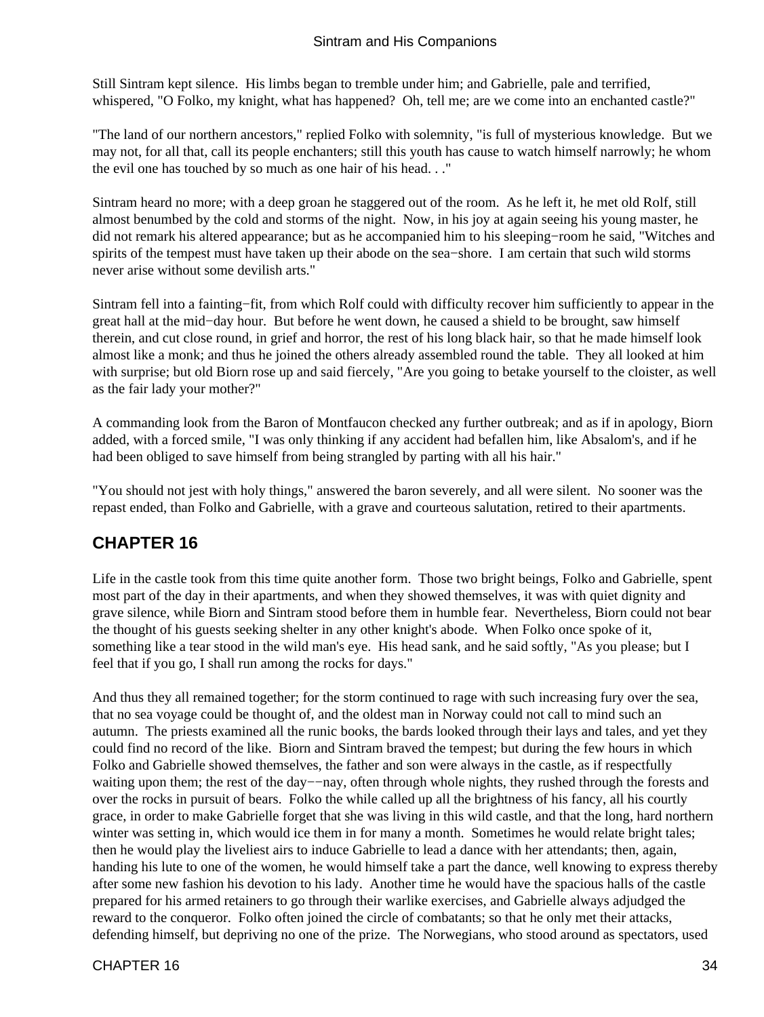<span id="page-35-0"></span>Still Sintram kept silence. His limbs began to tremble under him; and Gabrielle, pale and terrified, whispered, "O Folko, my knight, what has happened? Oh, tell me; are we come into an enchanted castle?"

"The land of our northern ancestors," replied Folko with solemnity, "is full of mysterious knowledge. But we may not, for all that, call its people enchanters; still this youth has cause to watch himself narrowly; he whom the evil one has touched by so much as one hair of his head. . ."

Sintram heard no more; with a deep groan he staggered out of the room. As he left it, he met old Rolf, still almost benumbed by the cold and storms of the night. Now, in his joy at again seeing his young master, he did not remark his altered appearance; but as he accompanied him to his sleeping−room he said, "Witches and spirits of the tempest must have taken up their abode on the sea−shore. I am certain that such wild storms never arise without some devilish arts."

Sintram fell into a fainting−fit, from which Rolf could with difficulty recover him sufficiently to appear in the great hall at the mid−day hour. But before he went down, he caused a shield to be brought, saw himself therein, and cut close round, in grief and horror, the rest of his long black hair, so that he made himself look almost like a monk; and thus he joined the others already assembled round the table. They all looked at him with surprise; but old Biorn rose up and said fiercely, "Are you going to betake yourself to the cloister, as well as the fair lady your mother?"

A commanding look from the Baron of Montfaucon checked any further outbreak; and as if in apology, Biorn added, with a forced smile, "I was only thinking if any accident had befallen him, like Absalom's, and if he had been obliged to save himself from being strangled by parting with all his hair."

"You should not jest with holy things," answered the baron severely, and all were silent. No sooner was the repast ended, than Folko and Gabrielle, with a grave and courteous salutation, retired to their apartments.

### **CHAPTER 16**

Life in the castle took from this time quite another form. Those two bright beings, Folko and Gabrielle, spent most part of the day in their apartments, and when they showed themselves, it was with quiet dignity and grave silence, while Biorn and Sintram stood before them in humble fear. Nevertheless, Biorn could not bear the thought of his guests seeking shelter in any other knight's abode. When Folko once spoke of it, something like a tear stood in the wild man's eye. His head sank, and he said softly, "As you please; but I feel that if you go, I shall run among the rocks for days."

And thus they all remained together; for the storm continued to rage with such increasing fury over the sea, that no sea voyage could be thought of, and the oldest man in Norway could not call to mind such an autumn. The priests examined all the runic books, the bards looked through their lays and tales, and yet they could find no record of the like. Biorn and Sintram braved the tempest; but during the few hours in which Folko and Gabrielle showed themselves, the father and son were always in the castle, as if respectfully waiting upon them; the rest of the day−−nay, often through whole nights, they rushed through the forests and over the rocks in pursuit of bears. Folko the while called up all the brightness of his fancy, all his courtly grace, in order to make Gabrielle forget that she was living in this wild castle, and that the long, hard northern winter was setting in, which would ice them in for many a month. Sometimes he would relate bright tales; then he would play the liveliest airs to induce Gabrielle to lead a dance with her attendants; then, again, handing his lute to one of the women, he would himself take a part the dance, well knowing to express thereby after some new fashion his devotion to his lady. Another time he would have the spacious halls of the castle prepared for his armed retainers to go through their warlike exercises, and Gabrielle always adjudged the reward to the conqueror. Folko often joined the circle of combatants; so that he only met their attacks, defending himself, but depriving no one of the prize. The Norwegians, who stood around as spectators, used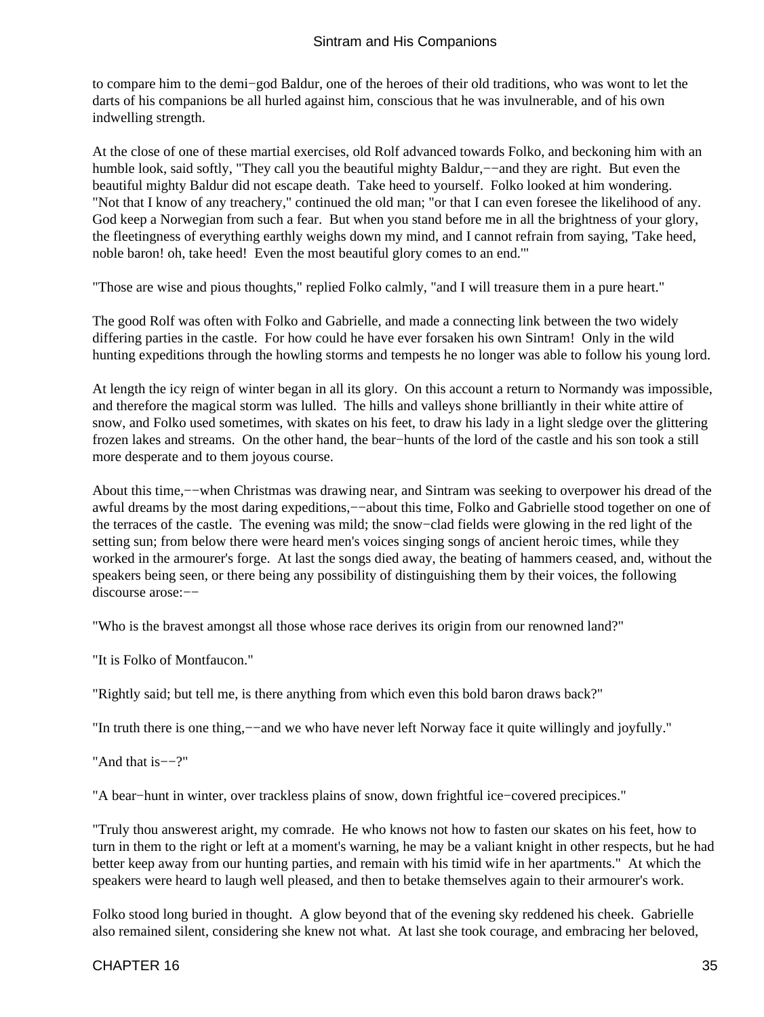to compare him to the demi−god Baldur, one of the heroes of their old traditions, who was wont to let the darts of his companions be all hurled against him, conscious that he was invulnerable, and of his own indwelling strength.

At the close of one of these martial exercises, old Rolf advanced towards Folko, and beckoning him with an humble look, said softly, "They call you the beautiful mighty Baldur,−−and they are right. But even the beautiful mighty Baldur did not escape death. Take heed to yourself. Folko looked at him wondering. "Not that I know of any treachery," continued the old man; "or that I can even foresee the likelihood of any. God keep a Norwegian from such a fear. But when you stand before me in all the brightness of your glory, the fleetingness of everything earthly weighs down my mind, and I cannot refrain from saying, 'Take heed, noble baron! oh, take heed! Even the most beautiful glory comes to an end.'"

"Those are wise and pious thoughts," replied Folko calmly, "and I will treasure them in a pure heart."

The good Rolf was often with Folko and Gabrielle, and made a connecting link between the two widely differing parties in the castle. For how could he have ever forsaken his own Sintram! Only in the wild hunting expeditions through the howling storms and tempests he no longer was able to follow his young lord.

At length the icy reign of winter began in all its glory. On this account a return to Normandy was impossible, and therefore the magical storm was lulled. The hills and valleys shone brilliantly in their white attire of snow, and Folko used sometimes, with skates on his feet, to draw his lady in a light sledge over the glittering frozen lakes and streams. On the other hand, the bear−hunts of the lord of the castle and his son took a still more desperate and to them joyous course.

About this time,−−when Christmas was drawing near, and Sintram was seeking to overpower his dread of the awful dreams by the most daring expeditions,−−about this time, Folko and Gabrielle stood together on one of the terraces of the castle. The evening was mild; the snow−clad fields were glowing in the red light of the setting sun; from below there were heard men's voices singing songs of ancient heroic times, while they worked in the armourer's forge. At last the songs died away, the beating of hammers ceased, and, without the speakers being seen, or there being any possibility of distinguishing them by their voices, the following discourse arose:−−

"Who is the bravest amongst all those whose race derives its origin from our renowned land?"

"It is Folko of Montfaucon."

"Rightly said; but tell me, is there anything from which even this bold baron draws back?"

"In truth there is one thing,−−and we who have never left Norway face it quite willingly and joyfully."

"And that is−−?"

"A bear−hunt in winter, over trackless plains of snow, down frightful ice−covered precipices."

"Truly thou answerest aright, my comrade. He who knows not how to fasten our skates on his feet, how to turn in them to the right or left at a moment's warning, he may be a valiant knight in other respects, but he had better keep away from our hunting parties, and remain with his timid wife in her apartments." At which the speakers were heard to laugh well pleased, and then to betake themselves again to their armourer's work.

Folko stood long buried in thought. A glow beyond that of the evening sky reddened his cheek. Gabrielle also remained silent, considering she knew not what. At last she took courage, and embracing her beloved,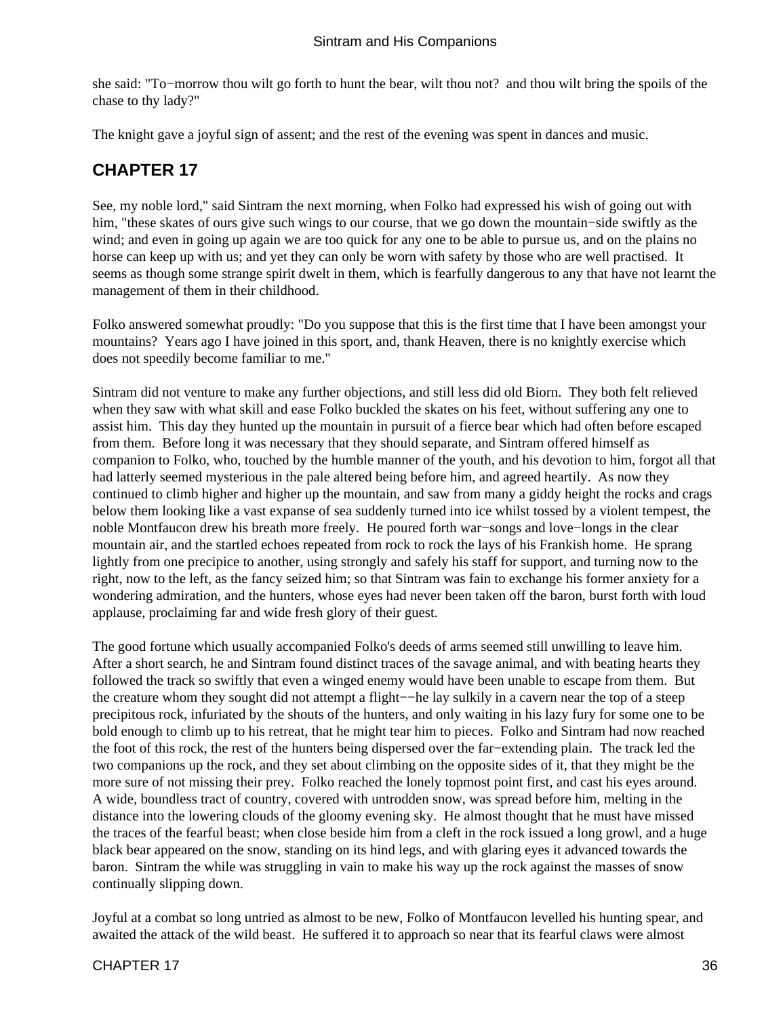<span id="page-37-0"></span>she said: "To−morrow thou wilt go forth to hunt the bear, wilt thou not? and thou wilt bring the spoils of the chase to thy lady?"

The knight gave a joyful sign of assent; and the rest of the evening was spent in dances and music.

### **CHAPTER 17**

See, my noble lord," said Sintram the next morning, when Folko had expressed his wish of going out with him, "these skates of ours give such wings to our course, that we go down the mountain−side swiftly as the wind; and even in going up again we are too quick for any one to be able to pursue us, and on the plains no horse can keep up with us; and yet they can only be worn with safety by those who are well practised. It seems as though some strange spirit dwelt in them, which is fearfully dangerous to any that have not learnt the management of them in their childhood.

Folko answered somewhat proudly: "Do you suppose that this is the first time that I have been amongst your mountains? Years ago I have joined in this sport, and, thank Heaven, there is no knightly exercise which does not speedily become familiar to me."

Sintram did not venture to make any further objections, and still less did old Biorn. They both felt relieved when they saw with what skill and ease Folko buckled the skates on his feet, without suffering any one to assist him. This day they hunted up the mountain in pursuit of a fierce bear which had often before escaped from them. Before long it was necessary that they should separate, and Sintram offered himself as companion to Folko, who, touched by the humble manner of the youth, and his devotion to him, forgot all that had latterly seemed mysterious in the pale altered being before him, and agreed heartily. As now they continued to climb higher and higher up the mountain, and saw from many a giddy height the rocks and crags below them looking like a vast expanse of sea suddenly turned into ice whilst tossed by a violent tempest, the noble Montfaucon drew his breath more freely. He poured forth war−songs and love−longs in the clear mountain air, and the startled echoes repeated from rock to rock the lays of his Frankish home. He sprang lightly from one precipice to another, using strongly and safely his staff for support, and turning now to the right, now to the left, as the fancy seized him; so that Sintram was fain to exchange his former anxiety for a wondering admiration, and the hunters, whose eyes had never been taken off the baron, burst forth with loud applause, proclaiming far and wide fresh glory of their guest.

The good fortune which usually accompanied Folko's deeds of arms seemed still unwilling to leave him. After a short search, he and Sintram found distinct traces of the savage animal, and with beating hearts they followed the track so swiftly that even a winged enemy would have been unable to escape from them. But the creature whom they sought did not attempt a flight−−he lay sulkily in a cavern near the top of a steep precipitous rock, infuriated by the shouts of the hunters, and only waiting in his lazy fury for some one to be bold enough to climb up to his retreat, that he might tear him to pieces. Folko and Sintram had now reached the foot of this rock, the rest of the hunters being dispersed over the far−extending plain. The track led the two companions up the rock, and they set about climbing on the opposite sides of it, that they might be the more sure of not missing their prey. Folko reached the lonely topmost point first, and cast his eyes around. A wide, boundless tract of country, covered with untrodden snow, was spread before him, melting in the distance into the lowering clouds of the gloomy evening sky. He almost thought that he must have missed the traces of the fearful beast; when close beside him from a cleft in the rock issued a long growl, and a huge black bear appeared on the snow, standing on its hind legs, and with glaring eyes it advanced towards the baron. Sintram the while was struggling in vain to make his way up the rock against the masses of snow continually slipping down.

Joyful at a combat so long untried as almost to be new, Folko of Montfaucon levelled his hunting spear, and awaited the attack of the wild beast. He suffered it to approach so near that its fearful claws were almost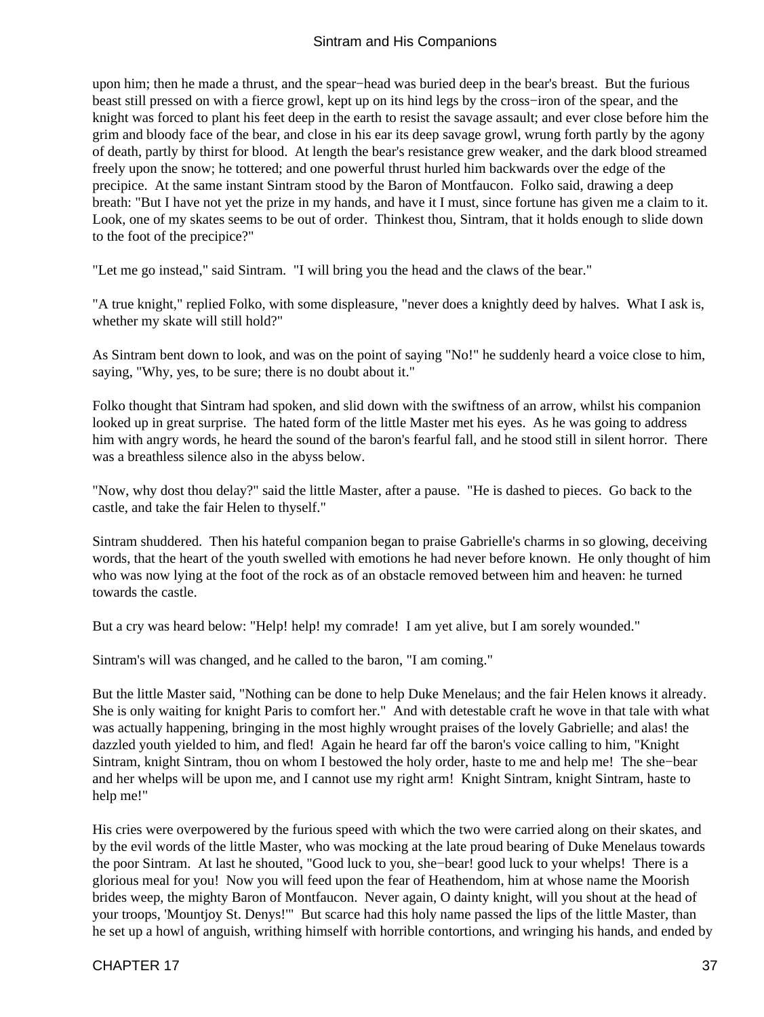upon him; then he made a thrust, and the spear−head was buried deep in the bear's breast. But the furious beast still pressed on with a fierce growl, kept up on its hind legs by the cross−iron of the spear, and the knight was forced to plant his feet deep in the earth to resist the savage assault; and ever close before him the grim and bloody face of the bear, and close in his ear its deep savage growl, wrung forth partly by the agony of death, partly by thirst for blood. At length the bear's resistance grew weaker, and the dark blood streamed freely upon the snow; he tottered; and one powerful thrust hurled him backwards over the edge of the precipice. At the same instant Sintram stood by the Baron of Montfaucon. Folko said, drawing a deep breath: "But I have not yet the prize in my hands, and have it I must, since fortune has given me a claim to it. Look, one of my skates seems to be out of order. Thinkest thou, Sintram, that it holds enough to slide down to the foot of the precipice?"

"Let me go instead," said Sintram. "I will bring you the head and the claws of the bear."

"A true knight," replied Folko, with some displeasure, "never does a knightly deed by halves. What I ask is, whether my skate will still hold?"

As Sintram bent down to look, and was on the point of saying "No!" he suddenly heard a voice close to him, saying, "Why, yes, to be sure; there is no doubt about it."

Folko thought that Sintram had spoken, and slid down with the swiftness of an arrow, whilst his companion looked up in great surprise. The hated form of the little Master met his eyes. As he was going to address him with angry words, he heard the sound of the baron's fearful fall, and he stood still in silent horror. There was a breathless silence also in the abyss below.

"Now, why dost thou delay?" said the little Master, after a pause. "He is dashed to pieces. Go back to the castle, and take the fair Helen to thyself."

Sintram shuddered. Then his hateful companion began to praise Gabrielle's charms in so glowing, deceiving words, that the heart of the youth swelled with emotions he had never before known. He only thought of him who was now lying at the foot of the rock as of an obstacle removed between him and heaven: he turned towards the castle.

But a cry was heard below: "Help! help! my comrade! I am yet alive, but I am sorely wounded."

Sintram's will was changed, and he called to the baron, "I am coming."

But the little Master said, "Nothing can be done to help Duke Menelaus; and the fair Helen knows it already. She is only waiting for knight Paris to comfort her." And with detestable craft he wove in that tale with what was actually happening, bringing in the most highly wrought praises of the lovely Gabrielle; and alas! the dazzled youth yielded to him, and fled! Again he heard far off the baron's voice calling to him, "Knight Sintram, knight Sintram, thou on whom I bestowed the holy order, haste to me and help me! The she−bear and her whelps will be upon me, and I cannot use my right arm! Knight Sintram, knight Sintram, haste to help me!"

His cries were overpowered by the furious speed with which the two were carried along on their skates, and by the evil words of the little Master, who was mocking at the late proud bearing of Duke Menelaus towards the poor Sintram. At last he shouted, "Good luck to you, she−bear! good luck to your whelps! There is a glorious meal for you! Now you will feed upon the fear of Heathendom, him at whose name the Moorish brides weep, the mighty Baron of Montfaucon. Never again, O dainty knight, will you shout at the head of your troops, 'Mountjoy St. Denys!'" But scarce had this holy name passed the lips of the little Master, than he set up a howl of anguish, writhing himself with horrible contortions, and wringing his hands, and ended by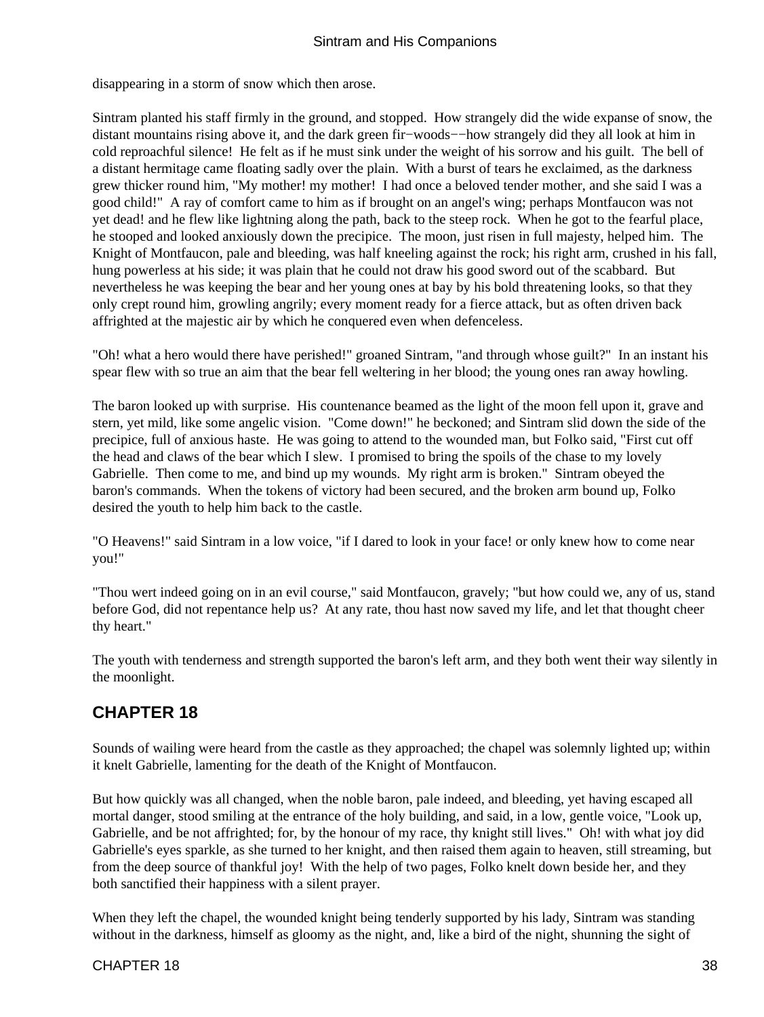<span id="page-39-0"></span>disappearing in a storm of snow which then arose.

Sintram planted his staff firmly in the ground, and stopped. How strangely did the wide expanse of snow, the distant mountains rising above it, and the dark green fir−woods−−how strangely did they all look at him in cold reproachful silence! He felt as if he must sink under the weight of his sorrow and his guilt. The bell of a distant hermitage came floating sadly over the plain. With a burst of tears he exclaimed, as the darkness grew thicker round him, "My mother! my mother! I had once a beloved tender mother, and she said I was a good child!" A ray of comfort came to him as if brought on an angel's wing; perhaps Montfaucon was not yet dead! and he flew like lightning along the path, back to the steep rock. When he got to the fearful place, he stooped and looked anxiously down the precipice. The moon, just risen in full majesty, helped him. The Knight of Montfaucon, pale and bleeding, was half kneeling against the rock; his right arm, crushed in his fall, hung powerless at his side; it was plain that he could not draw his good sword out of the scabbard. But nevertheless he was keeping the bear and her young ones at bay by his bold threatening looks, so that they only crept round him, growling angrily; every moment ready for a fierce attack, but as often driven back affrighted at the majestic air by which he conquered even when defenceless.

"Oh! what a hero would there have perished!" groaned Sintram, "and through whose guilt?" In an instant his spear flew with so true an aim that the bear fell weltering in her blood; the young ones ran away howling.

The baron looked up with surprise. His countenance beamed as the light of the moon fell upon it, grave and stern, yet mild, like some angelic vision. "Come down!" he beckoned; and Sintram slid down the side of the precipice, full of anxious haste. He was going to attend to the wounded man, but Folko said, "First cut off the head and claws of the bear which I slew. I promised to bring the spoils of the chase to my lovely Gabrielle. Then come to me, and bind up my wounds. My right arm is broken." Sintram obeyed the baron's commands. When the tokens of victory had been secured, and the broken arm bound up, Folko desired the youth to help him back to the castle.

"O Heavens!" said Sintram in a low voice, "if I dared to look in your face! or only knew how to come near you!"

"Thou wert indeed going on in an evil course," said Montfaucon, gravely; "but how could we, any of us, stand before God, did not repentance help us? At any rate, thou hast now saved my life, and let that thought cheer thy heart."

The youth with tenderness and strength supported the baron's left arm, and they both went their way silently in the moonlight.

### **CHAPTER 18**

Sounds of wailing were heard from the castle as they approached; the chapel was solemnly lighted up; within it knelt Gabrielle, lamenting for the death of the Knight of Montfaucon.

But how quickly was all changed, when the noble baron, pale indeed, and bleeding, yet having escaped all mortal danger, stood smiling at the entrance of the holy building, and said, in a low, gentle voice, "Look up, Gabrielle, and be not affrighted; for, by the honour of my race, thy knight still lives." Oh! with what joy did Gabrielle's eyes sparkle, as she turned to her knight, and then raised them again to heaven, still streaming, but from the deep source of thankful joy! With the help of two pages, Folko knelt down beside her, and they both sanctified their happiness with a silent prayer.

When they left the chapel, the wounded knight being tenderly supported by his lady, Sintram was standing without in the darkness, himself as gloomy as the night, and, like a bird of the night, shunning the sight of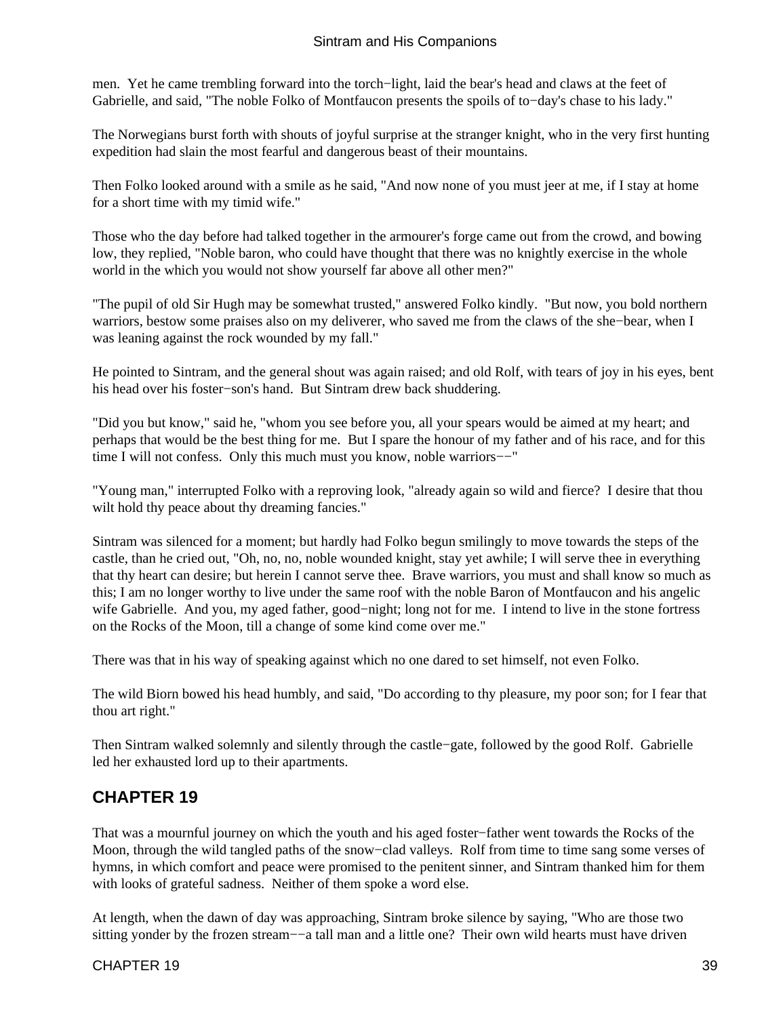<span id="page-40-0"></span>men. Yet he came trembling forward into the torch−light, laid the bear's head and claws at the feet of Gabrielle, and said, "The noble Folko of Montfaucon presents the spoils of to−day's chase to his lady."

The Norwegians burst forth with shouts of joyful surprise at the stranger knight, who in the very first hunting expedition had slain the most fearful and dangerous beast of their mountains.

Then Folko looked around with a smile as he said, "And now none of you must jeer at me, if I stay at home for a short time with my timid wife."

Those who the day before had talked together in the armourer's forge came out from the crowd, and bowing low, they replied, "Noble baron, who could have thought that there was no knightly exercise in the whole world in the which you would not show yourself far above all other men?"

"The pupil of old Sir Hugh may be somewhat trusted," answered Folko kindly. "But now, you bold northern warriors, bestow some praises also on my deliverer, who saved me from the claws of the she−bear, when I was leaning against the rock wounded by my fall."

He pointed to Sintram, and the general shout was again raised; and old Rolf, with tears of joy in his eyes, bent his head over his foster−son's hand. But Sintram drew back shuddering.

"Did you but know," said he, "whom you see before you, all your spears would be aimed at my heart; and perhaps that would be the best thing for me. But I spare the honour of my father and of his race, and for this time I will not confess. Only this much must you know, noble warriors−−"

"Young man," interrupted Folko with a reproving look, "already again so wild and fierce? I desire that thou wilt hold thy peace about thy dreaming fancies."

Sintram was silenced for a moment; but hardly had Folko begun smilingly to move towards the steps of the castle, than he cried out, "Oh, no, no, noble wounded knight, stay yet awhile; I will serve thee in everything that thy heart can desire; but herein I cannot serve thee. Brave warriors, you must and shall know so much as this; I am no longer worthy to live under the same roof with the noble Baron of Montfaucon and his angelic wife Gabrielle. And you, my aged father, good−night; long not for me. I intend to live in the stone fortress on the Rocks of the Moon, till a change of some kind come over me."

There was that in his way of speaking against which no one dared to set himself, not even Folko.

The wild Biorn bowed his head humbly, and said, "Do according to thy pleasure, my poor son; for I fear that thou art right."

Then Sintram walked solemnly and silently through the castle−gate, followed by the good Rolf. Gabrielle led her exhausted lord up to their apartments.

### **CHAPTER 19**

That was a mournful journey on which the youth and his aged foster−father went towards the Rocks of the Moon, through the wild tangled paths of the snow−clad valleys. Rolf from time to time sang some verses of hymns, in which comfort and peace were promised to the penitent sinner, and Sintram thanked him for them with looks of grateful sadness. Neither of them spoke a word else.

At length, when the dawn of day was approaching, Sintram broke silence by saying, "Who are those two sitting yonder by the frozen stream−−a tall man and a little one? Their own wild hearts must have driven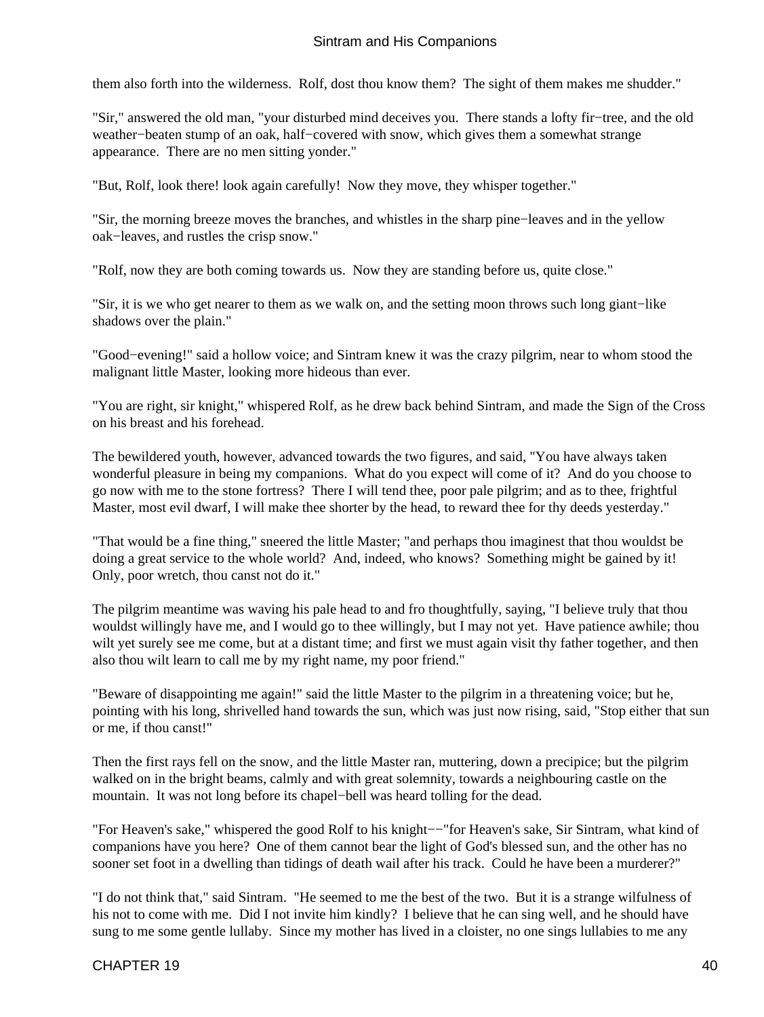them also forth into the wilderness. Rolf, dost thou know them? The sight of them makes me shudder."

"Sir," answered the old man, "your disturbed mind deceives you. There stands a lofty fir−tree, and the old weather−beaten stump of an oak, half−covered with snow, which gives them a somewhat strange appearance. There are no men sitting yonder."

"But, Rolf, look there! look again carefully! Now they move, they whisper together."

"Sir, the morning breeze moves the branches, and whistles in the sharp pine−leaves and in the yellow oak−leaves, and rustles the crisp snow."

"Rolf, now they are both coming towards us. Now they are standing before us, quite close."

"Sir, it is we who get nearer to them as we walk on, and the setting moon throws such long giant−like shadows over the plain."

"Good−evening!" said a hollow voice; and Sintram knew it was the crazy pilgrim, near to whom stood the malignant little Master, looking more hideous than ever.

"You are right, sir knight," whispered Rolf, as he drew back behind Sintram, and made the Sign of the Cross on his breast and his forehead.

The bewildered youth, however, advanced towards the two figures, and said, "You have always taken wonderful pleasure in being my companions. What do you expect will come of it? And do you choose to go now with me to the stone fortress? There I will tend thee, poor pale pilgrim; and as to thee, frightful Master, most evil dwarf, I will make thee shorter by the head, to reward thee for thy deeds yesterday."

"That would be a fine thing," sneered the little Master; "and perhaps thou imaginest that thou wouldst be doing a great service to the whole world? And, indeed, who knows? Something might be gained by it! Only, poor wretch, thou canst not do it."

The pilgrim meantime was waving his pale head to and fro thoughtfully, saying, "I believe truly that thou wouldst willingly have me, and I would go to thee willingly, but I may not yet. Have patience awhile; thou wilt yet surely see me come, but at a distant time; and first we must again visit thy father together, and then also thou wilt learn to call me by my right name, my poor friend."

"Beware of disappointing me again!" said the little Master to the pilgrim in a threatening voice; but he, pointing with his long, shrivelled hand towards the sun, which was just now rising, said, "Stop either that sun or me, if thou canst!"

Then the first rays fell on the snow, and the little Master ran, muttering, down a precipice; but the pilgrim walked on in the bright beams, calmly and with great solemnity, towards a neighbouring castle on the mountain. It was not long before its chapel−bell was heard tolling for the dead.

"For Heaven's sake," whispered the good Rolf to his knight−−"for Heaven's sake, Sir Sintram, what kind of companions have you here? One of them cannot bear the light of God's blessed sun, and the other has no sooner set foot in a dwelling than tidings of death wail after his track. Could he have been a murderer?"

"I do not think that," said Sintram. "He seemed to me the best of the two. But it is a strange wilfulness of his not to come with me. Did I not invite him kindly? I believe that he can sing well, and he should have sung to me some gentle lullaby. Since my mother has lived in a cloister, no one sings lullabies to me any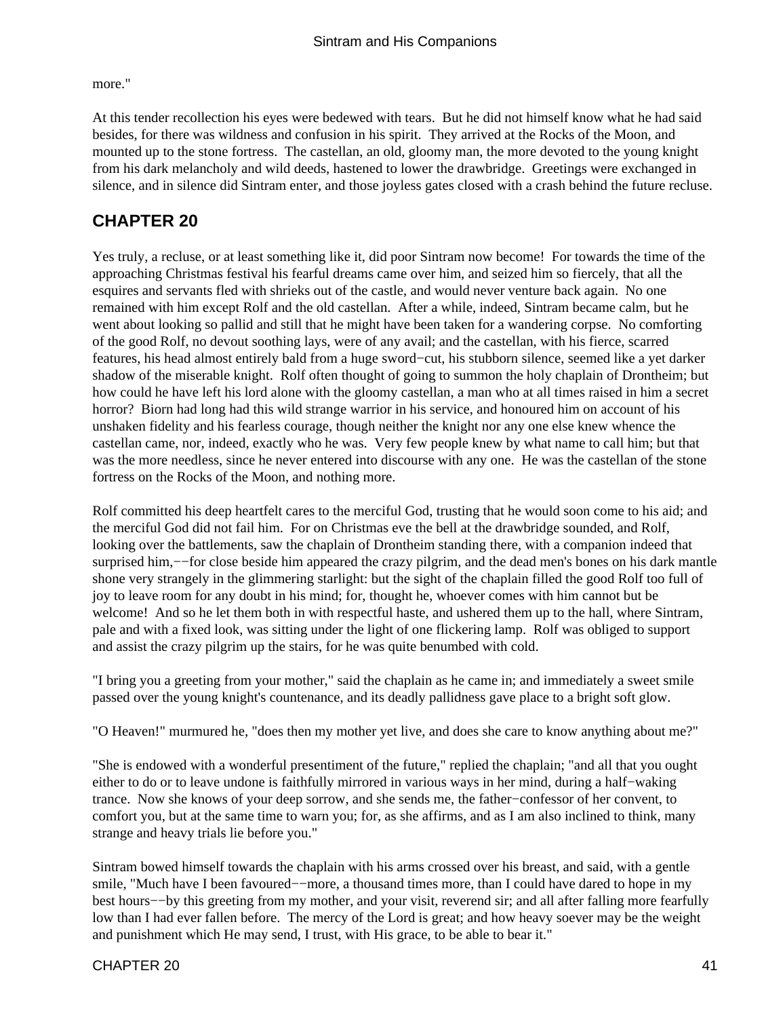<span id="page-42-0"></span>more."

At this tender recollection his eyes were bedewed with tears. But he did not himself know what he had said besides, for there was wildness and confusion in his spirit. They arrived at the Rocks of the Moon, and mounted up to the stone fortress. The castellan, an old, gloomy man, the more devoted to the young knight from his dark melancholy and wild deeds, hastened to lower the drawbridge. Greetings were exchanged in silence, and in silence did Sintram enter, and those joyless gates closed with a crash behind the future recluse.

### **CHAPTER 20**

Yes truly, a recluse, or at least something like it, did poor Sintram now become! For towards the time of the approaching Christmas festival his fearful dreams came over him, and seized him so fiercely, that all the esquires and servants fled with shrieks out of the castle, and would never venture back again. No one remained with him except Rolf and the old castellan. After a while, indeed, Sintram became calm, but he went about looking so pallid and still that he might have been taken for a wandering corpse. No comforting of the good Rolf, no devout soothing lays, were of any avail; and the castellan, with his fierce, scarred features, his head almost entirely bald from a huge sword−cut, his stubborn silence, seemed like a yet darker shadow of the miserable knight. Rolf often thought of going to summon the holy chaplain of Drontheim; but how could he have left his lord alone with the gloomy castellan, a man who at all times raised in him a secret horror? Biorn had long had this wild strange warrior in his service, and honoured him on account of his unshaken fidelity and his fearless courage, though neither the knight nor any one else knew whence the castellan came, nor, indeed, exactly who he was. Very few people knew by what name to call him; but that was the more needless, since he never entered into discourse with any one. He was the castellan of the stone fortress on the Rocks of the Moon, and nothing more.

Rolf committed his deep heartfelt cares to the merciful God, trusting that he would soon come to his aid; and the merciful God did not fail him. For on Christmas eve the bell at the drawbridge sounded, and Rolf, looking over the battlements, saw the chaplain of Drontheim standing there, with a companion indeed that surprised him,—−for close beside him appeared the crazy pilgrim, and the dead men's bones on his dark mantle shone very strangely in the glimmering starlight: but the sight of the chaplain filled the good Rolf too full of joy to leave room for any doubt in his mind; for, thought he, whoever comes with him cannot but be welcome! And so he let them both in with respectful haste, and ushered them up to the hall, where Sintram, pale and with a fixed look, was sitting under the light of one flickering lamp. Rolf was obliged to support and assist the crazy pilgrim up the stairs, for he was quite benumbed with cold.

"I bring you a greeting from your mother," said the chaplain as he came in; and immediately a sweet smile passed over the young knight's countenance, and its deadly pallidness gave place to a bright soft glow.

"O Heaven!" murmured he, "does then my mother yet live, and does she care to know anything about me?"

"She is endowed with a wonderful presentiment of the future," replied the chaplain; "and all that you ought either to do or to leave undone is faithfully mirrored in various ways in her mind, during a half−waking trance. Now she knows of your deep sorrow, and she sends me, the father−confessor of her convent, to comfort you, but at the same time to warn you; for, as she affirms, and as I am also inclined to think, many strange and heavy trials lie before you."

Sintram bowed himself towards the chaplain with his arms crossed over his breast, and said, with a gentle smile, "Much have I been favoured−−more, a thousand times more, than I could have dared to hope in my best hours−−by this greeting from my mother, and your visit, reverend sir; and all after falling more fearfully low than I had ever fallen before. The mercy of the Lord is great; and how heavy soever may be the weight and punishment which He may send, I trust, with His grace, to be able to bear it."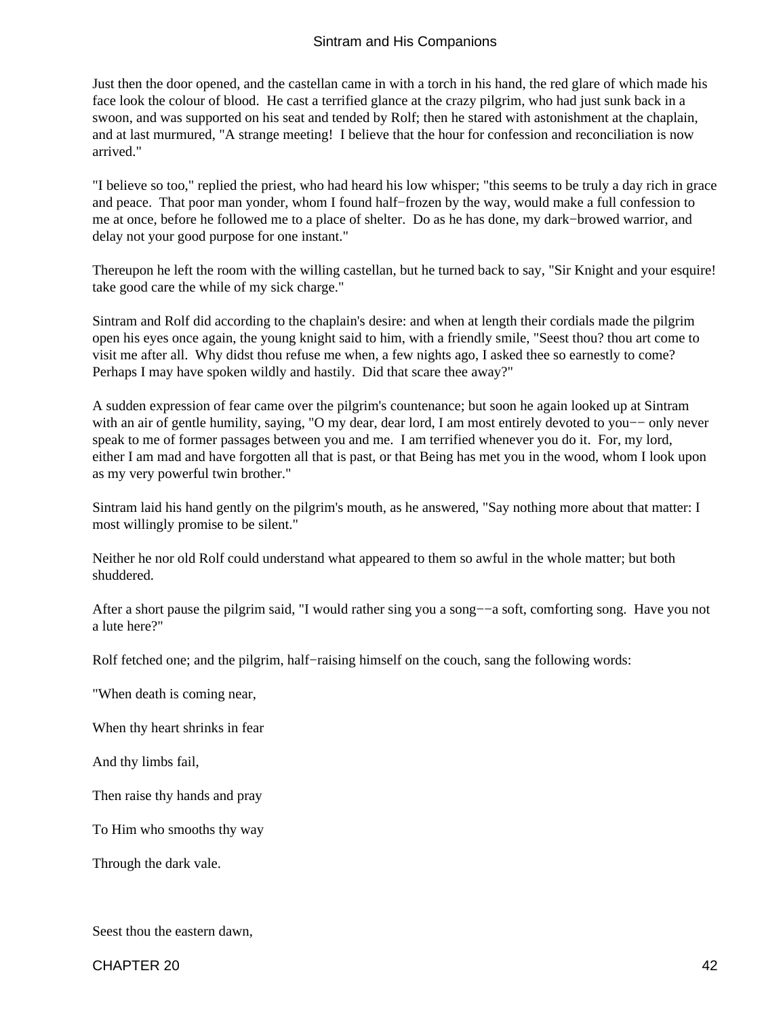Just then the door opened, and the castellan came in with a torch in his hand, the red glare of which made his face look the colour of blood. He cast a terrified glance at the crazy pilgrim, who had just sunk back in a swoon, and was supported on his seat and tended by Rolf; then he stared with astonishment at the chaplain, and at last murmured, "A strange meeting! I believe that the hour for confession and reconciliation is now arrived."

"I believe so too," replied the priest, who had heard his low whisper; "this seems to be truly a day rich in grace and peace. That poor man yonder, whom I found half−frozen by the way, would make a full confession to me at once, before he followed me to a place of shelter. Do as he has done, my dark−browed warrior, and delay not your good purpose for one instant."

Thereupon he left the room with the willing castellan, but he turned back to say, "Sir Knight and your esquire! take good care the while of my sick charge."

Sintram and Rolf did according to the chaplain's desire: and when at length their cordials made the pilgrim open his eyes once again, the young knight said to him, with a friendly smile, "Seest thou? thou art come to visit me after all. Why didst thou refuse me when, a few nights ago, I asked thee so earnestly to come? Perhaps I may have spoken wildly and hastily. Did that scare thee away?"

A sudden expression of fear came over the pilgrim's countenance; but soon he again looked up at Sintram with an air of gentle humility, saying, "O my dear, dear lord, I am most entirely devoted to you—– only never speak to me of former passages between you and me. I am terrified whenever you do it. For, my lord, either I am mad and have forgotten all that is past, or that Being has met you in the wood, whom I look upon as my very powerful twin brother."

Sintram laid his hand gently on the pilgrim's mouth, as he answered, "Say nothing more about that matter: I most willingly promise to be silent."

Neither he nor old Rolf could understand what appeared to them so awful in the whole matter; but both shuddered.

After a short pause the pilgrim said, "I would rather sing you a song−−a soft, comforting song. Have you not a lute here?"

Rolf fetched one; and the pilgrim, half−raising himself on the couch, sang the following words:

"When death is coming near,

When thy heart shrinks in fear

And thy limbs fail,

Then raise thy hands and pray

To Him who smooths thy way

Through the dark vale.

Seest thou the eastern dawn,

CHAPTER 20 42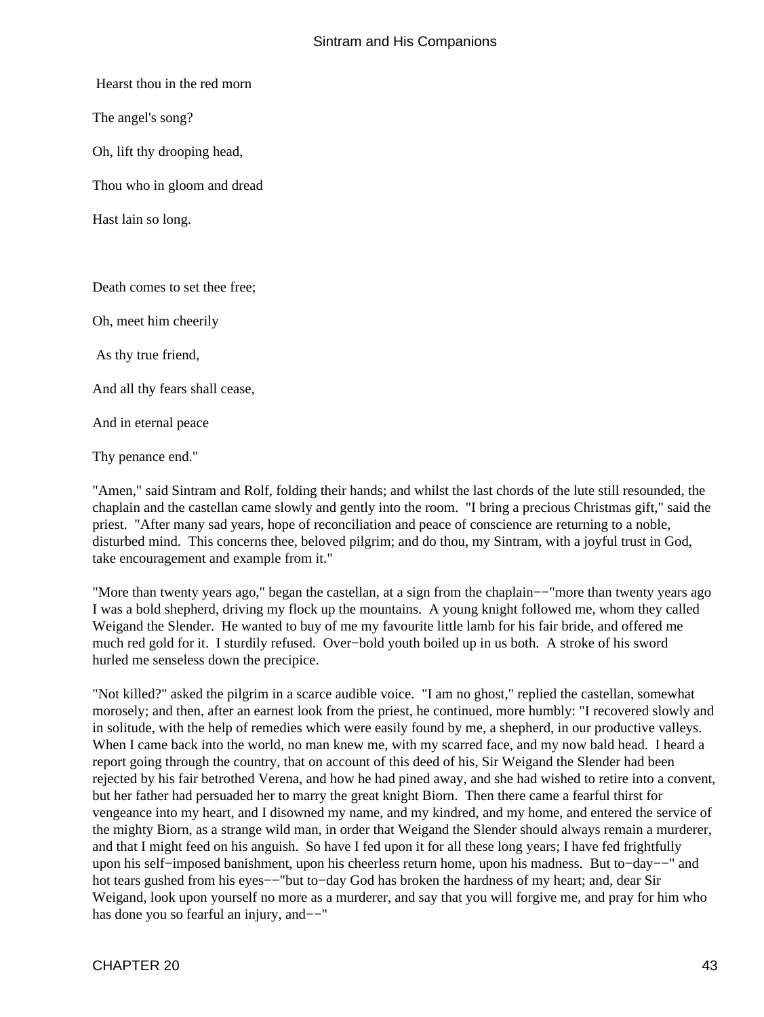Hearst thou in the red morn

The angel's song?

Oh, lift thy drooping head,

Thou who in gloom and dread

Hast lain so long.

Death comes to set thee free;

Oh, meet him cheerily

As thy true friend,

And all thy fears shall cease,

And in eternal peace

Thy penance end."

"Amen," said Sintram and Rolf, folding their hands; and whilst the last chords of the lute still resounded, the chaplain and the castellan came slowly and gently into the room. "I bring a precious Christmas gift," said the priest. "After many sad years, hope of reconciliation and peace of conscience are returning to a noble, disturbed mind. This concerns thee, beloved pilgrim; and do thou, my Sintram, with a joyful trust in God, take encouragement and example from it."

"More than twenty years ago," began the castellan, at a sign from the chaplain−−"more than twenty years ago I was a bold shepherd, driving my flock up the mountains. A young knight followed me, whom they called Weigand the Slender. He wanted to buy of me my favourite little lamb for his fair bride, and offered me much red gold for it. I sturdily refused. Over−bold youth boiled up in us both. A stroke of his sword hurled me senseless down the precipice.

"Not killed?" asked the pilgrim in a scarce audible voice. "I am no ghost," replied the castellan, somewhat morosely; and then, after an earnest look from the priest, he continued, more humbly: "I recovered slowly and in solitude, with the help of remedies which were easily found by me, a shepherd, in our productive valleys. When I came back into the world, no man knew me, with my scarred face, and my now bald head. I heard a report going through the country, that on account of this deed of his, Sir Weigand the Slender had been rejected by his fair betrothed Verena, and how he had pined away, and she had wished to retire into a convent, but her father had persuaded her to marry the great knight Biorn. Then there came a fearful thirst for vengeance into my heart, and I disowned my name, and my kindred, and my home, and entered the service of the mighty Biorn, as a strange wild man, in order that Weigand the Slender should always remain a murderer, and that I might feed on his anguish. So have I fed upon it for all these long years; I have fed frightfully upon his self−imposed banishment, upon his cheerless return home, upon his madness. But to−day−−" and hot tears gushed from his eyes−−"but to−day God has broken the hardness of my heart; and, dear Sir Weigand, look upon yourself no more as a murderer, and say that you will forgive me, and pray for him who has done you so fearful an injury, and−−"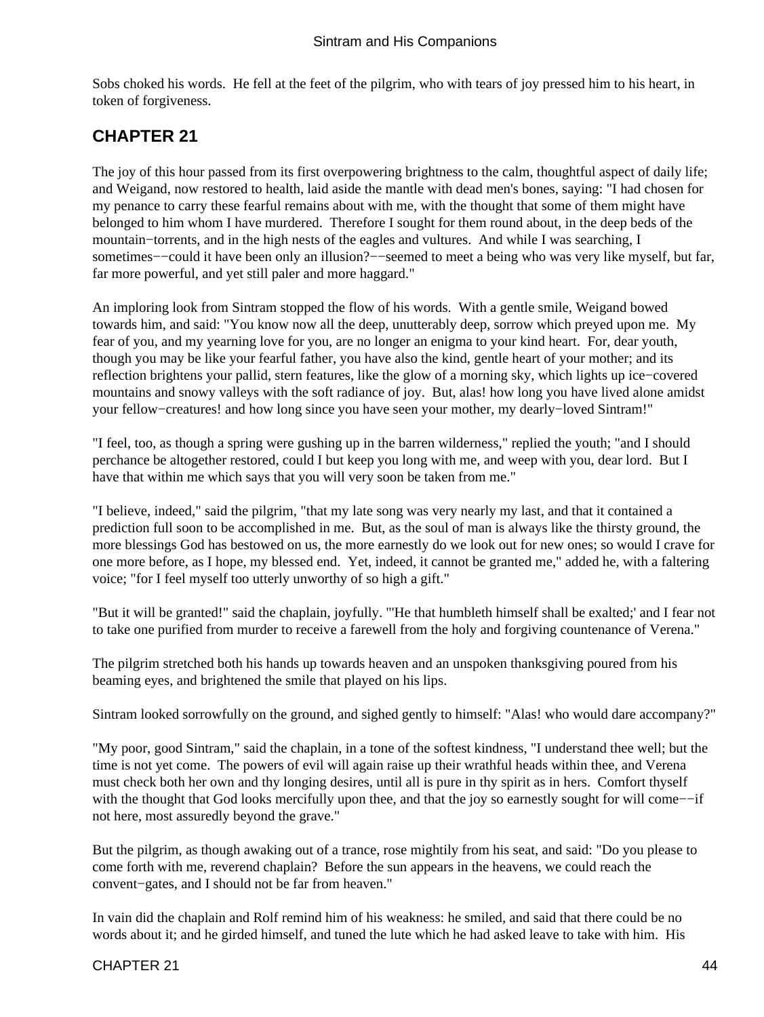<span id="page-45-0"></span>Sobs choked his words. He fell at the feet of the pilgrim, who with tears of joy pressed him to his heart, in token of forgiveness.

### **CHAPTER 21**

The joy of this hour passed from its first overpowering brightness to the calm, thoughtful aspect of daily life; and Weigand, now restored to health, laid aside the mantle with dead men's bones, saying: "I had chosen for my penance to carry these fearful remains about with me, with the thought that some of them might have belonged to him whom I have murdered. Therefore I sought for them round about, in the deep beds of the mountain−torrents, and in the high nests of the eagles and vultures. And while I was searching, I sometimes––could it have been only an illusion?––seemed to meet a being who was very like myself, but far, far more powerful, and yet still paler and more haggard."

An imploring look from Sintram stopped the flow of his words. With a gentle smile, Weigand bowed towards him, and said: "You know now all the deep, unutterably deep, sorrow which preyed upon me. My fear of you, and my yearning love for you, are no longer an enigma to your kind heart. For, dear youth, though you may be like your fearful father, you have also the kind, gentle heart of your mother; and its reflection brightens your pallid, stern features, like the glow of a morning sky, which lights up ice−covered mountains and snowy valleys with the soft radiance of joy. But, alas! how long you have lived alone amidst your fellow−creatures! and how long since you have seen your mother, my dearly−loved Sintram!"

"I feel, too, as though a spring were gushing up in the barren wilderness," replied the youth; "and I should perchance be altogether restored, could I but keep you long with me, and weep with you, dear lord. But I have that within me which says that you will very soon be taken from me."

"I believe, indeed," said the pilgrim, "that my late song was very nearly my last, and that it contained a prediction full soon to be accomplished in me. But, as the soul of man is always like the thirsty ground, the more blessings God has bestowed on us, the more earnestly do we look out for new ones; so would I crave for one more before, as I hope, my blessed end. Yet, indeed, it cannot be granted me," added he, with a faltering voice; "for I feel myself too utterly unworthy of so high a gift."

"But it will be granted!" said the chaplain, joyfully. "'He that humbleth himself shall be exalted;' and I fear not to take one purified from murder to receive a farewell from the holy and forgiving countenance of Verena."

The pilgrim stretched both his hands up towards heaven and an unspoken thanksgiving poured from his beaming eyes, and brightened the smile that played on his lips.

Sintram looked sorrowfully on the ground, and sighed gently to himself: "Alas! who would dare accompany?"

"My poor, good Sintram," said the chaplain, in a tone of the softest kindness, "I understand thee well; but the time is not yet come. The powers of evil will again raise up their wrathful heads within thee, and Verena must check both her own and thy longing desires, until all is pure in thy spirit as in hers. Comfort thyself with the thought that God looks mercifully upon thee, and that the joy so earnestly sought for will come––if not here, most assuredly beyond the grave."

But the pilgrim, as though awaking out of a trance, rose mightily from his seat, and said: "Do you please to come forth with me, reverend chaplain? Before the sun appears in the heavens, we could reach the convent−gates, and I should not be far from heaven."

In vain did the chaplain and Rolf remind him of his weakness: he smiled, and said that there could be no words about it; and he girded himself, and tuned the lute which he had asked leave to take with him. His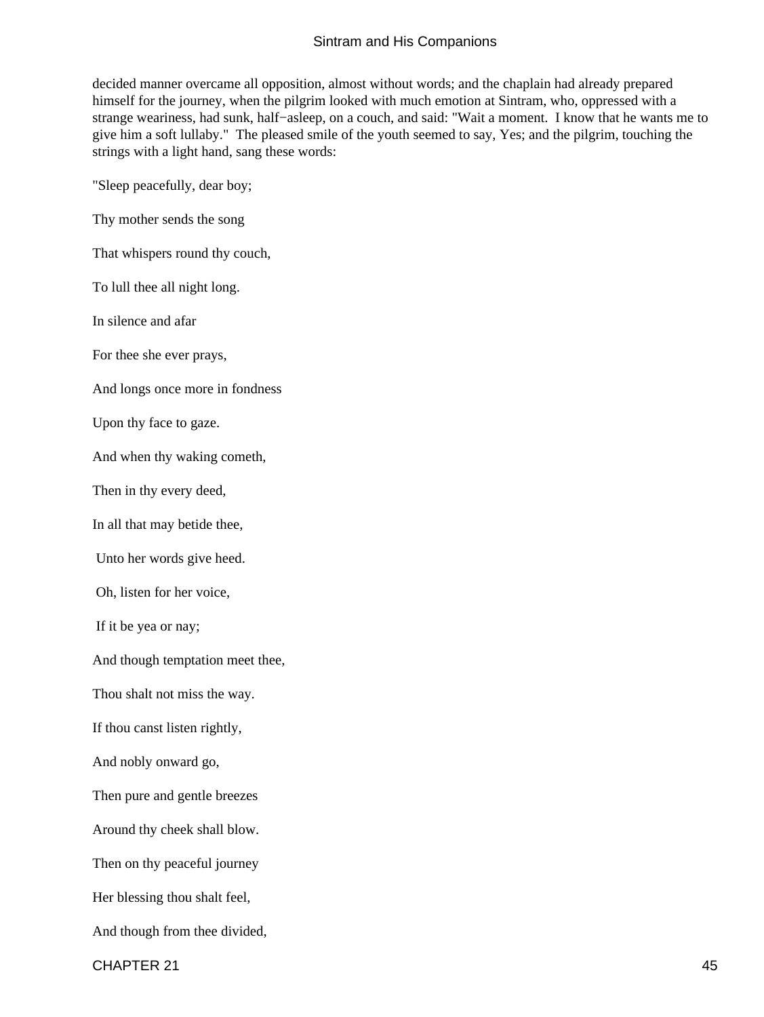decided manner overcame all opposition, almost without words; and the chaplain had already prepared himself for the journey, when the pilgrim looked with much emotion at Sintram, who, oppressed with a strange weariness, had sunk, half−asleep, on a couch, and said: "Wait a moment. I know that he wants me to give him a soft lullaby." The pleased smile of the youth seemed to say, Yes; and the pilgrim, touching the strings with a light hand, sang these words:

"Sleep peacefully, dear boy;

Thy mother sends the song

That whispers round thy couch,

To lull thee all night long.

In silence and afar

For thee she ever prays,

And longs once more in fondness

Upon thy face to gaze.

And when thy waking cometh,

Then in thy every deed,

In all that may betide thee,

Unto her words give heed.

Oh, listen for her voice,

If it be yea or nay;

And though temptation meet thee,

Thou shalt not miss the way.

If thou canst listen rightly,

And nobly onward go,

Then pure and gentle breezes

Around thy cheek shall blow.

Then on thy peaceful journey

Her blessing thou shalt feel,

And though from thee divided,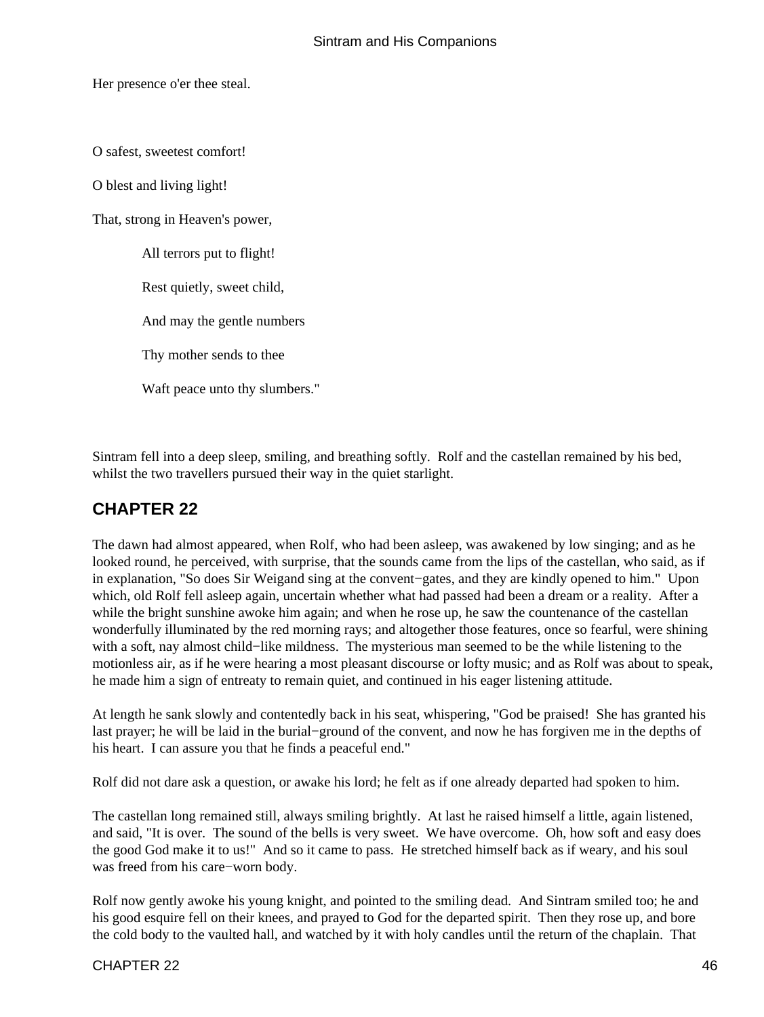<span id="page-47-0"></span>Her presence o'er thee steal.

O safest, sweetest comfort!

O blest and living light!

That, strong in Heaven's power,

All terrors put to flight!

Rest quietly, sweet child,

And may the gentle numbers

Thy mother sends to thee

Waft peace unto thy slumbers."

Sintram fell into a deep sleep, smiling, and breathing softly. Rolf and the castellan remained by his bed, whilst the two travellers pursued their way in the quiet starlight.

### **CHAPTER 22**

The dawn had almost appeared, when Rolf, who had been asleep, was awakened by low singing; and as he looked round, he perceived, with surprise, that the sounds came from the lips of the castellan, who said, as if in explanation, "So does Sir Weigand sing at the convent−gates, and they are kindly opened to him." Upon which, old Rolf fell asleep again, uncertain whether what had passed had been a dream or a reality. After a while the bright sunshine awoke him again; and when he rose up, he saw the countenance of the castellan wonderfully illuminated by the red morning rays; and altogether those features, once so fearful, were shining with a soft, nay almost child−like mildness. The mysterious man seemed to be the while listening to the motionless air, as if he were hearing a most pleasant discourse or lofty music; and as Rolf was about to speak, he made him a sign of entreaty to remain quiet, and continued in his eager listening attitude.

At length he sank slowly and contentedly back in his seat, whispering, "God be praised! She has granted his last prayer; he will be laid in the burial−ground of the convent, and now he has forgiven me in the depths of his heart. I can assure you that he finds a peaceful end."

Rolf did not dare ask a question, or awake his lord; he felt as if one already departed had spoken to him.

The castellan long remained still, always smiling brightly. At last he raised himself a little, again listened, and said, "It is over. The sound of the bells is very sweet. We have overcome. Oh, how soft and easy does the good God make it to us!" And so it came to pass. He stretched himself back as if weary, and his soul was freed from his care−worn body.

Rolf now gently awoke his young knight, and pointed to the smiling dead. And Sintram smiled too; he and his good esquire fell on their knees, and prayed to God for the departed spirit. Then they rose up, and bore the cold body to the vaulted hall, and watched by it with holy candles until the return of the chaplain. That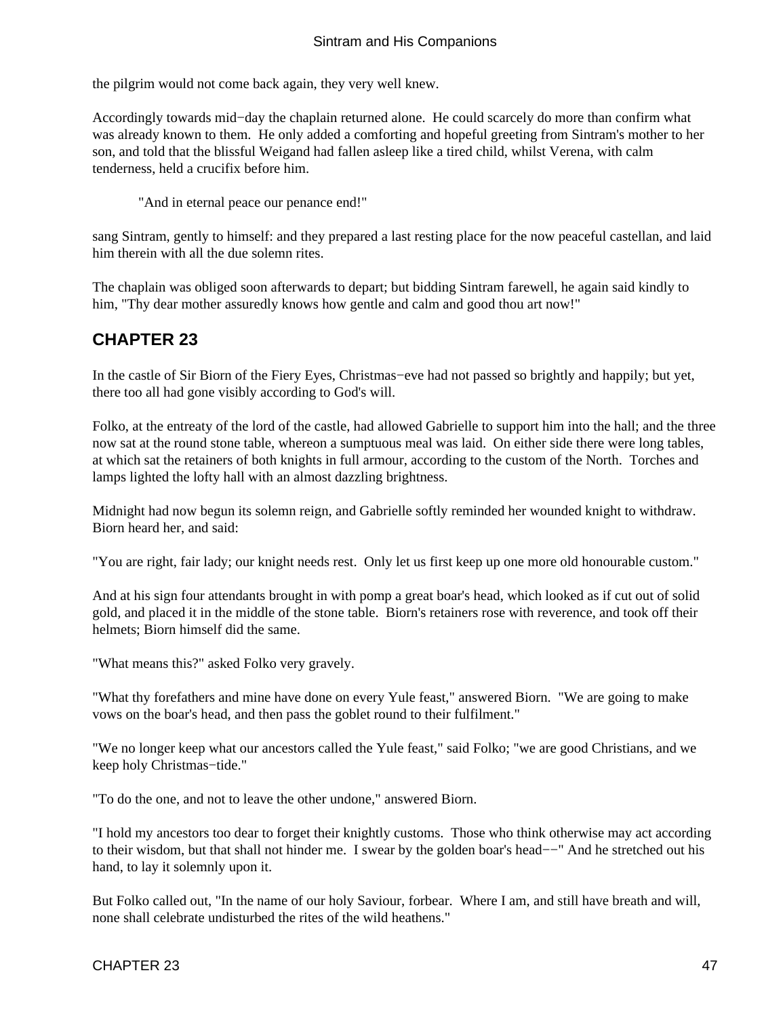<span id="page-48-0"></span>the pilgrim would not come back again, they very well knew.

Accordingly towards mid−day the chaplain returned alone. He could scarcely do more than confirm what was already known to them. He only added a comforting and hopeful greeting from Sintram's mother to her son, and told that the blissful Weigand had fallen asleep like a tired child, whilst Verena, with calm tenderness, held a crucifix before him.

"And in eternal peace our penance end!"

sang Sintram, gently to himself: and they prepared a last resting place for the now peaceful castellan, and laid him therein with all the due solemn rites.

The chaplain was obliged soon afterwards to depart; but bidding Sintram farewell, he again said kindly to him, "Thy dear mother assuredly knows how gentle and calm and good thou art now!"

### **CHAPTER 23**

In the castle of Sir Biorn of the Fiery Eyes, Christmas−eve had not passed so brightly and happily; but yet, there too all had gone visibly according to God's will.

Folko, at the entreaty of the lord of the castle, had allowed Gabrielle to support him into the hall; and the three now sat at the round stone table, whereon a sumptuous meal was laid. On either side there were long tables, at which sat the retainers of both knights in full armour, according to the custom of the North. Torches and lamps lighted the lofty hall with an almost dazzling brightness.

Midnight had now begun its solemn reign, and Gabrielle softly reminded her wounded knight to withdraw. Biorn heard her, and said:

"You are right, fair lady; our knight needs rest. Only let us first keep up one more old honourable custom."

And at his sign four attendants brought in with pomp a great boar's head, which looked as if cut out of solid gold, and placed it in the middle of the stone table. Biorn's retainers rose with reverence, and took off their helmets; Biorn himself did the same.

"What means this?" asked Folko very gravely.

"What thy forefathers and mine have done on every Yule feast," answered Biorn. "We are going to make vows on the boar's head, and then pass the goblet round to their fulfilment."

"We no longer keep what our ancestors called the Yule feast," said Folko; "we are good Christians, and we keep holy Christmas−tide."

"To do the one, and not to leave the other undone," answered Biorn.

"I hold my ancestors too dear to forget their knightly customs. Those who think otherwise may act according to their wisdom, but that shall not hinder me. I swear by the golden boar's head−−" And he stretched out his hand, to lay it solemnly upon it.

But Folko called out, "In the name of our holy Saviour, forbear. Where I am, and still have breath and will, none shall celebrate undisturbed the rites of the wild heathens."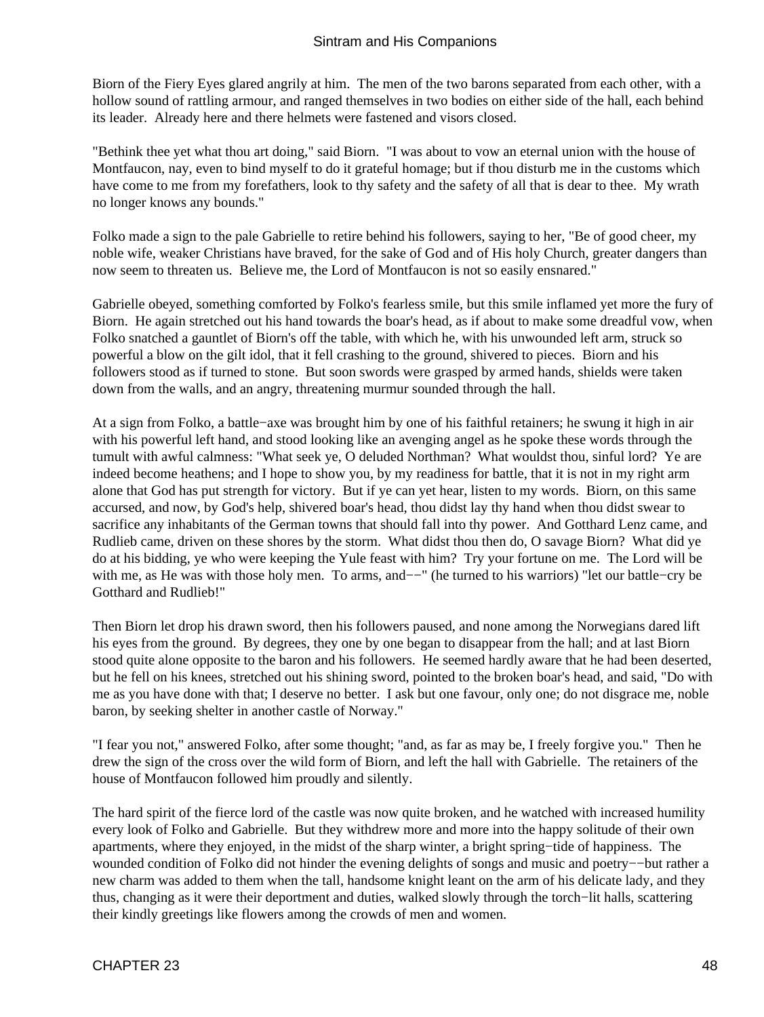Biorn of the Fiery Eyes glared angrily at him. The men of the two barons separated from each other, with a hollow sound of rattling armour, and ranged themselves in two bodies on either side of the hall, each behind its leader. Already here and there helmets were fastened and visors closed.

"Bethink thee yet what thou art doing," said Biorn. "I was about to vow an eternal union with the house of Montfaucon, nay, even to bind myself to do it grateful homage; but if thou disturb me in the customs which have come to me from my forefathers, look to thy safety and the safety of all that is dear to thee. My wrath no longer knows any bounds."

Folko made a sign to the pale Gabrielle to retire behind his followers, saying to her, "Be of good cheer, my noble wife, weaker Christians have braved, for the sake of God and of His holy Church, greater dangers than now seem to threaten us. Believe me, the Lord of Montfaucon is not so easily ensnared."

Gabrielle obeyed, something comforted by Folko's fearless smile, but this smile inflamed yet more the fury of Biorn. He again stretched out his hand towards the boar's head, as if about to make some dreadful vow, when Folko snatched a gauntlet of Biorn's off the table, with which he, with his unwounded left arm, struck so powerful a blow on the gilt idol, that it fell crashing to the ground, shivered to pieces. Biorn and his followers stood as if turned to stone. But soon swords were grasped by armed hands, shields were taken down from the walls, and an angry, threatening murmur sounded through the hall.

At a sign from Folko, a battle−axe was brought him by one of his faithful retainers; he swung it high in air with his powerful left hand, and stood looking like an avenging angel as he spoke these words through the tumult with awful calmness: "What seek ye, O deluded Northman? What wouldst thou, sinful lord? Ye are indeed become heathens; and I hope to show you, by my readiness for battle, that it is not in my right arm alone that God has put strength for victory. But if ye can yet hear, listen to my words. Biorn, on this same accursed, and now, by God's help, shivered boar's head, thou didst lay thy hand when thou didst swear to sacrifice any inhabitants of the German towns that should fall into thy power. And Gotthard Lenz came, and Rudlieb came, driven on these shores by the storm. What didst thou then do, O savage Biorn? What did ye do at his bidding, ye who were keeping the Yule feast with him? Try your fortune on me. The Lord will be with me, as He was with those holy men. To arms, and–−" (he turned to his warriors) "let our battle–cry be Gotthard and Rudlieb!"

Then Biorn let drop his drawn sword, then his followers paused, and none among the Norwegians dared lift his eyes from the ground. By degrees, they one by one began to disappear from the hall; and at last Biorn stood quite alone opposite to the baron and his followers. He seemed hardly aware that he had been deserted, but he fell on his knees, stretched out his shining sword, pointed to the broken boar's head, and said, "Do with me as you have done with that; I deserve no better. I ask but one favour, only one; do not disgrace me, noble baron, by seeking shelter in another castle of Norway."

"I fear you not," answered Folko, after some thought; "and, as far as may be, I freely forgive you." Then he drew the sign of the cross over the wild form of Biorn, and left the hall with Gabrielle. The retainers of the house of Montfaucon followed him proudly and silently.

The hard spirit of the fierce lord of the castle was now quite broken, and he watched with increased humility every look of Folko and Gabrielle. But they withdrew more and more into the happy solitude of their own apartments, where they enjoyed, in the midst of the sharp winter, a bright spring−tide of happiness. The wounded condition of Folko did not hinder the evening delights of songs and music and poetry−−but rather a new charm was added to them when the tall, handsome knight leant on the arm of his delicate lady, and they thus, changing as it were their deportment and duties, walked slowly through the torch−lit halls, scattering their kindly greetings like flowers among the crowds of men and women.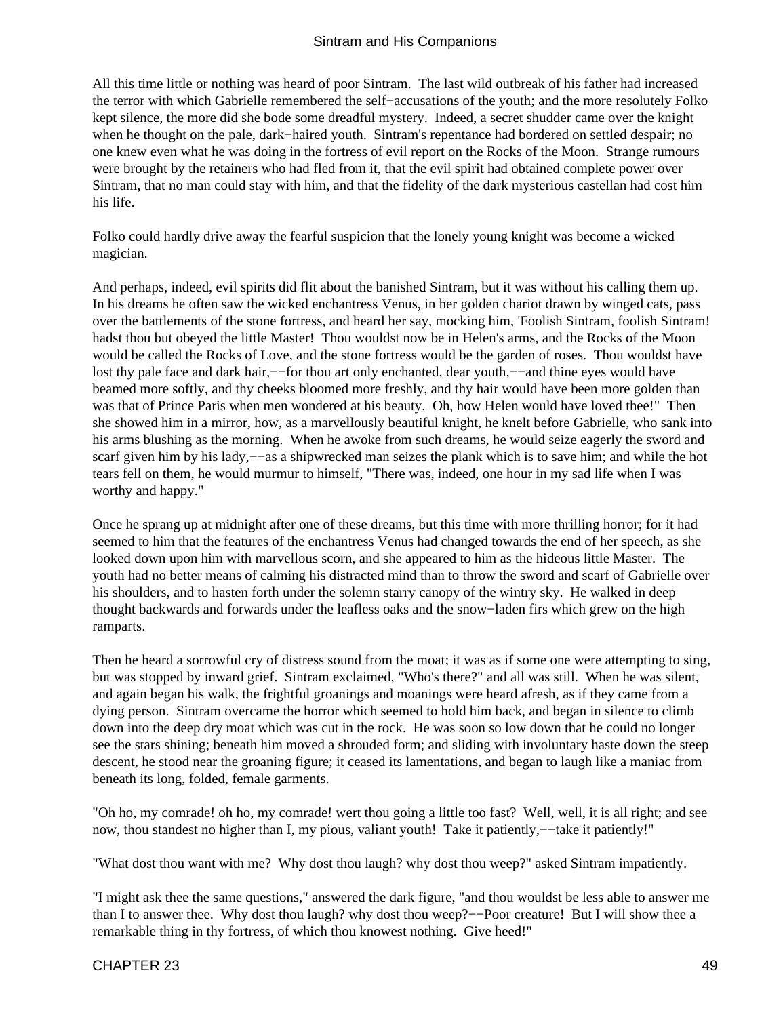All this time little or nothing was heard of poor Sintram. The last wild outbreak of his father had increased the terror with which Gabrielle remembered the self−accusations of the youth; and the more resolutely Folko kept silence, the more did she bode some dreadful mystery. Indeed, a secret shudder came over the knight when he thought on the pale, dark−haired youth. Sintram's repentance had bordered on settled despair; no one knew even what he was doing in the fortress of evil report on the Rocks of the Moon. Strange rumours were brought by the retainers who had fled from it, that the evil spirit had obtained complete power over Sintram, that no man could stay with him, and that the fidelity of the dark mysterious castellan had cost him his life.

Folko could hardly drive away the fearful suspicion that the lonely young knight was become a wicked magician.

And perhaps, indeed, evil spirits did flit about the banished Sintram, but it was without his calling them up. In his dreams he often saw the wicked enchantress Venus, in her golden chariot drawn by winged cats, pass over the battlements of the stone fortress, and heard her say, mocking him, 'Foolish Sintram, foolish Sintram! hadst thou but obeyed the little Master! Thou wouldst now be in Helen's arms, and the Rocks of the Moon would be called the Rocks of Love, and the stone fortress would be the garden of roses. Thou wouldst have lost thy pale face and dark hair,–−for thou art only enchanted, dear youth,––and thine eyes would have beamed more softly, and thy cheeks bloomed more freshly, and thy hair would have been more golden than was that of Prince Paris when men wondered at his beauty. Oh, how Helen would have loved thee!" Then she showed him in a mirror, how, as a marvellously beautiful knight, he knelt before Gabrielle, who sank into his arms blushing as the morning. When he awoke from such dreams, he would seize eagerly the sword and scarf given him by his lady,—–as a shipwrecked man seizes the plank which is to save him; and while the hot tears fell on them, he would murmur to himself, "There was, indeed, one hour in my sad life when I was worthy and happy."

Once he sprang up at midnight after one of these dreams, but this time with more thrilling horror; for it had seemed to him that the features of the enchantress Venus had changed towards the end of her speech, as she looked down upon him with marvellous scorn, and she appeared to him as the hideous little Master. The youth had no better means of calming his distracted mind than to throw the sword and scarf of Gabrielle over his shoulders, and to hasten forth under the solemn starry canopy of the wintry sky. He walked in deep thought backwards and forwards under the leafless oaks and the snow−laden firs which grew on the high ramparts.

Then he heard a sorrowful cry of distress sound from the moat; it was as if some one were attempting to sing, but was stopped by inward grief. Sintram exclaimed, "Who's there?" and all was still. When he was silent, and again began his walk, the frightful groanings and moanings were heard afresh, as if they came from a dying person. Sintram overcame the horror which seemed to hold him back, and began in silence to climb down into the deep dry moat which was cut in the rock. He was soon so low down that he could no longer see the stars shining; beneath him moved a shrouded form; and sliding with involuntary haste down the steep descent, he stood near the groaning figure; it ceased its lamentations, and began to laugh like a maniac from beneath its long, folded, female garments.

"Oh ho, my comrade! oh ho, my comrade! wert thou going a little too fast? Well, well, it is all right; and see now, thou standest no higher than I, my pious, valiant youth! Take it patiently,—–take it patiently!"

"What dost thou want with me? Why dost thou laugh? why dost thou weep?" asked Sintram impatiently.

"I might ask thee the same questions," answered the dark figure, "and thou wouldst be less able to answer me than I to answer thee. Why dost thou laugh? why dost thou weep?−−Poor creature! But I will show thee a remarkable thing in thy fortress, of which thou knowest nothing. Give heed!"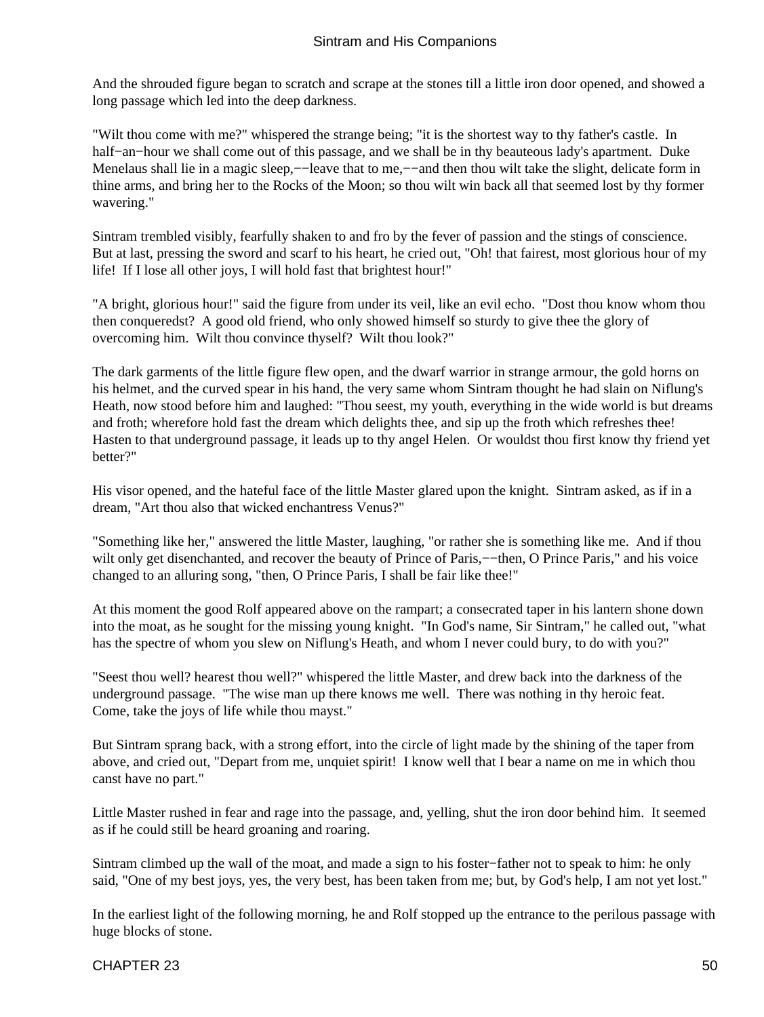And the shrouded figure began to scratch and scrape at the stones till a little iron door opened, and showed a long passage which led into the deep darkness.

"Wilt thou come with me?" whispered the strange being; "it is the shortest way to thy father's castle. In half−an−hour we shall come out of this passage, and we shall be in thy beauteous lady's apartment. Duke Menelaus shall lie in a magic sleep,—−leave that to me,—–and then thou wilt take the slight, delicate form in thine arms, and bring her to the Rocks of the Moon; so thou wilt win back all that seemed lost by thy former wavering."

Sintram trembled visibly, fearfully shaken to and fro by the fever of passion and the stings of conscience. But at last, pressing the sword and scarf to his heart, he cried out, "Oh! that fairest, most glorious hour of my life! If I lose all other joys, I will hold fast that brightest hour!"

"A bright, glorious hour!" said the figure from under its veil, like an evil echo. "Dost thou know whom thou then conqueredst? A good old friend, who only showed himself so sturdy to give thee the glory of overcoming him. Wilt thou convince thyself? Wilt thou look?"

The dark garments of the little figure flew open, and the dwarf warrior in strange armour, the gold horns on his helmet, and the curved spear in his hand, the very same whom Sintram thought he had slain on Niflung's Heath, now stood before him and laughed: "Thou seest, my youth, everything in the wide world is but dreams and froth; wherefore hold fast the dream which delights thee, and sip up the froth which refreshes thee! Hasten to that underground passage, it leads up to thy angel Helen. Or wouldst thou first know thy friend yet better?"

His visor opened, and the hateful face of the little Master glared upon the knight. Sintram asked, as if in a dream, "Art thou also that wicked enchantress Venus?"

"Something like her," answered the little Master, laughing, "or rather she is something like me. And if thou wilt only get disenchanted, and recover the beauty of Prince of Paris,–−then, O Prince Paris," and his voice changed to an alluring song, "then, O Prince Paris, I shall be fair like thee!"

At this moment the good Rolf appeared above on the rampart; a consecrated taper in his lantern shone down into the moat, as he sought for the missing young knight. "In God's name, Sir Sintram," he called out, "what has the spectre of whom you slew on Niflung's Heath, and whom I never could bury, to do with you?"

"Seest thou well? hearest thou well?" whispered the little Master, and drew back into the darkness of the underground passage. "The wise man up there knows me well. There was nothing in thy heroic feat. Come, take the joys of life while thou mayst."

But Sintram sprang back, with a strong effort, into the circle of light made by the shining of the taper from above, and cried out, "Depart from me, unquiet spirit! I know well that I bear a name on me in which thou canst have no part."

Little Master rushed in fear and rage into the passage, and, yelling, shut the iron door behind him. It seemed as if he could still be heard groaning and roaring.

Sintram climbed up the wall of the moat, and made a sign to his foster−father not to speak to him: he only said, "One of my best joys, yes, the very best, has been taken from me; but, by God's help, I am not yet lost."

In the earliest light of the following morning, he and Rolf stopped up the entrance to the perilous passage with huge blocks of stone.

#### CHAPTER 23 50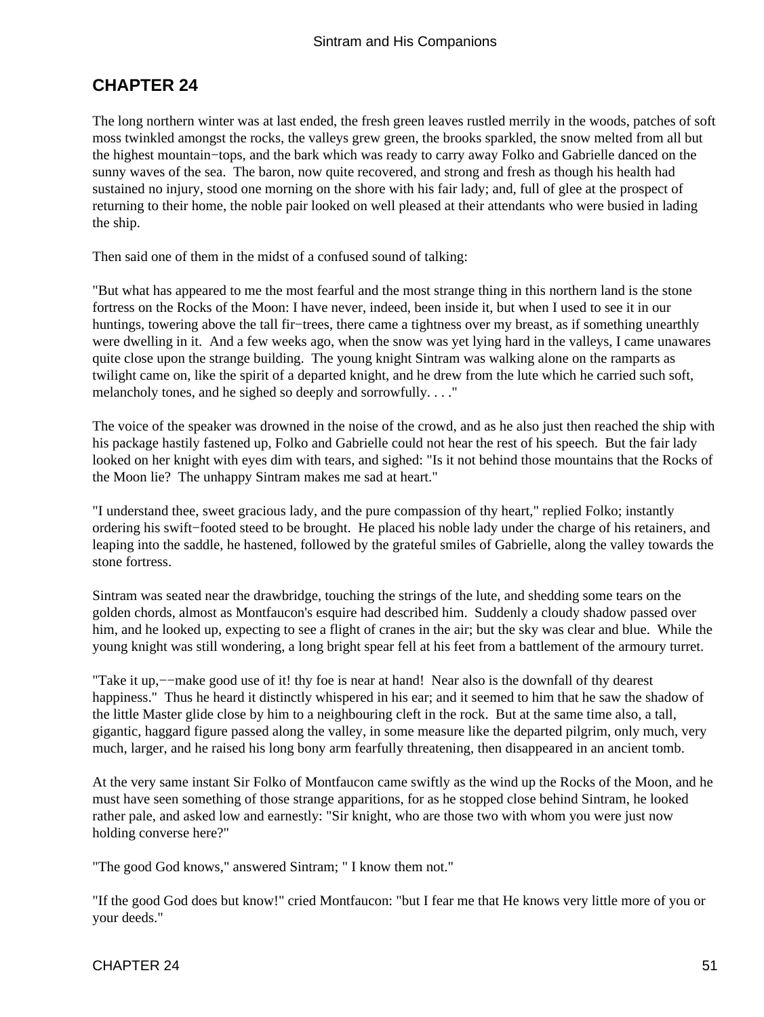### <span id="page-52-0"></span>**CHAPTER 24**

The long northern winter was at last ended, the fresh green leaves rustled merrily in the woods, patches of soft moss twinkled amongst the rocks, the valleys grew green, the brooks sparkled, the snow melted from all but the highest mountain−tops, and the bark which was ready to carry away Folko and Gabrielle danced on the sunny waves of the sea. The baron, now quite recovered, and strong and fresh as though his health had sustained no injury, stood one morning on the shore with his fair lady; and, full of glee at the prospect of returning to their home, the noble pair looked on well pleased at their attendants who were busied in lading the ship.

Then said one of them in the midst of a confused sound of talking:

"But what has appeared to me the most fearful and the most strange thing in this northern land is the stone fortress on the Rocks of the Moon: I have never, indeed, been inside it, but when I used to see it in our huntings, towering above the tall fir−trees, there came a tightness over my breast, as if something unearthly were dwelling in it. And a few weeks ago, when the snow was yet lying hard in the valleys, I came unawares quite close upon the strange building. The young knight Sintram was walking alone on the ramparts as twilight came on, like the spirit of a departed knight, and he drew from the lute which he carried such soft, melancholy tones, and he sighed so deeply and sorrowfully. . . ."

The voice of the speaker was drowned in the noise of the crowd, and as he also just then reached the ship with his package hastily fastened up, Folko and Gabrielle could not hear the rest of his speech. But the fair lady looked on her knight with eyes dim with tears, and sighed: "Is it not behind those mountains that the Rocks of the Moon lie? The unhappy Sintram makes me sad at heart."

"I understand thee, sweet gracious lady, and the pure compassion of thy heart," replied Folko; instantly ordering his swift−footed steed to be brought. He placed his noble lady under the charge of his retainers, and leaping into the saddle, he hastened, followed by the grateful smiles of Gabrielle, along the valley towards the stone fortress.

Sintram was seated near the drawbridge, touching the strings of the lute, and shedding some tears on the golden chords, almost as Montfaucon's esquire had described him. Suddenly a cloudy shadow passed over him, and he looked up, expecting to see a flight of cranes in the air; but the sky was clear and blue. While the young knight was still wondering, a long bright spear fell at his feet from a battlement of the armoury turret.

"Take it up,−−make good use of it! thy foe is near at hand! Near also is the downfall of thy dearest happiness." Thus he heard it distinctly whispered in his ear; and it seemed to him that he saw the shadow of the little Master glide close by him to a neighbouring cleft in the rock. But at the same time also, a tall, gigantic, haggard figure passed along the valley, in some measure like the departed pilgrim, only much, very much, larger, and he raised his long bony arm fearfully threatening, then disappeared in an ancient tomb.

At the very same instant Sir Folko of Montfaucon came swiftly as the wind up the Rocks of the Moon, and he must have seen something of those strange apparitions, for as he stopped close behind Sintram, he looked rather pale, and asked low and earnestly: "Sir knight, who are those two with whom you were just now holding converse here?"

"The good God knows," answered Sintram; " I know them not."

"If the good God does but know!" cried Montfaucon: "but I fear me that He knows very little more of you or your deeds."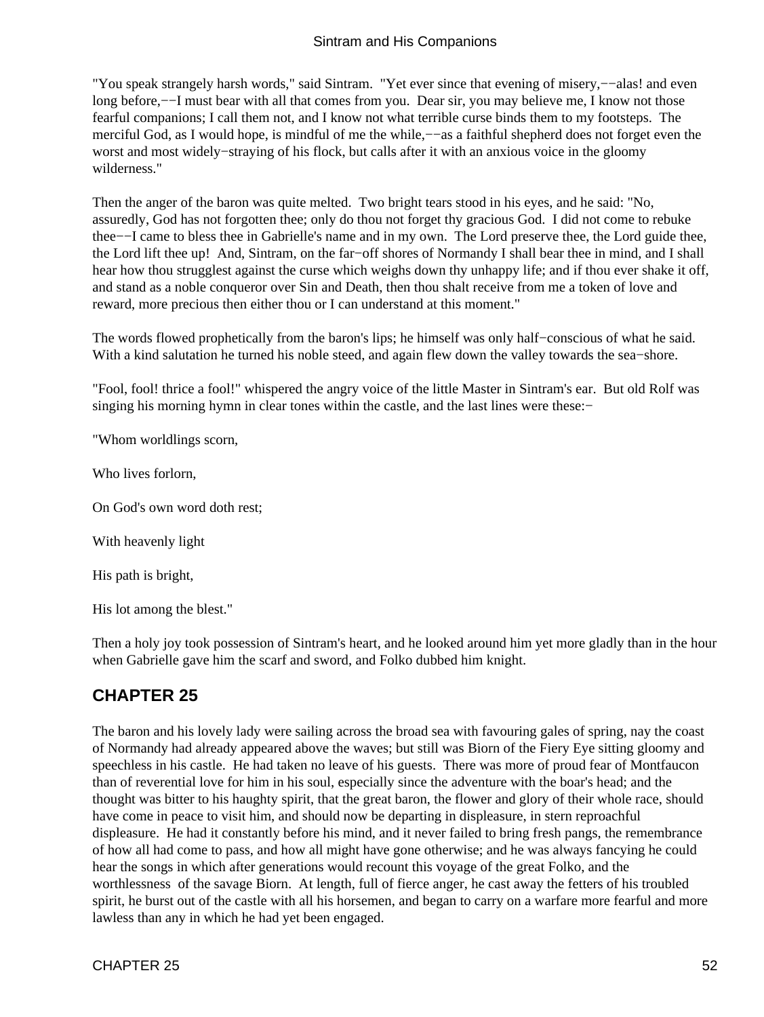<span id="page-53-0"></span>"You speak strangely harsh words," said Sintram. "Yet ever since that evening of misery,−−alas! and even long before,−−I must bear with all that comes from you. Dear sir, you may believe me, I know not those fearful companions; I call them not, and I know not what terrible curse binds them to my footsteps. The merciful God, as I would hope, is mindful of me the while,—–as a faithful shepherd does not forget even the worst and most widely−straying of his flock, but calls after it with an anxious voice in the gloomy wilderness."

Then the anger of the baron was quite melted. Two bright tears stood in his eyes, and he said: "No, assuredly, God has not forgotten thee; only do thou not forget thy gracious God. I did not come to rebuke thee−−I came to bless thee in Gabrielle's name and in my own. The Lord preserve thee, the Lord guide thee, the Lord lift thee up! And, Sintram, on the far−off shores of Normandy I shall bear thee in mind, and I shall hear how thou strugglest against the curse which weighs down thy unhappy life; and if thou ever shake it off, and stand as a noble conqueror over Sin and Death, then thou shalt receive from me a token of love and reward, more precious then either thou or I can understand at this moment."

The words flowed prophetically from the baron's lips; he himself was only half−conscious of what he said. With a kind salutation he turned his noble steed, and again flew down the valley towards the sea−shore.

"Fool, fool! thrice a fool!" whispered the angry voice of the little Master in Sintram's ear. But old Rolf was singing his morning hymn in clear tones within the castle, and the last lines were these:−

"Whom worldlings scorn,

Who lives forlorn,

On God's own word doth rest;

With heavenly light

His path is bright,

His lot among the blest."

Then a holy joy took possession of Sintram's heart, and he looked around him yet more gladly than in the hour when Gabrielle gave him the scarf and sword, and Folko dubbed him knight.

### **CHAPTER 25**

The baron and his lovely lady were sailing across the broad sea with favouring gales of spring, nay the coast of Normandy had already appeared above the waves; but still was Biorn of the Fiery Eye sitting gloomy and speechless in his castle. He had taken no leave of his guests. There was more of proud fear of Montfaucon than of reverential love for him in his soul, especially since the adventure with the boar's head; and the thought was bitter to his haughty spirit, that the great baron, the flower and glory of their whole race, should have come in peace to visit him, and should now be departing in displeasure, in stern reproachful displeasure. He had it constantly before his mind, and it never failed to bring fresh pangs, the remembrance of how all had come to pass, and how all might have gone otherwise; and he was always fancying he could hear the songs in which after generations would recount this voyage of the great Folko, and the worthlessness of the savage Biorn. At length, full of fierce anger, he cast away the fetters of his troubled spirit, he burst out of the castle with all his horsemen, and began to carry on a warfare more fearful and more lawless than any in which he had yet been engaged.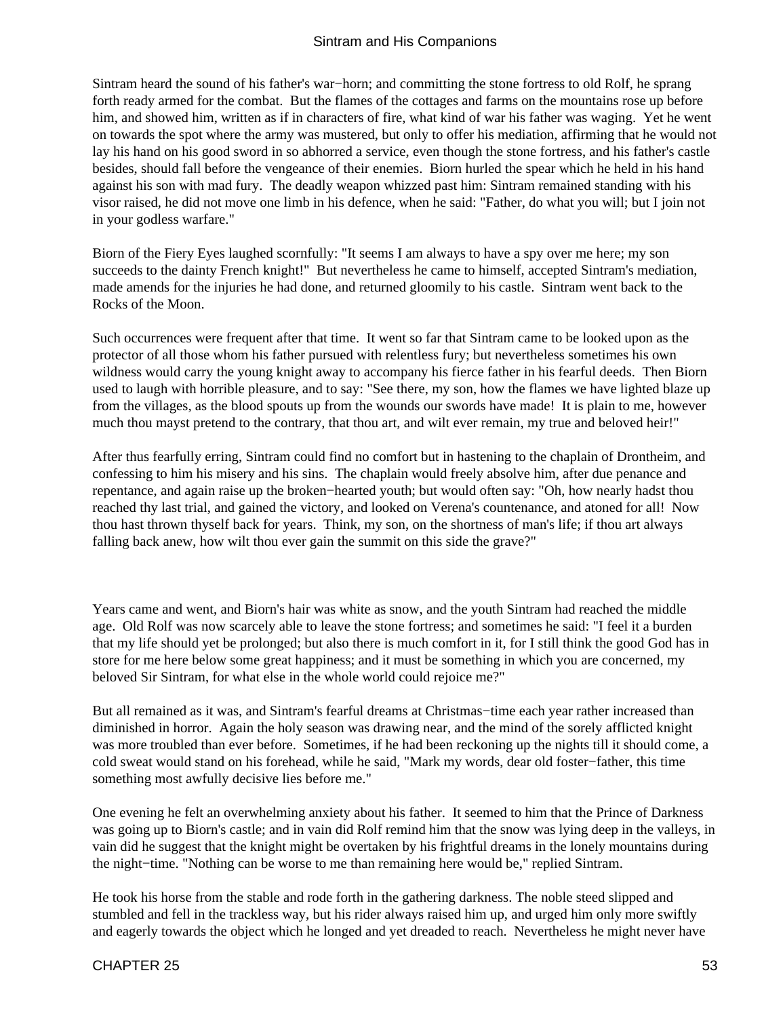Sintram heard the sound of his father's war−horn; and committing the stone fortress to old Rolf, he sprang forth ready armed for the combat. But the flames of the cottages and farms on the mountains rose up before him, and showed him, written as if in characters of fire, what kind of war his father was waging. Yet he went on towards the spot where the army was mustered, but only to offer his mediation, affirming that he would not lay his hand on his good sword in so abhorred a service, even though the stone fortress, and his father's castle besides, should fall before the vengeance of their enemies. Biorn hurled the spear which he held in his hand against his son with mad fury. The deadly weapon whizzed past him: Sintram remained standing with his visor raised, he did not move one limb in his defence, when he said: "Father, do what you will; but I join not in your godless warfare."

Biorn of the Fiery Eyes laughed scornfully: "It seems I am always to have a spy over me here; my son succeeds to the dainty French knight!" But nevertheless he came to himself, accepted Sintram's mediation, made amends for the injuries he had done, and returned gloomily to his castle. Sintram went back to the Rocks of the Moon.

Such occurrences were frequent after that time. It went so far that Sintram came to be looked upon as the protector of all those whom his father pursued with relentless fury; but nevertheless sometimes his own wildness would carry the young knight away to accompany his fierce father in his fearful deeds. Then Biorn used to laugh with horrible pleasure, and to say: "See there, my son, how the flames we have lighted blaze up from the villages, as the blood spouts up from the wounds our swords have made! It is plain to me, however much thou mayst pretend to the contrary, that thou art, and wilt ever remain, my true and beloved heir!"

After thus fearfully erring, Sintram could find no comfort but in hastening to the chaplain of Drontheim, and confessing to him his misery and his sins. The chaplain would freely absolve him, after due penance and repentance, and again raise up the broken−hearted youth; but would often say: "Oh, how nearly hadst thou reached thy last trial, and gained the victory, and looked on Verena's countenance, and atoned for all! Now thou hast thrown thyself back for years. Think, my son, on the shortness of man's life; if thou art always falling back anew, how wilt thou ever gain the summit on this side the grave?"

Years came and went, and Biorn's hair was white as snow, and the youth Sintram had reached the middle age. Old Rolf was now scarcely able to leave the stone fortress; and sometimes he said: "I feel it a burden that my life should yet be prolonged; but also there is much comfort in it, for I still think the good God has in store for me here below some great happiness; and it must be something in which you are concerned, my beloved Sir Sintram, for what else in the whole world could rejoice me?"

But all remained as it was, and Sintram's fearful dreams at Christmas−time each year rather increased than diminished in horror. Again the holy season was drawing near, and the mind of the sorely afflicted knight was more troubled than ever before. Sometimes, if he had been reckoning up the nights till it should come, a cold sweat would stand on his forehead, while he said, "Mark my words, dear old foster−father, this time something most awfully decisive lies before me."

One evening he felt an overwhelming anxiety about his father. It seemed to him that the Prince of Darkness was going up to Biorn's castle; and in vain did Rolf remind him that the snow was lying deep in the valleys, in vain did he suggest that the knight might be overtaken by his frightful dreams in the lonely mountains during the night−time. "Nothing can be worse to me than remaining here would be," replied Sintram.

He took his horse from the stable and rode forth in the gathering darkness. The noble steed slipped and stumbled and fell in the trackless way, but his rider always raised him up, and urged him only more swiftly and eagerly towards the object which he longed and yet dreaded to reach. Nevertheless he might never have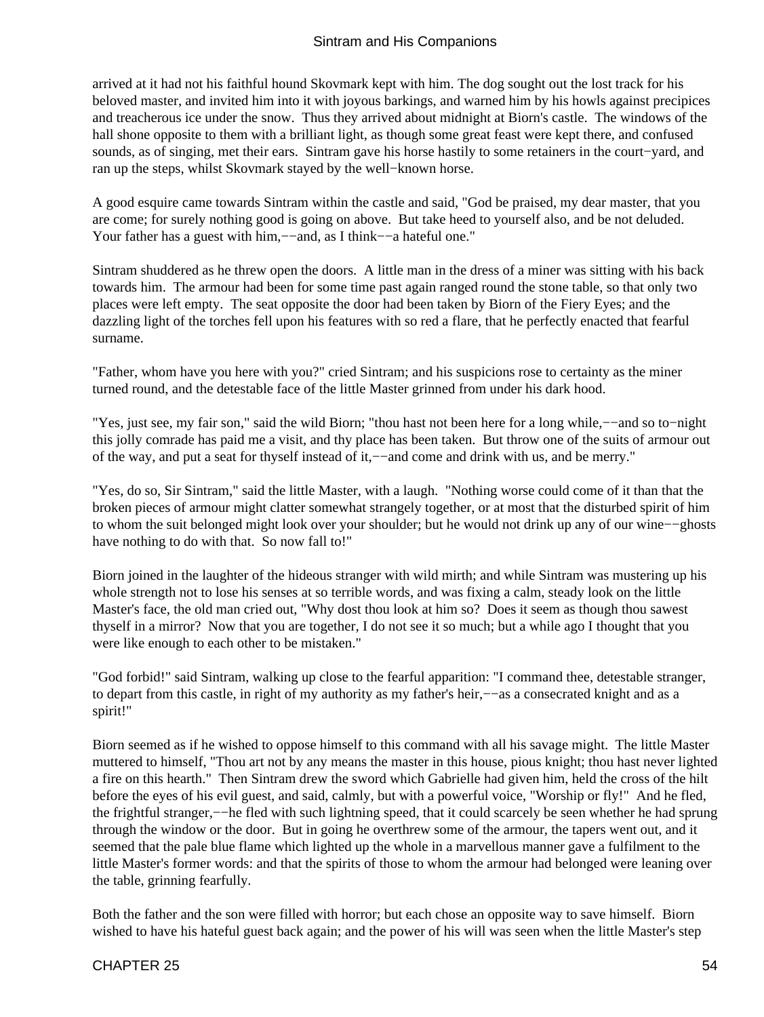arrived at it had not his faithful hound Skovmark kept with him. The dog sought out the lost track for his beloved master, and invited him into it with joyous barkings, and warned him by his howls against precipices and treacherous ice under the snow. Thus they arrived about midnight at Biorn's castle. The windows of the hall shone opposite to them with a brilliant light, as though some great feast were kept there, and confused sounds, as of singing, met their ears. Sintram gave his horse hastily to some retainers in the court−yard, and ran up the steps, whilst Skovmark stayed by the well−known horse.

A good esquire came towards Sintram within the castle and said, "God be praised, my dear master, that you are come; for surely nothing good is going on above. But take heed to yourself also, and be not deluded. Your father has a guest with him,−−and, as I think−−a hateful one."

Sintram shuddered as he threw open the doors. A little man in the dress of a miner was sitting with his back towards him. The armour had been for some time past again ranged round the stone table, so that only two places were left empty. The seat opposite the door had been taken by Biorn of the Fiery Eyes; and the dazzling light of the torches fell upon his features with so red a flare, that he perfectly enacted that fearful surname.

"Father, whom have you here with you?" cried Sintram; and his suspicions rose to certainty as the miner turned round, and the detestable face of the little Master grinned from under his dark hood.

"Yes, just see, my fair son," said the wild Biorn; "thou hast not been here for a long while,−−and so to−night this jolly comrade has paid me a visit, and thy place has been taken. But throw one of the suits of armour out of the way, and put a seat for thyself instead of it,−−and come and drink with us, and be merry."

"Yes, do so, Sir Sintram," said the little Master, with a laugh. "Nothing worse could come of it than that the broken pieces of armour might clatter somewhat strangely together, or at most that the disturbed spirit of him to whom the suit belonged might look over your shoulder; but he would not drink up any of our wine−−ghosts have nothing to do with that. So now fall to!"

Biorn joined in the laughter of the hideous stranger with wild mirth; and while Sintram was mustering up his whole strength not to lose his senses at so terrible words, and was fixing a calm, steady look on the little Master's face, the old man cried out, "Why dost thou look at him so? Does it seem as though thou sawest thyself in a mirror? Now that you are together, I do not see it so much; but a while ago I thought that you were like enough to each other to be mistaken."

"God forbid!" said Sintram, walking up close to the fearful apparition: "I command thee, detestable stranger, to depart from this castle, in right of my authority as my father's heir,−−as a consecrated knight and as a spirit!"

Biorn seemed as if he wished to oppose himself to this command with all his savage might. The little Master muttered to himself, "Thou art not by any means the master in this house, pious knight; thou hast never lighted a fire on this hearth." Then Sintram drew the sword which Gabrielle had given him, held the cross of the hilt before the eyes of his evil guest, and said, calmly, but with a powerful voice, "Worship or fly!" And he fled, the frightful stranger,−−he fled with such lightning speed, that it could scarcely be seen whether he had sprung through the window or the door. But in going he overthrew some of the armour, the tapers went out, and it seemed that the pale blue flame which lighted up the whole in a marvellous manner gave a fulfilment to the little Master's former words: and that the spirits of those to whom the armour had belonged were leaning over the table, grinning fearfully.

Both the father and the son were filled with horror; but each chose an opposite way to save himself. Biorn wished to have his hateful guest back again; and the power of his will was seen when the little Master's step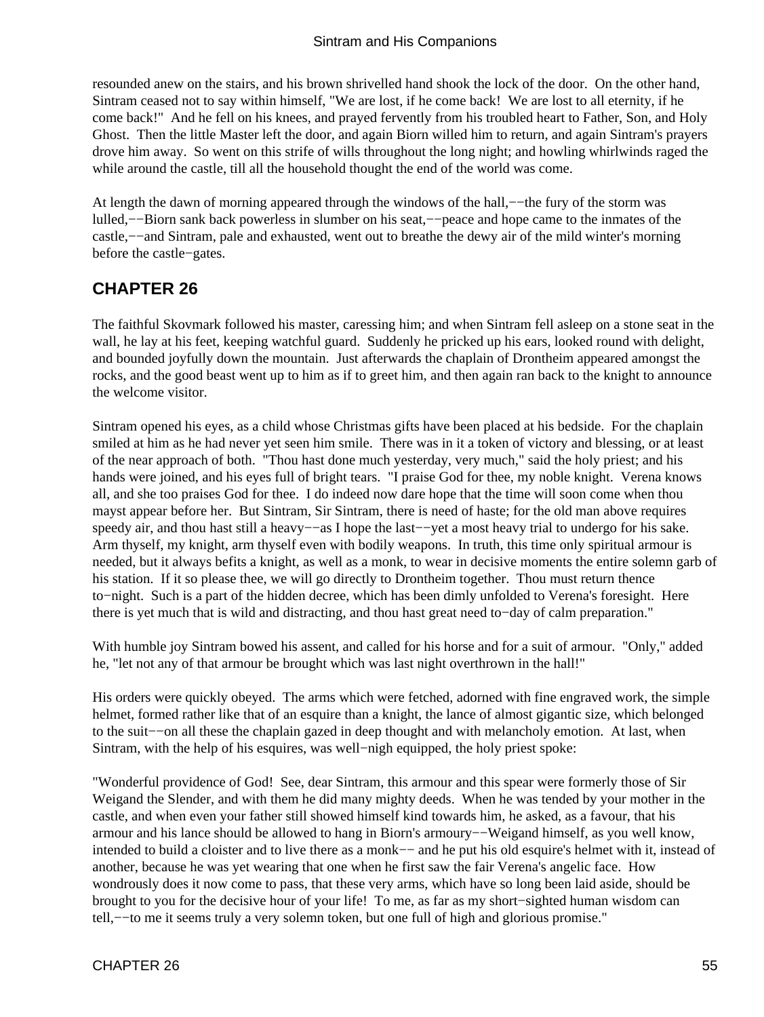<span id="page-56-0"></span>resounded anew on the stairs, and his brown shrivelled hand shook the lock of the door. On the other hand, Sintram ceased not to say within himself, "We are lost, if he come back! We are lost to all eternity, if he come back!" And he fell on his knees, and prayed fervently from his troubled heart to Father, Son, and Holy Ghost. Then the little Master left the door, and again Biorn willed him to return, and again Sintram's prayers drove him away. So went on this strife of wills throughout the long night; and howling whirlwinds raged the while around the castle, till all the household thought the end of the world was come.

At length the dawn of morning appeared through the windows of the hall,−−the fury of the storm was lulled,−−Biorn sank back powerless in slumber on his seat,−−peace and hope came to the inmates of the castle,−−and Sintram, pale and exhausted, went out to breathe the dewy air of the mild winter's morning before the castle−gates.

### **CHAPTER 26**

The faithful Skovmark followed his master, caressing him; and when Sintram fell asleep on a stone seat in the wall, he lay at his feet, keeping watchful guard. Suddenly he pricked up his ears, looked round with delight, and bounded joyfully down the mountain. Just afterwards the chaplain of Drontheim appeared amongst the rocks, and the good beast went up to him as if to greet him, and then again ran back to the knight to announce the welcome visitor.

Sintram opened his eyes, as a child whose Christmas gifts have been placed at his bedside. For the chaplain smiled at him as he had never yet seen him smile. There was in it a token of victory and blessing, or at least of the near approach of both. "Thou hast done much yesterday, very much," said the holy priest; and his hands were joined, and his eyes full of bright tears. "I praise God for thee, my noble knight. Verena knows all, and she too praises God for thee. I do indeed now dare hope that the time will soon come when thou mayst appear before her. But Sintram, Sir Sintram, there is need of haste; for the old man above requires speedy air, and thou hast still a heavy-−as I hope the last--yet a most heavy trial to undergo for his sake. Arm thyself, my knight, arm thyself even with bodily weapons. In truth, this time only spiritual armour is needed, but it always befits a knight, as well as a monk, to wear in decisive moments the entire solemn garb of his station. If it so please thee, we will go directly to Drontheim together. Thou must return thence to−night. Such is a part of the hidden decree, which has been dimly unfolded to Verena's foresight. Here there is yet much that is wild and distracting, and thou hast great need to−day of calm preparation."

With humble joy Sintram bowed his assent, and called for his horse and for a suit of armour. "Only," added he, "let not any of that armour be brought which was last night overthrown in the hall!"

His orders were quickly obeyed. The arms which were fetched, adorned with fine engraved work, the simple helmet, formed rather like that of an esquire than a knight, the lance of almost gigantic size, which belonged to the suit−−on all these the chaplain gazed in deep thought and with melancholy emotion. At last, when Sintram, with the help of his esquires, was well−nigh equipped, the holy priest spoke:

"Wonderful providence of God! See, dear Sintram, this armour and this spear were formerly those of Sir Weigand the Slender, and with them he did many mighty deeds. When he was tended by your mother in the castle, and when even your father still showed himself kind towards him, he asked, as a favour, that his armour and his lance should be allowed to hang in Biorn's armoury−−Weigand himself, as you well know, intended to build a cloister and to live there as a monk−− and he put his old esquire's helmet with it, instead of another, because he was yet wearing that one when he first saw the fair Verena's angelic face. How wondrously does it now come to pass, that these very arms, which have so long been laid aside, should be brought to you for the decisive hour of your life! To me, as far as my short−sighted human wisdom can tell,−−to me it seems truly a very solemn token, but one full of high and glorious promise."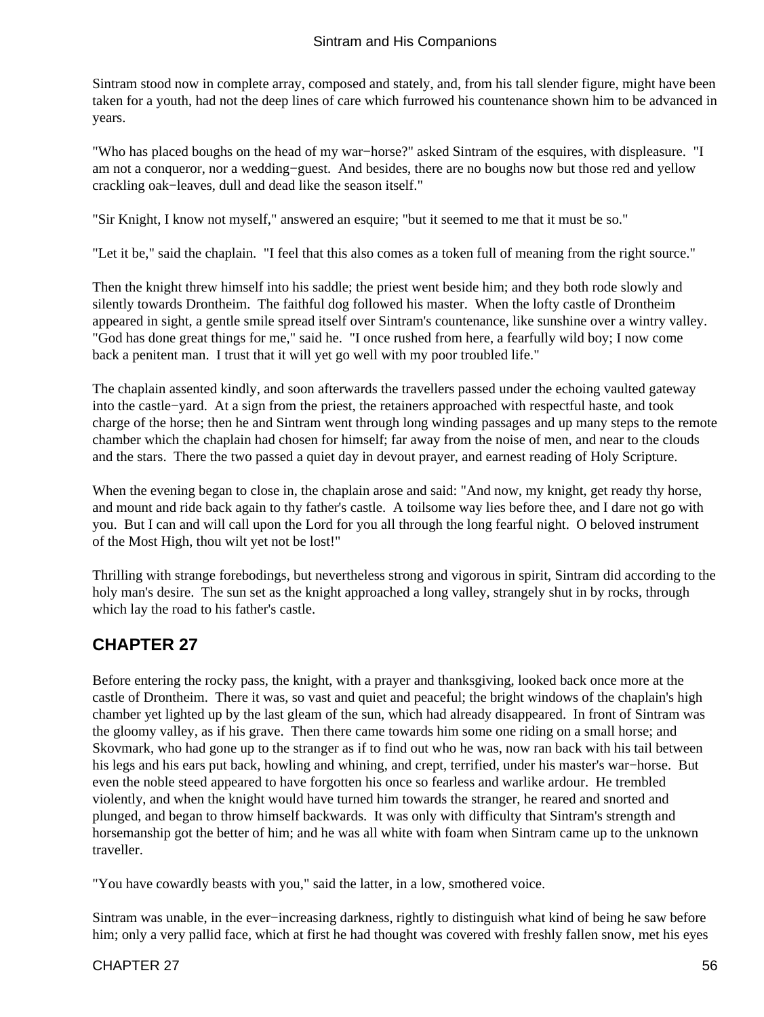<span id="page-57-0"></span>Sintram stood now in complete array, composed and stately, and, from his tall slender figure, might have been taken for a youth, had not the deep lines of care which furrowed his countenance shown him to be advanced in years.

"Who has placed boughs on the head of my war−horse?" asked Sintram of the esquires, with displeasure. "I am not a conqueror, nor a wedding−guest. And besides, there are no boughs now but those red and yellow crackling oak−leaves, dull and dead like the season itself."

"Sir Knight, I know not myself," answered an esquire; "but it seemed to me that it must be so."

"Let it be," said the chaplain. "I feel that this also comes as a token full of meaning from the right source."

Then the knight threw himself into his saddle; the priest went beside him; and they both rode slowly and silently towards Drontheim. The faithful dog followed his master. When the lofty castle of Drontheim appeared in sight, a gentle smile spread itself over Sintram's countenance, like sunshine over a wintry valley. "God has done great things for me," said he. "I once rushed from here, a fearfully wild boy; I now come back a penitent man. I trust that it will yet go well with my poor troubled life."

The chaplain assented kindly, and soon afterwards the travellers passed under the echoing vaulted gateway into the castle−yard. At a sign from the priest, the retainers approached with respectful haste, and took charge of the horse; then he and Sintram went through long winding passages and up many steps to the remote chamber which the chaplain had chosen for himself; far away from the noise of men, and near to the clouds and the stars. There the two passed a quiet day in devout prayer, and earnest reading of Holy Scripture.

When the evening began to close in, the chaplain arose and said: "And now, my knight, get ready thy horse, and mount and ride back again to thy father's castle. A toilsome way lies before thee, and I dare not go with you. But I can and will call upon the Lord for you all through the long fearful night. O beloved instrument of the Most High, thou wilt yet not be lost!"

Thrilling with strange forebodings, but nevertheless strong and vigorous in spirit, Sintram did according to the holy man's desire. The sun set as the knight approached a long valley, strangely shut in by rocks, through which lay the road to his father's castle.

### **CHAPTER 27**

Before entering the rocky pass, the knight, with a prayer and thanksgiving, looked back once more at the castle of Drontheim. There it was, so vast and quiet and peaceful; the bright windows of the chaplain's high chamber yet lighted up by the last gleam of the sun, which had already disappeared. In front of Sintram was the gloomy valley, as if his grave. Then there came towards him some one riding on a small horse; and Skovmark, who had gone up to the stranger as if to find out who he was, now ran back with his tail between his legs and his ears put back, howling and whining, and crept, terrified, under his master's war−horse. But even the noble steed appeared to have forgotten his once so fearless and warlike ardour. He trembled violently, and when the knight would have turned him towards the stranger, he reared and snorted and plunged, and began to throw himself backwards. It was only with difficulty that Sintram's strength and horsemanship got the better of him; and he was all white with foam when Sintram came up to the unknown traveller.

"You have cowardly beasts with you," said the latter, in a low, smothered voice.

Sintram was unable, in the ever−increasing darkness, rightly to distinguish what kind of being he saw before him; only a very pallid face, which at first he had thought was covered with freshly fallen snow, met his eyes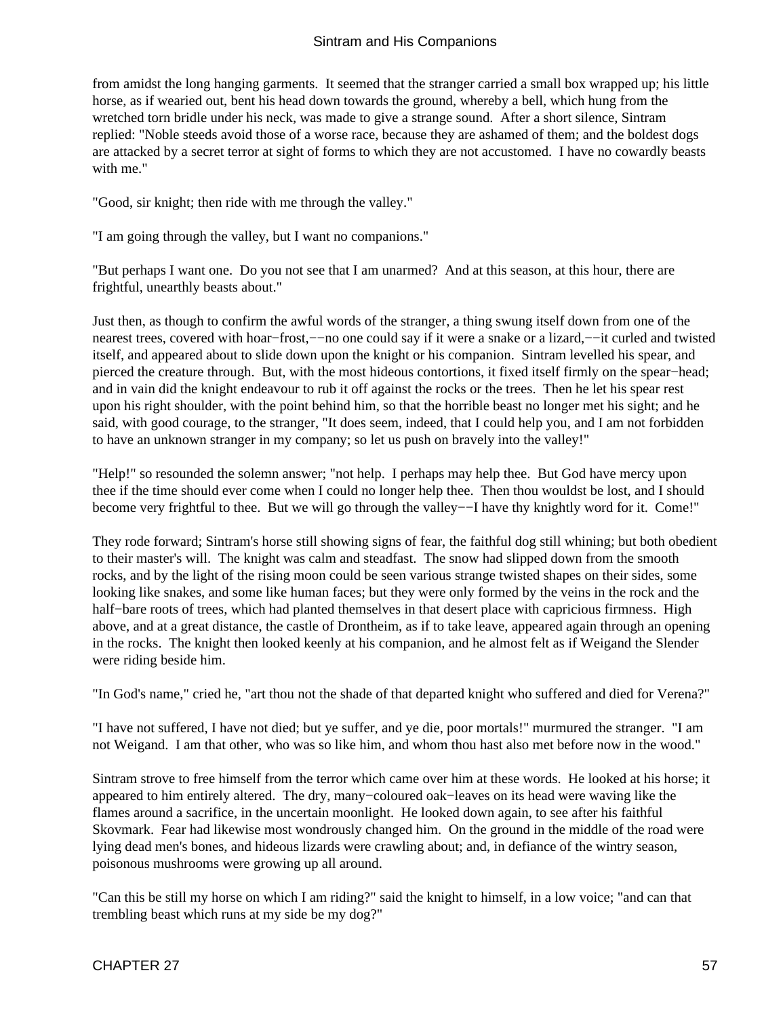from amidst the long hanging garments. It seemed that the stranger carried a small box wrapped up; his little horse, as if wearied out, bent his head down towards the ground, whereby a bell, which hung from the wretched torn bridle under his neck, was made to give a strange sound. After a short silence, Sintram replied: "Noble steeds avoid those of a worse race, because they are ashamed of them; and the boldest dogs are attacked by a secret terror at sight of forms to which they are not accustomed. I have no cowardly beasts with me."

"Good, sir knight; then ride with me through the valley."

"I am going through the valley, but I want no companions."

"But perhaps I want one. Do you not see that I am unarmed? And at this season, at this hour, there are frightful, unearthly beasts about."

Just then, as though to confirm the awful words of the stranger, a thing swung itself down from one of the nearest trees, covered with hoar−frost,−−no one could say if it were a snake or a lizard,−−it curled and twisted itself, and appeared about to slide down upon the knight or his companion. Sintram levelled his spear, and pierced the creature through. But, with the most hideous contortions, it fixed itself firmly on the spear−head; and in vain did the knight endeavour to rub it off against the rocks or the trees. Then he let his spear rest upon his right shoulder, with the point behind him, so that the horrible beast no longer met his sight; and he said, with good courage, to the stranger, "It does seem, indeed, that I could help you, and I am not forbidden to have an unknown stranger in my company; so let us push on bravely into the valley!"

"Help!" so resounded the solemn answer; "not help. I perhaps may help thee. But God have mercy upon thee if the time should ever come when I could no longer help thee. Then thou wouldst be lost, and I should become very frightful to thee. But we will go through the valley−−I have thy knightly word for it. Come!"

They rode forward; Sintram's horse still showing signs of fear, the faithful dog still whining; but both obedient to their master's will. The knight was calm and steadfast. The snow had slipped down from the smooth rocks, and by the light of the rising moon could be seen various strange twisted shapes on their sides, some looking like snakes, and some like human faces; but they were only formed by the veins in the rock and the half−bare roots of trees, which had planted themselves in that desert place with capricious firmness. High above, and at a great distance, the castle of Drontheim, as if to take leave, appeared again through an opening in the rocks. The knight then looked keenly at his companion, and he almost felt as if Weigand the Slender were riding beside him.

"In God's name," cried he, "art thou not the shade of that departed knight who suffered and died for Verena?"

"I have not suffered, I have not died; but ye suffer, and ye die, poor mortals!" murmured the stranger. "I am not Weigand. I am that other, who was so like him, and whom thou hast also met before now in the wood."

Sintram strove to free himself from the terror which came over him at these words. He looked at his horse; it appeared to him entirely altered. The dry, many−coloured oak−leaves on its head were waving like the flames around a sacrifice, in the uncertain moonlight. He looked down again, to see after his faithful Skovmark. Fear had likewise most wondrously changed him. On the ground in the middle of the road were lying dead men's bones, and hideous lizards were crawling about; and, in defiance of the wintry season, poisonous mushrooms were growing up all around.

"Can this be still my horse on which I am riding?" said the knight to himself, in a low voice; "and can that trembling beast which runs at my side be my dog?"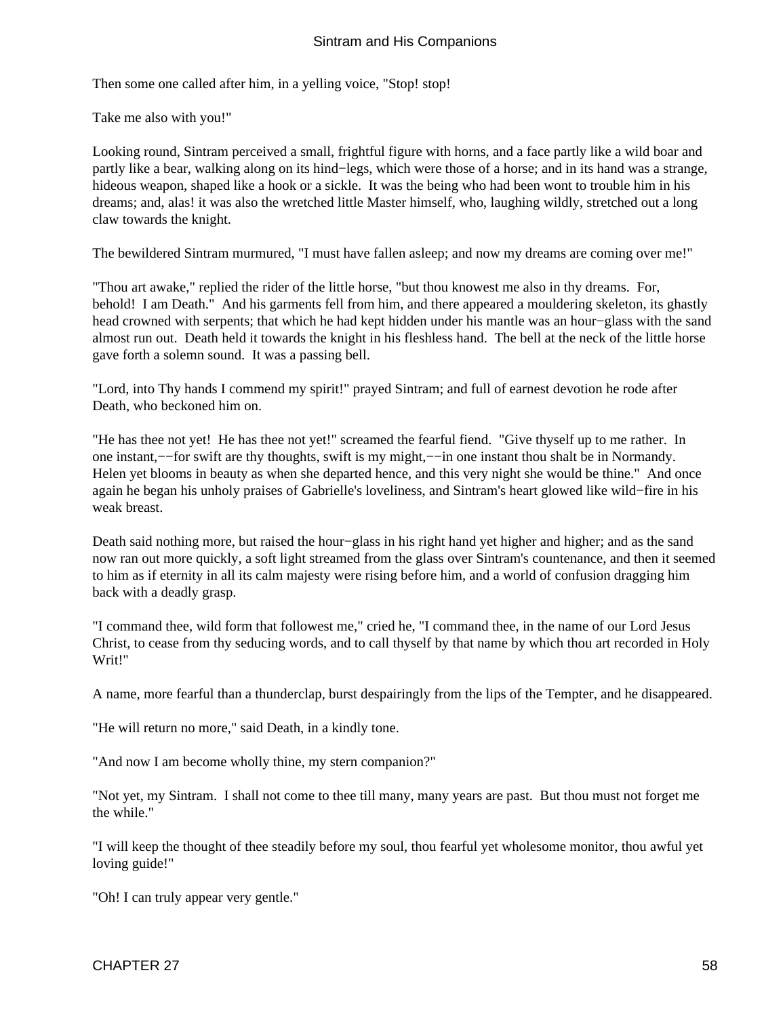Then some one called after him, in a yelling voice, "Stop! stop!

Take me also with you!"

Looking round, Sintram perceived a small, frightful figure with horns, and a face partly like a wild boar and partly like a bear, walking along on its hind−legs, which were those of a horse; and in its hand was a strange, hideous weapon, shaped like a hook or a sickle. It was the being who had been wont to trouble him in his dreams; and, alas! it was also the wretched little Master himself, who, laughing wildly, stretched out a long claw towards the knight.

The bewildered Sintram murmured, "I must have fallen asleep; and now my dreams are coming over me!"

"Thou art awake," replied the rider of the little horse, "but thou knowest me also in thy dreams. For, behold! I am Death." And his garments fell from him, and there appeared a mouldering skeleton, its ghastly head crowned with serpents; that which he had kept hidden under his mantle was an hour−glass with the sand almost run out. Death held it towards the knight in his fleshless hand. The bell at the neck of the little horse gave forth a solemn sound. It was a passing bell.

"Lord, into Thy hands I commend my spirit!" prayed Sintram; and full of earnest devotion he rode after Death, who beckoned him on.

"He has thee not yet! He has thee not yet!" screamed the fearful fiend. "Give thyself up to me rather. In one instant,−−for swift are thy thoughts, swift is my might,−−in one instant thou shalt be in Normandy. Helen yet blooms in beauty as when she departed hence, and this very night she would be thine." And once again he began his unholy praises of Gabrielle's loveliness, and Sintram's heart glowed like wild−fire in his weak breast.

Death said nothing more, but raised the hour−glass in his right hand yet higher and higher; and as the sand now ran out more quickly, a soft light streamed from the glass over Sintram's countenance, and then it seemed to him as if eternity in all its calm majesty were rising before him, and a world of confusion dragging him back with a deadly grasp.

"I command thee, wild form that followest me," cried he, "I command thee, in the name of our Lord Jesus Christ, to cease from thy seducing words, and to call thyself by that name by which thou art recorded in Holy Writ!"

A name, more fearful than a thunderclap, burst despairingly from the lips of the Tempter, and he disappeared.

"He will return no more," said Death, in a kindly tone.

"And now I am become wholly thine, my stern companion?"

"Not yet, my Sintram. I shall not come to thee till many, many years are past. But thou must not forget me the while."

"I will keep the thought of thee steadily before my soul, thou fearful yet wholesome monitor, thou awful yet loving guide!"

"Oh! I can truly appear very gentle."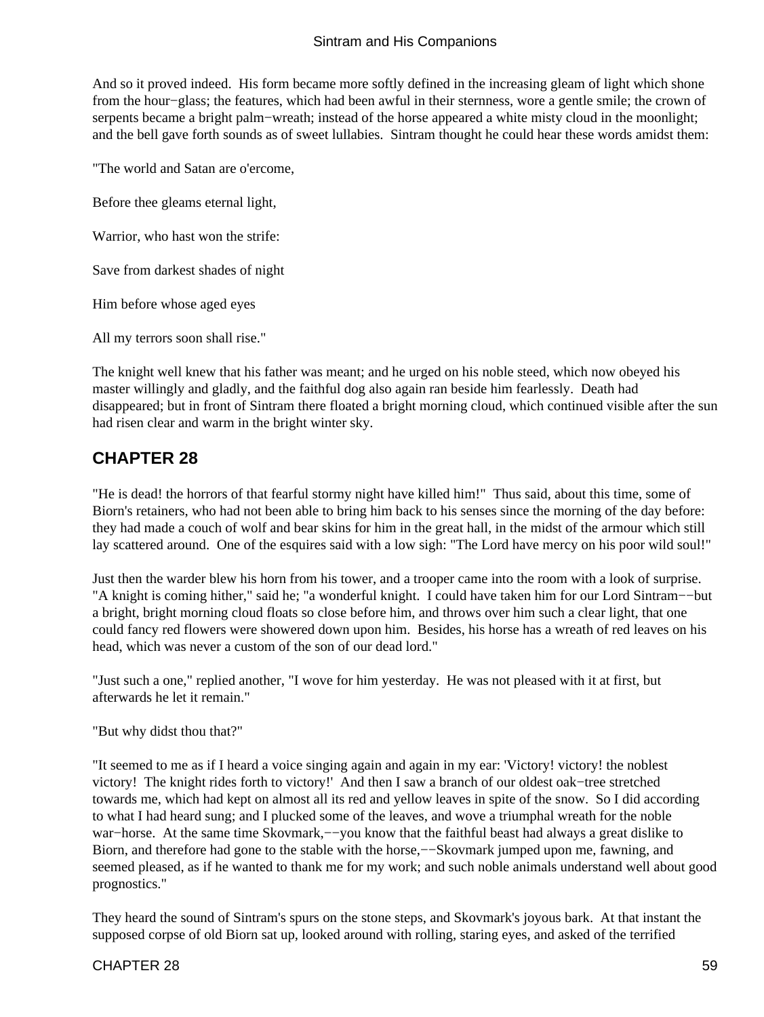<span id="page-60-0"></span>And so it proved indeed. His form became more softly defined in the increasing gleam of light which shone from the hour−glass; the features, which had been awful in their sternness, wore a gentle smile; the crown of serpents became a bright palm−wreath; instead of the horse appeared a white misty cloud in the moonlight; and the bell gave forth sounds as of sweet lullabies. Sintram thought he could hear these words amidst them:

"The world and Satan are o'ercome,

Before thee gleams eternal light,

Warrior, who hast won the strife:

Save from darkest shades of night

Him before whose aged eyes

All my terrors soon shall rise."

The knight well knew that his father was meant; and he urged on his noble steed, which now obeyed his master willingly and gladly, and the faithful dog also again ran beside him fearlessly. Death had disappeared; but in front of Sintram there floated a bright morning cloud, which continued visible after the sun had risen clear and warm in the bright winter sky.

### **CHAPTER 28**

"He is dead! the horrors of that fearful stormy night have killed him!" Thus said, about this time, some of Biorn's retainers, who had not been able to bring him back to his senses since the morning of the day before: they had made a couch of wolf and bear skins for him in the great hall, in the midst of the armour which still lay scattered around. One of the esquires said with a low sigh: "The Lord have mercy on his poor wild soul!"

Just then the warder blew his horn from his tower, and a trooper came into the room with a look of surprise. "A knight is coming hither," said he; "a wonderful knight. I could have taken him for our Lord Sintram−−but a bright, bright morning cloud floats so close before him, and throws over him such a clear light, that one could fancy red flowers were showered down upon him. Besides, his horse has a wreath of red leaves on his head, which was never a custom of the son of our dead lord."

"Just such a one," replied another, "I wove for him yesterday. He was not pleased with it at first, but afterwards he let it remain."

"But why didst thou that?"

"It seemed to me as if I heard a voice singing again and again in my ear: 'Victory! victory! the noblest victory! The knight rides forth to victory!' And then I saw a branch of our oldest oak−tree stretched towards me, which had kept on almost all its red and yellow leaves in spite of the snow. So I did according to what I had heard sung; and I plucked some of the leaves, and wove a triumphal wreath for the noble war−horse. At the same time Skovmark,––you know that the faithful beast had always a great dislike to Biorn, and therefore had gone to the stable with the horse,−−Skovmark jumped upon me, fawning, and seemed pleased, as if he wanted to thank me for my work; and such noble animals understand well about good prognostics."

They heard the sound of Sintram's spurs on the stone steps, and Skovmark's joyous bark. At that instant the supposed corpse of old Biorn sat up, looked around with rolling, staring eyes, and asked of the terrified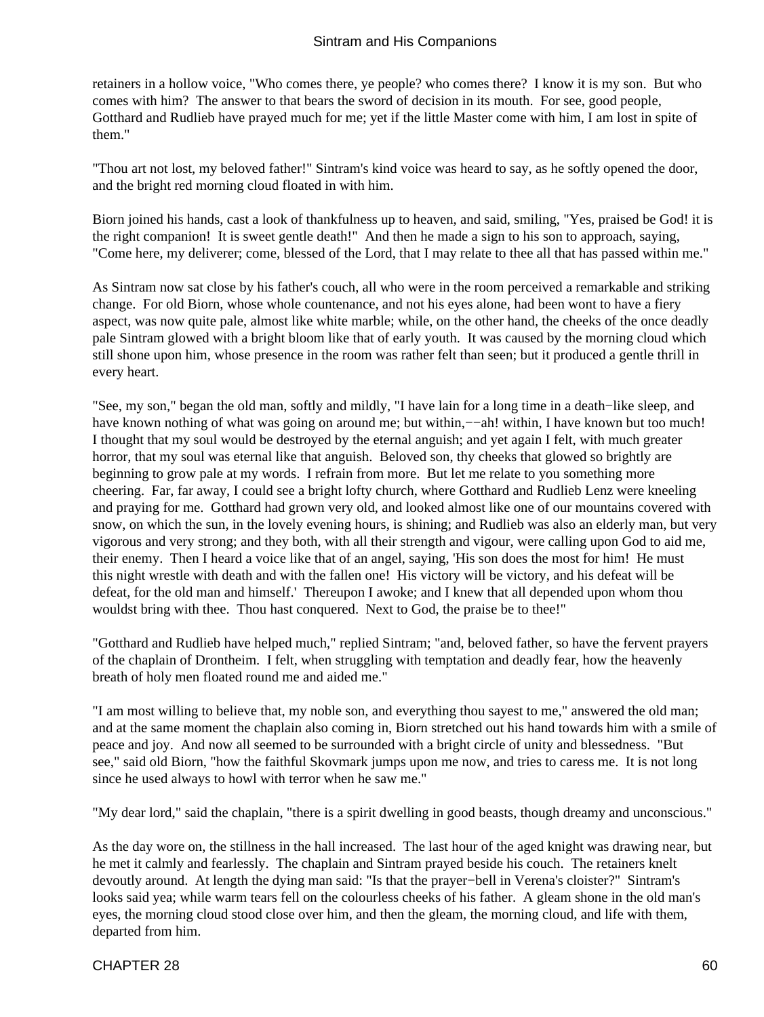retainers in a hollow voice, "Who comes there, ye people? who comes there? I know it is my son. But who comes with him? The answer to that bears the sword of decision in its mouth. For see, good people, Gotthard and Rudlieb have prayed much for me; yet if the little Master come with him, I am lost in spite of them."

"Thou art not lost, my beloved father!" Sintram's kind voice was heard to say, as he softly opened the door, and the bright red morning cloud floated in with him.

Biorn joined his hands, cast a look of thankfulness up to heaven, and said, smiling, "Yes, praised be God! it is the right companion! It is sweet gentle death!" And then he made a sign to his son to approach, saying, "Come here, my deliverer; come, blessed of the Lord, that I may relate to thee all that has passed within me."

As Sintram now sat close by his father's couch, all who were in the room perceived a remarkable and striking change. For old Biorn, whose whole countenance, and not his eyes alone, had been wont to have a fiery aspect, was now quite pale, almost like white marble; while, on the other hand, the cheeks of the once deadly pale Sintram glowed with a bright bloom like that of early youth. It was caused by the morning cloud which still shone upon him, whose presence in the room was rather felt than seen; but it produced a gentle thrill in every heart.

"See, my son," began the old man, softly and mildly, "I have lain for a long time in a death−like sleep, and have known nothing of what was going on around me; but within,−−ah! within, I have known but too much! I thought that my soul would be destroyed by the eternal anguish; and yet again I felt, with much greater horror, that my soul was eternal like that anguish. Beloved son, thy cheeks that glowed so brightly are beginning to grow pale at my words. I refrain from more. But let me relate to you something more cheering. Far, far away, I could see a bright lofty church, where Gotthard and Rudlieb Lenz were kneeling and praying for me. Gotthard had grown very old, and looked almost like one of our mountains covered with snow, on which the sun, in the lovely evening hours, is shining; and Rudlieb was also an elderly man, but very vigorous and very strong; and they both, with all their strength and vigour, were calling upon God to aid me, their enemy. Then I heard a voice like that of an angel, saying, 'His son does the most for him! He must this night wrestle with death and with the fallen one! His victory will be victory, and his defeat will be defeat, for the old man and himself.' Thereupon I awoke; and I knew that all depended upon whom thou wouldst bring with thee. Thou hast conquered. Next to God, the praise be to thee!"

"Gotthard and Rudlieb have helped much," replied Sintram; "and, beloved father, so have the fervent prayers of the chaplain of Drontheim. I felt, when struggling with temptation and deadly fear, how the heavenly breath of holy men floated round me and aided me."

"I am most willing to believe that, my noble son, and everything thou sayest to me," answered the old man; and at the same moment the chaplain also coming in, Biorn stretched out his hand towards him with a smile of peace and joy. And now all seemed to be surrounded with a bright circle of unity and blessedness. "But see," said old Biorn, "how the faithful Skovmark jumps upon me now, and tries to caress me. It is not long since he used always to howl with terror when he saw me."

"My dear lord," said the chaplain, "there is a spirit dwelling in good beasts, though dreamy and unconscious."

As the day wore on, the stillness in the hall increased. The last hour of the aged knight was drawing near, but he met it calmly and fearlessly. The chaplain and Sintram prayed beside his couch. The retainers knelt devoutly around. At length the dying man said: "Is that the prayer−bell in Verena's cloister?" Sintram's looks said yea; while warm tears fell on the colourless cheeks of his father. A gleam shone in the old man's eyes, the morning cloud stood close over him, and then the gleam, the morning cloud, and life with them, departed from him.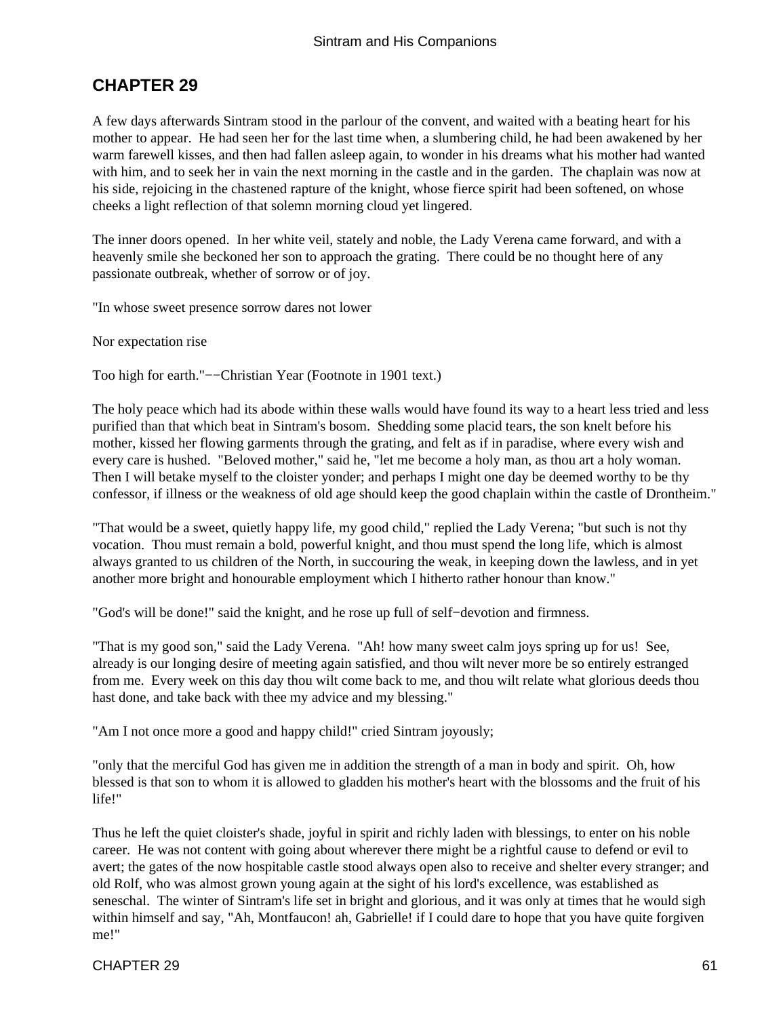### <span id="page-62-0"></span>**CHAPTER 29**

A few days afterwards Sintram stood in the parlour of the convent, and waited with a beating heart for his mother to appear. He had seen her for the last time when, a slumbering child, he had been awakened by her warm farewell kisses, and then had fallen asleep again, to wonder in his dreams what his mother had wanted with him, and to seek her in vain the next morning in the castle and in the garden. The chaplain was now at his side, rejoicing in the chastened rapture of the knight, whose fierce spirit had been softened, on whose cheeks a light reflection of that solemn morning cloud yet lingered.

The inner doors opened. In her white veil, stately and noble, the Lady Verena came forward, and with a heavenly smile she beckoned her son to approach the grating. There could be no thought here of any passionate outbreak, whether of sorrow or of joy.

"In whose sweet presence sorrow dares not lower

Nor expectation rise

Too high for earth."−−Christian Year (Footnote in 1901 text.)

The holy peace which had its abode within these walls would have found its way to a heart less tried and less purified than that which beat in Sintram's bosom. Shedding some placid tears, the son knelt before his mother, kissed her flowing garments through the grating, and felt as if in paradise, where every wish and every care is hushed. "Beloved mother," said he, "let me become a holy man, as thou art a holy woman. Then I will betake myself to the cloister yonder; and perhaps I might one day be deemed worthy to be thy confessor, if illness or the weakness of old age should keep the good chaplain within the castle of Drontheim."

"That would be a sweet, quietly happy life, my good child," replied the Lady Verena; "but such is not thy vocation. Thou must remain a bold, powerful knight, and thou must spend the long life, which is almost always granted to us children of the North, in succouring the weak, in keeping down the lawless, and in yet another more bright and honourable employment which I hitherto rather honour than know."

"God's will be done!" said the knight, and he rose up full of self−devotion and firmness.

"That is my good son," said the Lady Verena. "Ah! how many sweet calm joys spring up for us! See, already is our longing desire of meeting again satisfied, and thou wilt never more be so entirely estranged from me. Every week on this day thou wilt come back to me, and thou wilt relate what glorious deeds thou hast done, and take back with thee my advice and my blessing."

"Am I not once more a good and happy child!" cried Sintram joyously;

"only that the merciful God has given me in addition the strength of a man in body and spirit. Oh, how blessed is that son to whom it is allowed to gladden his mother's heart with the blossoms and the fruit of his life!"

Thus he left the quiet cloister's shade, joyful in spirit and richly laden with blessings, to enter on his noble career. He was not content with going about wherever there might be a rightful cause to defend or evil to avert; the gates of the now hospitable castle stood always open also to receive and shelter every stranger; and old Rolf, who was almost grown young again at the sight of his lord's excellence, was established as seneschal. The winter of Sintram's life set in bright and glorious, and it was only at times that he would sigh within himself and say, "Ah, Montfaucon! ah, Gabrielle! if I could dare to hope that you have quite forgiven me!"